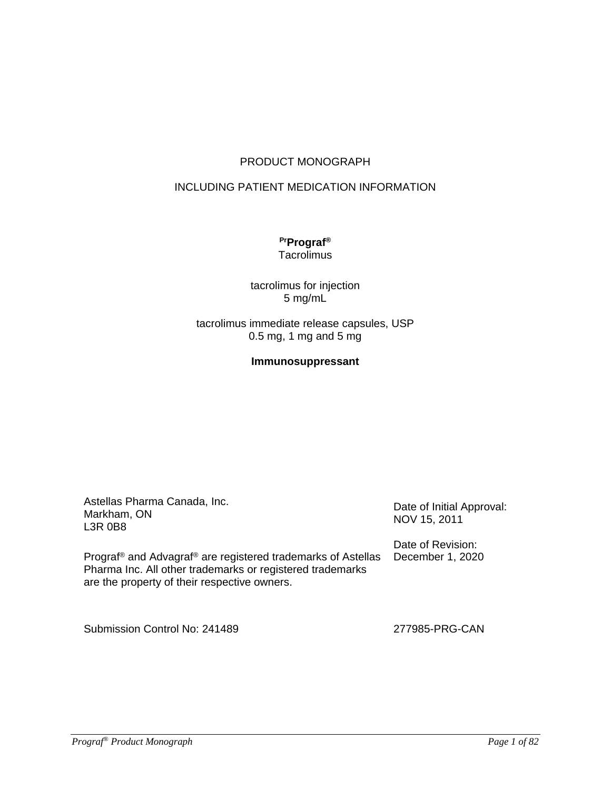### PRODUCT MONOGRAPH

### INCLUDING PATIENT MEDICATION INFORMATION

#### **PrPrograf® Tacrolimus**

### tacrolimus for injection 5 mg/mL

#### tacrolimus immediate release capsules, USP 0.5 mg, 1 mg and 5 mg

## **Immunosuppressant**

| Astellas Pharma Canada, Inc.<br>Markham, ON<br>L3R 0B8                                                                                                                                            | Date of Initial Approval:<br>NOV 15, 2011 |
|---------------------------------------------------------------------------------------------------------------------------------------------------------------------------------------------------|-------------------------------------------|
| Prograf <sup>®</sup> and Advagraf <sup>®</sup> are registered trademarks of Astellas<br>Pharma Inc. All other trademarks or registered trademarks<br>are the property of their respective owners. | Date of Revision:<br>December 1, 2020     |
| Submission Control No: 241489                                                                                                                                                                     | 277985-PRG-CAN                            |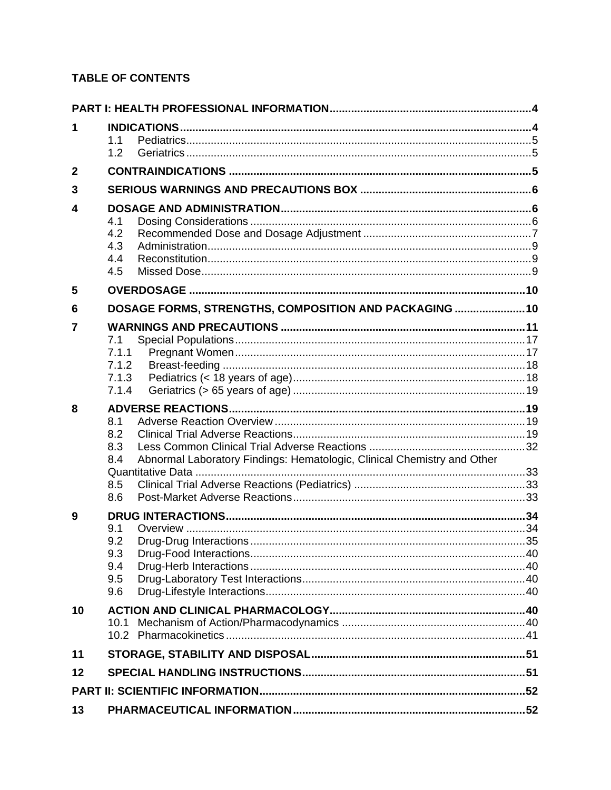# **TABLE OF CONTENTS**

| 1              | 1.1<br>1.2                                                                                          |  |
|----------------|-----------------------------------------------------------------------------------------------------|--|
| $\overline{2}$ |                                                                                                     |  |
| 3              |                                                                                                     |  |
| 4              | 4.1<br>4.2<br>4.3<br>4.4<br>4.5                                                                     |  |
| 5              |                                                                                                     |  |
| 6              | DOSAGE FORMS, STRENGTHS, COMPOSITION AND PACKAGING  10                                              |  |
| 7              | 7.1<br>7.1.1<br>7.1.2<br>7.1.3<br>7.1.4                                                             |  |
| 8              | 8.1<br>8.2<br>8.3<br>Abnormal Laboratory Findings: Hematologic, Clinical Chemistry and Other<br>8.4 |  |
|                | 8.5<br>8.6                                                                                          |  |
| 9              | 9.1<br>9.2<br>9.3<br>9.4<br>9.5<br>9.6                                                              |  |
| 10             | 10.1                                                                                                |  |
| 11             |                                                                                                     |  |
| 12             |                                                                                                     |  |
|                |                                                                                                     |  |
| 13             |                                                                                                     |  |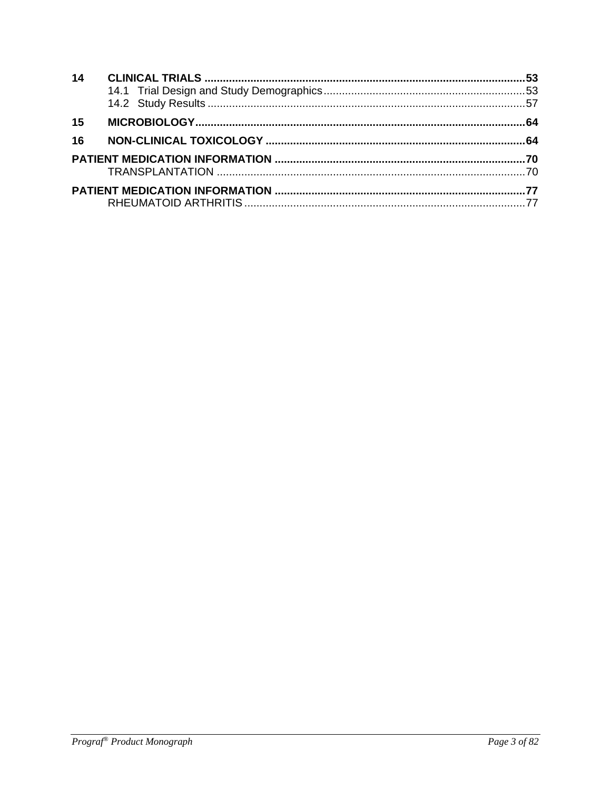| 14 |  |
|----|--|
| 15 |  |
| 16 |  |
|    |  |
|    |  |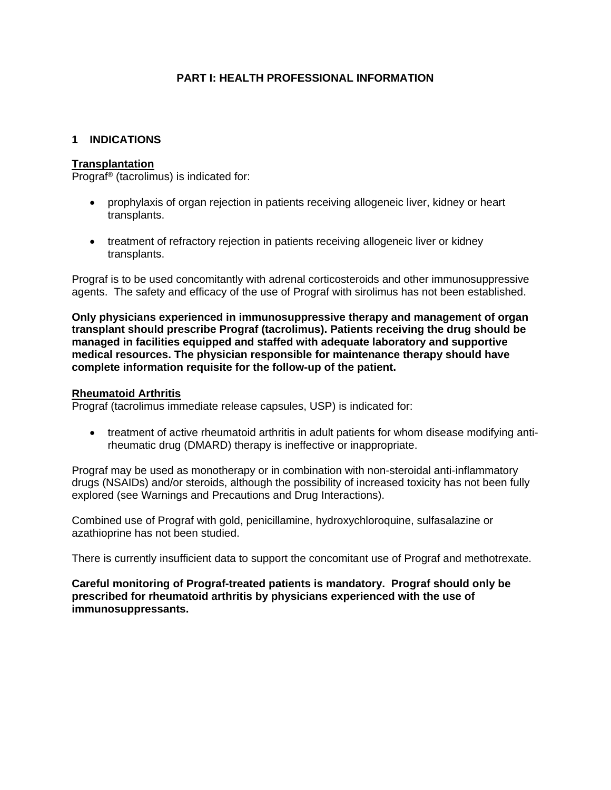### **PART I: HEALTH PROFESSIONAL INFORMATION**

#### **1 INDICATIONS**

#### **Transplantation**

Prograf® (tacrolimus) is indicated for:

- prophylaxis of organ rejection in patients receiving allogeneic liver, kidney or heart transplants.
- treatment of refractory rejection in patients receiving allogeneic liver or kidney transplants.

Prograf is to be used concomitantly with adrenal corticosteroids and other immunosuppressive agents. The safety and efficacy of the use of Prograf with sirolimus has not been established.

**Only physicians experienced in immunosuppressive therapy and management of organ transplant should prescribe Prograf (tacrolimus). Patients receiving the drug should be managed in facilities equipped and staffed with adequate laboratory and supportive medical resources. The physician responsible for maintenance therapy should have complete information requisite for the follow-up of the patient.**

#### **Rheumatoid Arthritis**

Prograf (tacrolimus immediate release capsules, USP) is indicated for:

• treatment of active rheumatoid arthritis in adult patients for whom disease modifying antirheumatic drug (DMARD) therapy is ineffective or inappropriate.

Prograf may be used as monotherapy or in combination with non-steroidal anti-inflammatory drugs (NSAIDs) and/or steroids, although the possibility of increased toxicity has not been fully explored (see Warnings and Precautions and Drug Interactions).

Combined use of Prograf with gold, penicillamine, hydroxychloroquine, sulfasalazine or azathioprine has not been studied.

There is currently insufficient data to support the concomitant use of Prograf and methotrexate.

**Careful monitoring of Prograf-treated patients is mandatory. Prograf should only be prescribed for rheumatoid arthritis by physicians experienced with the use of immunosuppressants.**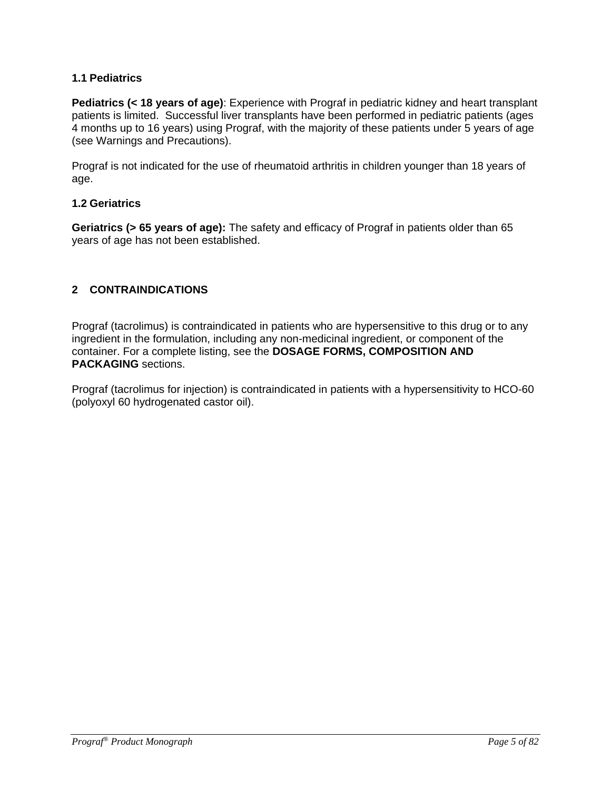### **1.1 Pediatrics**

**Pediatrics (< 18 years of age)**: Experience with Prograf in pediatric kidney and heart transplant patients is limited. Successful liver transplants have been performed in pediatric patients (ages 4 months up to 16 years) using Prograf, with the majority of these patients under 5 years of age (see Warnings and Precautions).

Prograf is not indicated for the use of rheumatoid arthritis in children younger than 18 years of age.

### **1.2 Geriatrics**

**Geriatrics (> 65 years of age):** The safety and efficacy of Prograf in patients older than 65 years of age has not been established.

## **2 CONTRAINDICATIONS**

Prograf (tacrolimus) is contraindicated in patients who are hypersensitive to this drug or to any ingredient in the formulation, including any non-medicinal ingredient, or component of the container. For a complete listing, see the **DOSAGE FORMS, COMPOSITION AND PACKAGING** sections.

Prograf (tacrolimus for injection) is contraindicated in patients with a hypersensitivity to HCO-60 (polyoxyl 60 hydrogenated castor oil).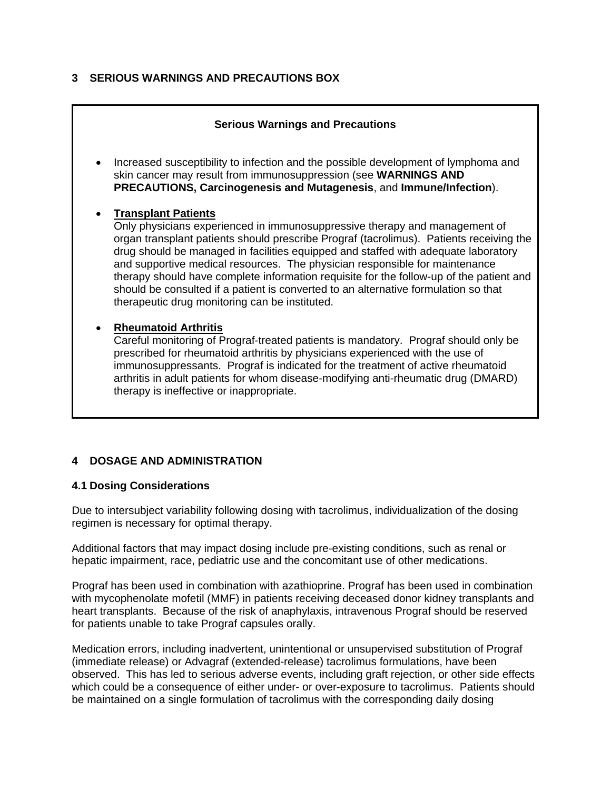### **3 SERIOUS WARNINGS AND PRECAUTIONS BOX**

# **Serious Warnings and Precautions** • Increased susceptibility to infection and the possible development of lymphoma and skin cancer may result from immunosuppression (see **WARNINGS AND PRECAUTIONS, Carcinogenesis and Mutagenesis**, and **Immune/Infection**). • **Transplant Patients** Only physicians experienced in immunosuppressive therapy and management of organ transplant patients should prescribe Prograf (tacrolimus). Patients receiving the drug should be managed in facilities equipped and staffed with adequate laboratory and supportive medical resources. The physician responsible for maintenance therapy should have complete information requisite for the follow-up of the patient and should be consulted if a patient is converted to an alternative formulation so that therapeutic drug monitoring can be instituted. • **Rheumatoid Arthritis** Careful monitoring of Prograf-treated patients is mandatory. Prograf should only be prescribed for rheumatoid arthritis by physicians experienced with the use of immunosuppressants. Prograf is indicated for the treatment of active rheumatoid arthritis in adult patients for whom disease-modifying anti-rheumatic drug (DMARD) therapy is ineffective or inappropriate.

# **4 DOSAGE AND ADMINISTRATION**

### **4.1 Dosing Considerations**

Due to intersubject variability following dosing with tacrolimus, individualization of the dosing regimen is necessary for optimal therapy.

Additional factors that may impact dosing include pre-existing conditions, such as renal or hepatic impairment, race, pediatric use and the concomitant use of other medications.

Prograf has been used in combination with azathioprine. Prograf has been used in combination with mycophenolate mofetil (MMF) in patients receiving deceased donor kidney transplants and heart transplants. Because of the risk of anaphylaxis, intravenous Prograf should be reserved for patients unable to take Prograf capsules orally.

Medication errors, including inadvertent, unintentional or unsupervised substitution of Prograf (immediate release) or Advagraf (extended-release) tacrolimus formulations, have been observed. This has led to serious adverse events, including graft rejection, or other side effects which could be a consequence of either under- or over-exposure to tacrolimus. Patients should be maintained on a single formulation of tacrolimus with the corresponding daily dosing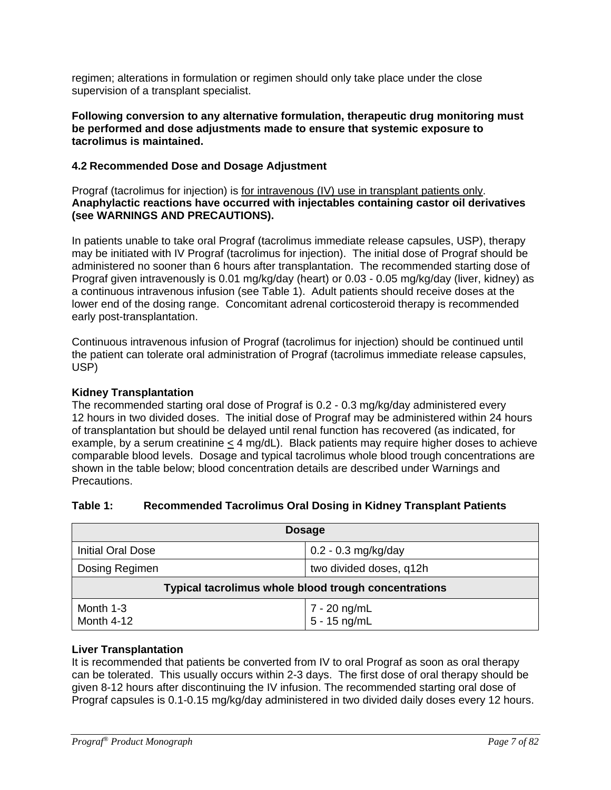regimen; alterations in formulation or regimen should only take place under the close supervision of a transplant specialist.

### **Following conversion to any alternative formulation, therapeutic drug monitoring must be performed and dose adjustments made to ensure that systemic exposure to tacrolimus is maintained.**

### **4.2 Recommended Dose and Dosage Adjustment**

Prograf (tacrolimus for injection) is <u>for intravenous (IV) use in transplant patients only</u>. **Anaphylactic reactions have occurred with injectables containing castor oil derivatives (see WARNINGS AND PRECAUTIONS).**

In patients unable to take oral Prograf (tacrolimus immediate release capsules, USP), therapy may be initiated with IV Prograf (tacrolimus for injection). The initial dose of Prograf should be administered no sooner than 6 hours after transplantation. The recommended starting dose of Prograf given intravenously is 0.01 mg/kg/day (heart) or 0.03 - 0.05 mg/kg/day (liver, kidney) as a continuous intravenous infusion (see Table 1). Adult patients should receive doses at the lower end of the dosing range. Concomitant adrenal corticosteroid therapy is recommended early post-transplantation.

Continuous intravenous infusion of Prograf (tacrolimus for injection) should be continued until the patient can tolerate oral administration of Prograf (tacrolimus immediate release capsules, USP)

### **Kidney Transplantation**

The recommended starting oral dose of Prograf is 0.2 - 0.3 mg/kg/day administered every 12 hours in two divided doses. The initial dose of Prograf may be administered within 24 hours of transplantation but should be delayed until renal function has recovered (as indicated, for example, by a serum creatinine  $\leq$  4 mg/dL). Black patients may require higher doses to achieve comparable blood levels. Dosage and typical tacrolimus whole blood trough concentrations are shown in the table below; blood concentration details are described under Warnings and Precautions.

### **Table 1: Recommended Tacrolimus Oral Dosing in Kidney Transplant Patients**

|                                           | <b>Dosage</b>                                        |
|-------------------------------------------|------------------------------------------------------|
| <b>Initial Oral Dose</b>                  | $0.2 - 0.3$ mg/kg/day                                |
| Dosing Regimen<br>two divided doses, q12h |                                                      |
|                                           | Typical tacrolimus whole blood trough concentrations |
| Month 1-3<br>Month 4-12                   | 7 - 20 ng/mL<br>$5 - 15$ ng/mL                       |

### **Liver Transplantation**

It is recommended that patients be converted from IV to oral Prograf as soon as oral therapy can be tolerated. This usually occurs within 2-3 days. The first dose of oral therapy should be given 8-12 hours after discontinuing the IV infusion. The recommended starting oral dose of Prograf capsules is 0.1-0.15 mg/kg/day administered in two divided daily doses every 12 hours.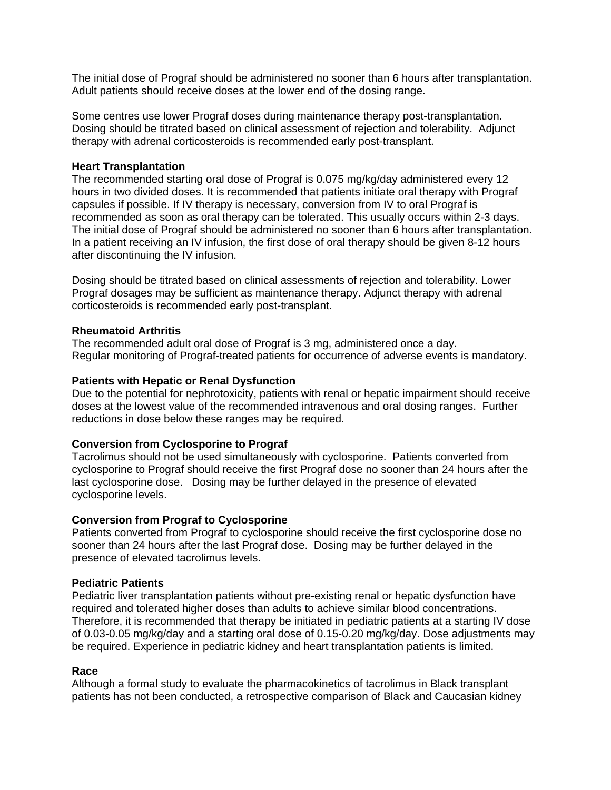The initial dose of Prograf should be administered no sooner than 6 hours after transplantation. Adult patients should receive doses at the lower end of the dosing range.

Some centres use lower Prograf doses during maintenance therapy post-transplantation. Dosing should be titrated based on clinical assessment of rejection and tolerability. Adjunct therapy with adrenal corticosteroids is recommended early post-transplant.

#### **Heart Transplantation**

The recommended starting oral dose of Prograf is 0.075 mg/kg/day administered every 12 hours in two divided doses. It is recommended that patients initiate oral therapy with Prograf capsules if possible. If IV therapy is necessary, conversion from IV to oral Prograf is recommended as soon as oral therapy can be tolerated. This usually occurs within 2-3 days. The initial dose of Prograf should be administered no sooner than 6 hours after transplantation. In a patient receiving an IV infusion, the first dose of oral therapy should be given 8-12 hours after discontinuing the IV infusion.

Dosing should be titrated based on clinical assessments of rejection and tolerability. Lower Prograf dosages may be sufficient as maintenance therapy. Adjunct therapy with adrenal corticosteroids is recommended early post-transplant.

#### **Rheumatoid Arthritis**

The recommended adult oral dose of Prograf is 3 mg, administered once a day. Regular monitoring of Prograf-treated patients for occurrence of adverse events is mandatory.

#### **Patients with Hepatic or Renal Dysfunction**

Due to the potential for nephrotoxicity, patients with renal or hepatic impairment should receive doses at the lowest value of the recommended intravenous and oral dosing ranges. Further reductions in dose below these ranges may be required.

#### **Conversion from Cyclosporine to Prograf**

Tacrolimus should not be used simultaneously with cyclosporine. Patients converted from cyclosporine to Prograf should receive the first Prograf dose no sooner than 24 hours after the last cyclosporine dose. Dosing may be further delayed in the presence of elevated cyclosporine levels.

#### **Conversion from Prograf to Cyclosporine**

Patients converted from Prograf to cyclosporine should receive the first cyclosporine dose no sooner than 24 hours after the last Prograf dose. Dosing may be further delayed in the presence of elevated tacrolimus levels.

#### **Pediatric Patients**

Pediatric liver transplantation patients without pre-existing renal or hepatic dysfunction have required and tolerated higher doses than adults to achieve similar blood concentrations. Therefore, it is recommended that therapy be initiated in pediatric patients at a starting IV dose of 0.03-0.05 mg/kg/day and a starting oral dose of 0.15-0.20 mg/kg/day. Dose adjustments may be required. Experience in pediatric kidney and heart transplantation patients is limited.

#### **Race**

Although a formal study to evaluate the pharmacokinetics of tacrolimus in Black transplant patients has not been conducted, a retrospective comparison of Black and Caucasian kidney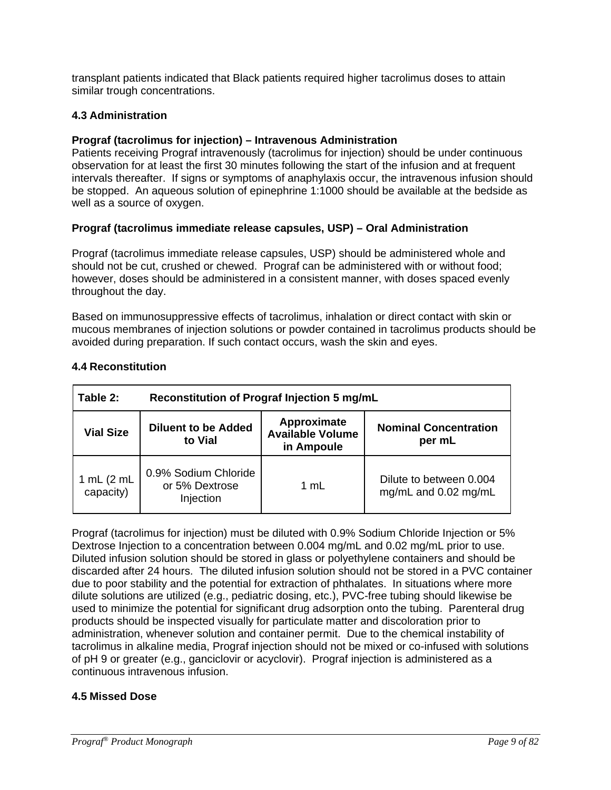transplant patients indicated that Black patients required higher tacrolimus doses to attain similar trough concentrations.

### **4.3 Administration**

### **Prograf (tacrolimus for injection) – Intravenous Administration**

Patients receiving Prograf intravenously (tacrolimus for injection) should be under continuous observation for at least the first 30 minutes following the start of the infusion and at frequent intervals thereafter. If signs or symptoms of anaphylaxis occur, the intravenous infusion should be stopped. An aqueous solution of epinephrine 1:1000 should be available at the bedside as well as a source of oxygen.

### **Prograf (tacrolimus immediate release capsules, USP) – Oral Administration**

Prograf (tacrolimus immediate release capsules, USP) should be administered whole and should not be cut, crushed or chewed. Prograf can be administered with or without food; however, doses should be administered in a consistent manner, with doses spaced evenly throughout the day.

Based on immunosuppressive effects of tacrolimus, inhalation or direct contact with skin or mucous membranes of injection solutions or powder contained in tacrolimus products should be avoided during preparation. If such contact occurs, wash the skin and eyes.

| Table 2:                    | Reconstitution of Prograf Injection 5 mg/mL         |                                                      |                                                 |
|-----------------------------|-----------------------------------------------------|------------------------------------------------------|-------------------------------------------------|
| <b>Vial Size</b>            | <b>Diluent to be Added</b><br>to Vial               | Approximate<br><b>Available Volume</b><br>in Ampoule | <b>Nominal Concentration</b><br>per mL          |
| 1 $mL$ (2 $mL$<br>capacity) | 0.9% Sodium Chloride<br>or 5% Dextrose<br>Injection | 1 mL                                                 | Dilute to between 0.004<br>mg/mL and 0.02 mg/mL |

### **4.4 Reconstitution**

Prograf (tacrolimus for injection) must be diluted with 0.9% Sodium Chloride Injection or 5% Dextrose Injection to a concentration between 0.004 mg/mL and 0.02 mg/mL prior to use. Diluted infusion solution should be stored in glass or polyethylene containers and should be discarded after 24 hours. The diluted infusion solution should not be stored in a PVC container due to poor stability and the potential for extraction of phthalates. In situations where more dilute solutions are utilized (e.g., pediatric dosing, etc.), PVC-free tubing should likewise be used to minimize the potential for significant drug adsorption onto the tubing. Parenteral drug products should be inspected visually for particulate matter and discoloration prior to administration, whenever solution and container permit. Due to the chemical instability of tacrolimus in alkaline media, Prograf injection should not be mixed or co-infused with solutions of pH 9 or greater (e.g., ganciclovir or acyclovir). Prograf injection is administered as a continuous intravenous infusion.

### **4.5 Missed Dose**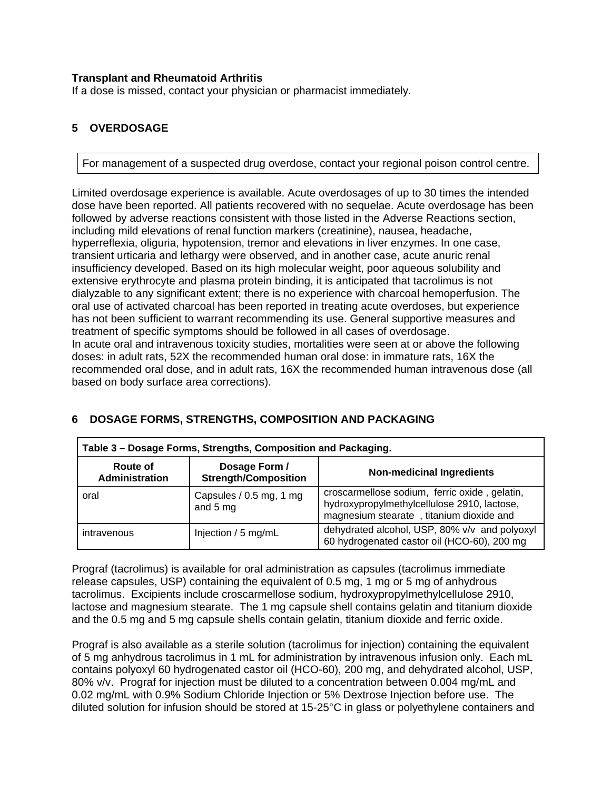### **Transplant and Rheumatoid Arthritis**

If a dose is missed, contact your physician or pharmacist immediately.

### **5 OVERDOSAGE**

For management of a suspected drug overdose, contact your regional poison control centre.

Limited overdosage experience is available. Acute overdosages of up to 30 times the intended dose have been reported. All patients recovered with no sequelae. Acute overdosage has been followed by adverse reactions consistent with those listed in the Adverse Reactions section, including mild elevations of renal function markers (creatinine), nausea, headache, hyperreflexia, oliguria, hypotension, tremor and elevations in liver enzymes. In one case, transient urticaria and lethargy were observed, and in another case, acute anuric renal insufficiency developed. Based on its high molecular weight, poor aqueous solubility and extensive erythrocyte and plasma protein binding, it is anticipated that tacrolimus is not dialyzable to any significant extent; there is no experience with charcoal hemoperfusion. The oral use of activated charcoal has been reported in treating acute overdoses, but experience has not been sufficient to warrant recommending its use. General supportive measures and treatment of specific symptoms should be followed in all cases of overdosage. In acute oral and intravenous toxicity studies, mortalities were seen at or above the following doses: in adult rats, 52X the recommended human oral dose: in immature rats, 16X the recommended oral dose, and in adult rats, 16X the recommended human intravenous dose (all based on body surface area corrections).

| Table 3 - Dosage Forms, Strengths, Composition and Packaging. |                                              |                                                                                                                                          |  |
|---------------------------------------------------------------|----------------------------------------------|------------------------------------------------------------------------------------------------------------------------------------------|--|
| Route of<br>Administration                                    | Dosage Form /<br><b>Strength/Composition</b> | <b>Non-medicinal Ingredients</b>                                                                                                         |  |
| oral                                                          | Capsules / 0.5 mg, 1 mg<br>and 5 mg          | croscarmellose sodium, ferric oxide, gelatin,<br>hydroxypropylmethylcellulose 2910, lactose,<br>magnesium stearate, titanium dioxide and |  |
| intravenous                                                   | Injection / 5 mg/mL                          | dehydrated alcohol, USP, 80% v/v and polyoxyl<br>60 hydrogenated castor oil (HCO-60), 200 mg                                             |  |

### **6 DOSAGE FORMS, STRENGTHS, COMPOSITION AND PACKAGING**

Prograf (tacrolimus) is available for oral administration as capsules (tacrolimus immediate release capsules, USP) containing the equivalent of 0.5 mg, 1 mg or 5 mg of anhydrous tacrolimus. Excipients include croscarmellose sodium, hydroxypropylmethylcellulose 2910, lactose and magnesium stearate. The 1 mg capsule shell contains gelatin and titanium dioxide and the 0.5 mg and 5 mg capsule shells contain gelatin, titanium dioxide and ferric oxide.

Prograf is also available as a sterile solution (tacrolimus for injection) containing the equivalent of 5 mg anhydrous tacrolimus in 1 mL for administration by intravenous infusion only. Each mL contains polyoxyl 60 hydrogenated castor oil (HCO-60), 200 mg, and dehydrated alcohol, USP, 80% v/v. Prograf for injection must be diluted to a concentration between 0.004 mg/mL and 0.02 mg/mL with 0.9% Sodium Chloride Injection or 5% Dextrose Injection before use. The diluted solution for infusion should be stored at 15-25°C in glass or polyethylene containers and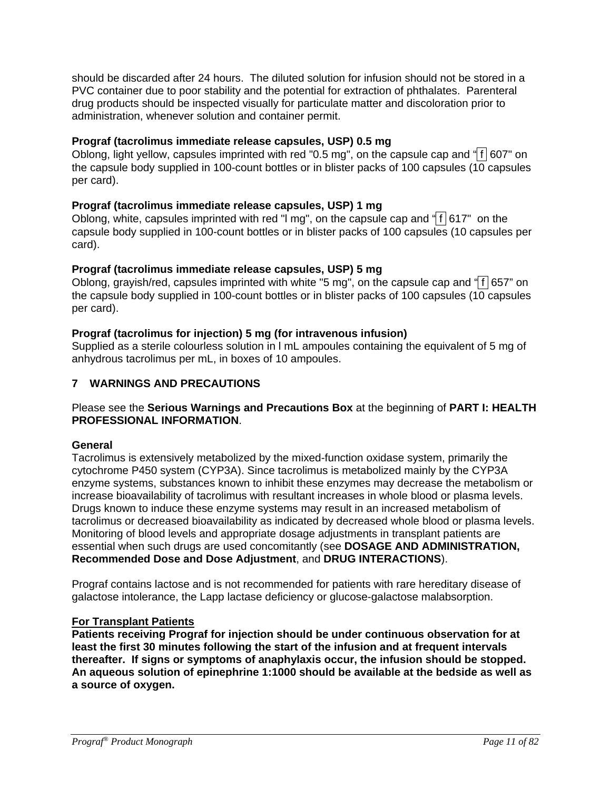should be discarded after 24 hours. The diluted solution for infusion should not be stored in a PVC container due to poor stability and the potential for extraction of phthalates. Parenteral drug products should be inspected visually for particulate matter and discoloration prior to administration, whenever solution and container permit.

### **Prograf (tacrolimus immediate release capsules, USP) 0.5 mg**

Oblong, light yellow, capsules imprinted with red "0.5 mg", on the capsule cap and " $\frac{1}{1607}$ " on the capsule body supplied in 100-count bottles or in blister packs of 100 capsules ( $10$  capsules per card).

### **Prograf (tacrolimus immediate release capsules, USP) 1 mg**

Oblong, white, capsules imprinted with red "I mg", on the capsule cap and " $f$  617" on the capsule body supplied in 100-count bottles or in blister packs of 100 capsules (10 capsules per card).

### **Prograf (tacrolimus immediate release capsules, USP) 5 mg**

Oblong, grayish/red, capsules imprinted with white "5 mg", on the capsule cap and " f 657" on the capsule body supplied in 100-count bottles or in blister packs of 100 capsules (10 capsules per card).

### **Prograf (tacrolimus for injection) 5 mg (for intravenous infusion)**

Supplied as a sterile colourless solution in l mL ampoules containing the equivalent of 5 mg of anhydrous tacrolimus per mL, in boxes of 10 ampoules.

### **7 WARNINGS AND PRECAUTIONS**

### Please see the **Serious Warnings and Precautions Box** at the beginning of **PART I: HEALTH PROFESSIONAL INFORMATION**.

### **General**

Tacrolimus is extensively metabolized by the mixed-function oxidase system, primarily the cytochrome P450 system (CYP3A). Since tacrolimus is metabolized mainly by the CYP3A enzyme systems, substances known to inhibit these enzymes may decrease the metabolism or increase bioavailability of tacrolimus with resultant increases in whole blood or plasma levels. Drugs known to induce these enzyme systems may result in an increased metabolism of tacrolimus or decreased bioavailability as indicated by decreased whole blood or plasma levels. Monitoring of blood levels and appropriate dosage adjustments in transplant patients are essential when such drugs are used concomitantly (see **DOSAGE AND ADMINISTRATION, Recommended Dose and Dose Adjustment**, and **DRUG INTERACTIONS**).

Prograf contains lactose and is not recommended for patients with rare hereditary disease of galactose intolerance, the Lapp lactase deficiency or glucose-galactose malabsorption.

### **For Transplant Patients**

**Patients receiving Prograf for injection should be under continuous observation for at least the first 30 minutes following the start of the infusion and at frequent intervals thereafter. If signs or symptoms of anaphylaxis occur, the infusion should be stopped. An aqueous solution of epinephrine 1:1000 should be available at the bedside as well as a source of oxygen.**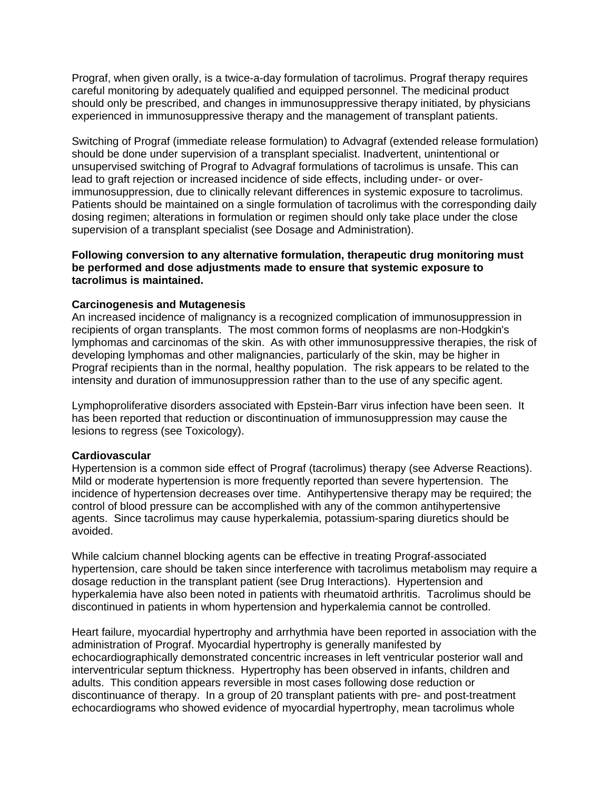Prograf, when given orally, is a twice-a-day formulation of tacrolimus. Prograf therapy requires careful monitoring by adequately qualified and equipped personnel. The medicinal product should only be prescribed, and changes in immunosuppressive therapy initiated, by physicians experienced in immunosuppressive therapy and the management of transplant patients.

Switching of Prograf (immediate release formulation) to Advagraf (extended release formulation) should be done under supervision of a transplant specialist. Inadvertent, unintentional or unsupervised switching of Prograf to Advagraf formulations of tacrolimus is unsafe. This can lead to graft rejection or increased incidence of side effects, including under- or overimmunosuppression, due to clinically relevant differences in systemic exposure to tacrolimus. Patients should be maintained on a single formulation of tacrolimus with the corresponding daily dosing regimen; alterations in formulation or regimen should only take place under the close supervision of a transplant specialist (see Dosage and Administration).

#### **Following conversion to any alternative formulation, therapeutic drug monitoring must be performed and dose adjustments made to ensure that systemic exposure to tacrolimus is maintained.**

#### **Carcinogenesis and Mutagenesis**

An increased incidence of malignancy is a recognized complication of immunosuppression in recipients of organ transplants. The most common forms of neoplasms are non-Hodgkin's lymphomas and carcinomas of the skin. As with other immunosuppressive therapies, the risk of developing lymphomas and other malignancies, particularly of the skin, may be higher in Prograf recipients than in the normal, healthy population. The risk appears to be related to the intensity and duration of immunosuppression rather than to the use of any specific agent.

Lymphoproliferative disorders associated with Epstein-Barr virus infection have been seen. It has been reported that reduction or discontinuation of immunosuppression may cause the lesions to regress (see Toxicology).

#### **Cardiovascular**

Hypertension is a common side effect of Prograf (tacrolimus) therapy (see Adverse Reactions). Mild or moderate hypertension is more frequently reported than severe hypertension. The incidence of hypertension decreases over time. Antihypertensive therapy may be required; the control of blood pressure can be accomplished with any of the common antihypertensive agents. Since tacrolimus may cause hyperkalemia, potassium-sparing diuretics should be avoided.

While calcium channel blocking agents can be effective in treating Prograf-associated hypertension, care should be taken since interference with tacrolimus metabolism may require a dosage reduction in the transplant patient (see Drug Interactions). Hypertension and hyperkalemia have also been noted in patients with rheumatoid arthritis. Tacrolimus should be discontinued in patients in whom hypertension and hyperkalemia cannot be controlled.

Heart failure, myocardial hypertrophy and arrhythmia have been reported in association with the administration of Prograf. Myocardial hypertrophy is generally manifested by echocardiographically demonstrated concentric increases in left ventricular posterior wall and interventricular septum thickness. Hypertrophy has been observed in infants, children and adults. This condition appears reversible in most cases following dose reduction or discontinuance of therapy. In a group of 20 transplant patients with pre- and post-treatment echocardiograms who showed evidence of myocardial hypertrophy, mean tacrolimus whole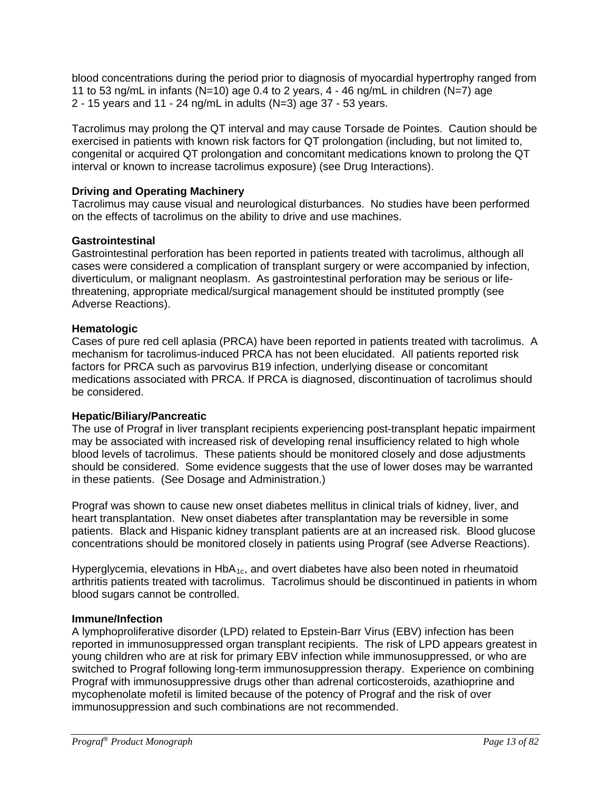blood concentrations during the period prior to diagnosis of myocardial hypertrophy ranged from 11 to 53 ng/mL in infants (N=10) age 0.4 to 2 years,  $4 - 46$  ng/mL in children (N=7) age 2 - 15 years and 11 - 24 ng/mL in adults (N=3) age 37 - 53 years.

Tacrolimus may prolong the QT interval and may cause Torsade de Pointes. Caution should be exercised in patients with known risk factors for QT prolongation (including, but not limited to, congenital or acquired QT prolongation and concomitant medications known to prolong the QT interval or known to increase tacrolimus exposure) (see Drug Interactions).

## **Driving and Operating Machinery**

Tacrolimus may cause visual and neurological disturbances. No studies have been performed on the effects of tacrolimus on the ability to drive and use machines.

### **Gastrointestinal**

Gastrointestinal perforation has been reported in patients treated with tacrolimus, although all cases were considered a complication of transplant surgery or were accompanied by infection, diverticulum, or malignant neoplasm. As gastrointestinal perforation may be serious or lifethreatening, appropriate medical/surgical management should be instituted promptly (see Adverse Reactions).

### **Hematologic**

Cases of pure red cell aplasia (PRCA) have been reported in patients treated with tacrolimus. A mechanism for tacrolimus-induced PRCA has not been elucidated. All patients reported risk factors for PRCA such as parvovirus B19 infection, underlying disease or concomitant medications associated with PRCA. If PRCA is diagnosed, discontinuation of tacrolimus should be considered.

### **Hepatic/Biliary/Pancreatic**

The use of Prograf in liver transplant recipients experiencing post-transplant hepatic impairment may be associated with increased risk of developing renal insufficiency related to high whole blood levels of tacrolimus. These patients should be monitored closely and dose adjustments should be considered. Some evidence suggests that the use of lower doses may be warranted in these patients. (See Dosage and Administration.)

Prograf was shown to cause new onset diabetes mellitus in clinical trials of kidney, liver, and heart transplantation. New onset diabetes after transplantation may be reversible in some patients. Black and Hispanic kidney transplant patients are at an increased risk. Blood glucose concentrations should be monitored closely in patients using Prograf (see Adverse Reactions).

Hyperglycemia, elevations in HbA<sub>1c</sub>, and overt diabetes have also been noted in rheumatoid arthritis patients treated with tacrolimus. Tacrolimus should be discontinued in patients in whom blood sugars cannot be controlled.

### **Immune/Infection**

A lymphoproliferative disorder (LPD) related to Epstein-Barr Virus (EBV) infection has been reported in immunosuppressed organ transplant recipients. The risk of LPD appears greatest in young children who are at risk for primary EBV infection while immunosuppressed, or who are switched to Prograf following long-term immunosuppression therapy. Experience on combining Prograf with immunosuppressive drugs other than adrenal corticosteroids, azathioprine and mycophenolate mofetil is limited because of the potency of Prograf and the risk of over immunosuppression and such combinations are not recommended.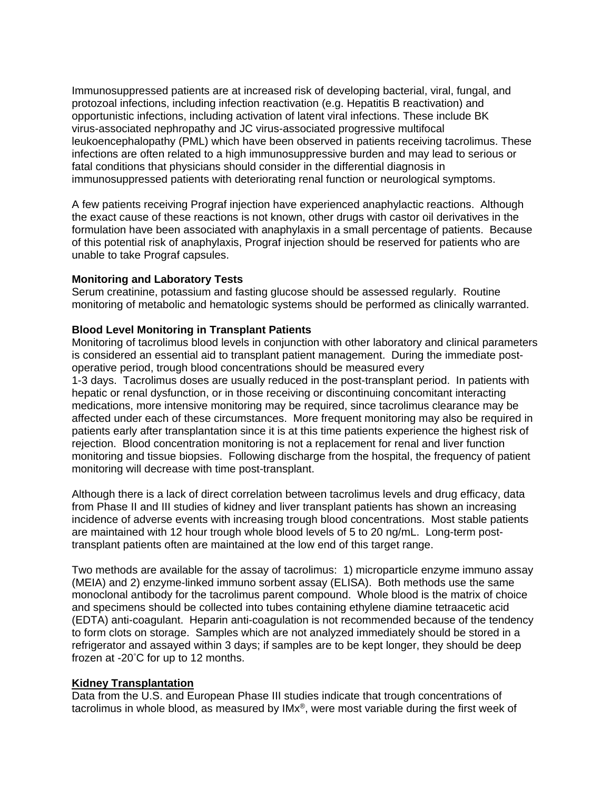Immunosuppressed patients are at increased risk of developing bacterial, viral, fungal, and protozoal infections, including infection reactivation (e.g. Hepatitis B reactivation) and opportunistic infections, including activation of latent viral infections. These include BK virus-associated nephropathy and JC virus-associated progressive multifocal leukoencephalopathy (PML) which have been observed in patients receiving tacrolimus. These infections are often related to a high immunosuppressive burden and may lead to serious or fatal conditions that physicians should consider in the differential diagnosis in immunosuppressed patients with deteriorating renal function or neurological symptoms.

A few patients receiving Prograf injection have experienced anaphylactic reactions. Although the exact cause of these reactions is not known, other drugs with castor oil derivatives in the formulation have been associated with anaphylaxis in a small percentage of patients. Because of this potential risk of anaphylaxis, Prograf injection should be reserved for patients who are unable to take Prograf capsules.

#### **Monitoring and Laboratory Tests**

Serum creatinine, potassium and fasting glucose should be assessed regularly. Routine monitoring of metabolic and hematologic systems should be performed as clinically warranted.

#### **Blood Level Monitoring in Transplant Patients**

Monitoring of tacrolimus blood levels in conjunction with other laboratory and clinical parameters is considered an essential aid to transplant patient management. During the immediate postoperative period, trough blood concentrations should be measured every 1-3 days. Tacrolimus doses are usually reduced in the post-transplant period. In patients with hepatic or renal dysfunction, or in those receiving or discontinuing concomitant interacting medications, more intensive monitoring may be required, since tacrolimus clearance may be affected under each of these circumstances. More frequent monitoring may also be required in patients early after transplantation since it is at this time patients experience the highest risk of rejection. Blood concentration monitoring is not a replacement for renal and liver function monitoring and tissue biopsies. Following discharge from the hospital, the frequency of patient monitoring will decrease with time post-transplant.

Although there is a lack of direct correlation between tacrolimus levels and drug efficacy, data from Phase II and III studies of kidney and liver transplant patients has shown an increasing incidence of adverse events with increasing trough blood concentrations. Most stable patients are maintained with 12 hour trough whole blood levels of 5 to 20 ng/mL. Long-term posttransplant patients often are maintained at the low end of this target range.

Two methods are available for the assay of tacrolimus: 1) microparticle enzyme immuno assay (MEIA) and 2) enzyme-linked immuno sorbent assay (ELISA). Both methods use the same monoclonal antibody for the tacrolimus parent compound. Whole blood is the matrix of choice and specimens should be collected into tubes containing ethylene diamine tetraacetic acid (EDTA) anti-coagulant. Heparin anti-coagulation is not recommended because of the tendency to form clots on storage. Samples which are not analyzed immediately should be stored in a refrigerator and assayed within 3 days; if samples are to be kept longer, they should be deep frozen at -20° C for up to 12 months.

#### **Kidney Transplantation**

Data from the U.S. and European Phase III studies indicate that trough concentrations of tacrolimus in whole blood, as measured by IMx®, were most variable during the first week of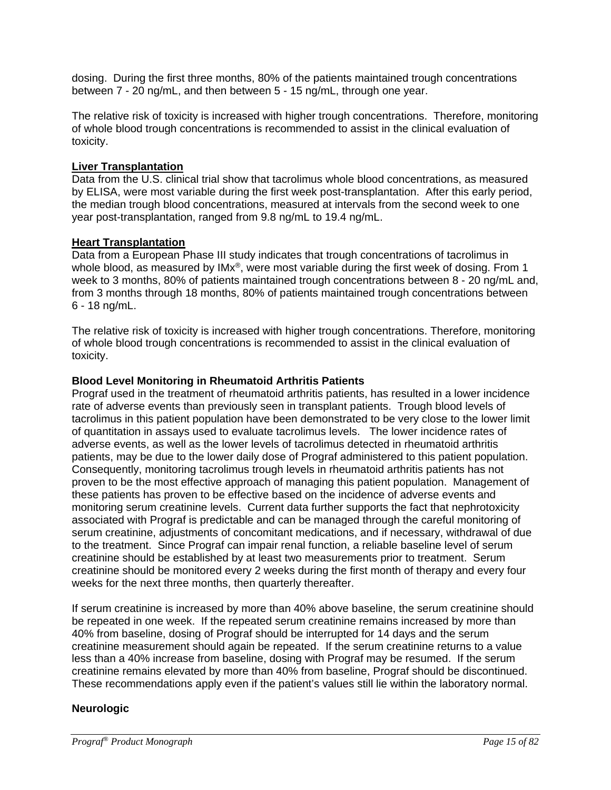dosing. During the first three months, 80% of the patients maintained trough concentrations between 7 - 20 ng/mL, and then between 5 - 15 ng/mL, through one year.

The relative risk of toxicity is increased with higher trough concentrations. Therefore, monitoring of whole blood trough concentrations is recommended to assist in the clinical evaluation of toxicity.

### **Liver Transplantation**

Data from the U.S. clinical trial show that tacrolimus whole blood concentrations, as measured by ELISA, were most variable during the first week post-transplantation. After this early period, the median trough blood concentrations, measured at intervals from the second week to one year post-transplantation, ranged from 9.8 ng/mL to 19.4 ng/mL.

### **Heart Transplantation**

Data from a European Phase III study indicates that trough concentrations of tacrolimus in whole blood, as measured by IMx®, were most variable during the first week of dosing. From 1 week to 3 months, 80% of patients maintained trough concentrations between 8 - 20 ng/mL and, from 3 months through 18 months, 80% of patients maintained trough concentrations between 6 - 18 ng/mL.

The relative risk of toxicity is increased with higher trough concentrations. Therefore, monitoring of whole blood trough concentrations is recommended to assist in the clinical evaluation of toxicity.

### **Blood Level Monitoring in Rheumatoid Arthritis Patients**

Prograf used in the treatment of rheumatoid arthritis patients, has resulted in a lower incidence rate of adverse events than previously seen in transplant patients. Trough blood levels of tacrolimus in this patient population have been demonstrated to be very close to the lower limit of quantitation in assays used to evaluate tacrolimus levels. The lower incidence rates of adverse events, as well as the lower levels of tacrolimus detected in rheumatoid arthritis patients, may be due to the lower daily dose of Prograf administered to this patient population. Consequently, monitoring tacrolimus trough levels in rheumatoid arthritis patients has not proven to be the most effective approach of managing this patient population. Management of these patients has proven to be effective based on the incidence of adverse events and monitoring serum creatinine levels. Current data further supports the fact that nephrotoxicity associated with Prograf is predictable and can be managed through the careful monitoring of serum creatinine, adjustments of concomitant medications, and if necessary, withdrawal of due to the treatment. Since Prograf can impair renal function, a reliable baseline level of serum creatinine should be established by at least two measurements prior to treatment. Serum creatinine should be monitored every 2 weeks during the first month of therapy and every four weeks for the next three months, then quarterly thereafter.

If serum creatinine is increased by more than 40% above baseline, the serum creatinine should be repeated in one week. If the repeated serum creatinine remains increased by more than 40% from baseline, dosing of Prograf should be interrupted for 14 days and the serum creatinine measurement should again be repeated. If the serum creatinine returns to a value less than a 40% increase from baseline, dosing with Prograf may be resumed. If the serum creatinine remains elevated by more than 40% from baseline, Prograf should be discontinued. These recommendations apply even if the patient's values still lie within the laboratory normal.

### **Neurologic**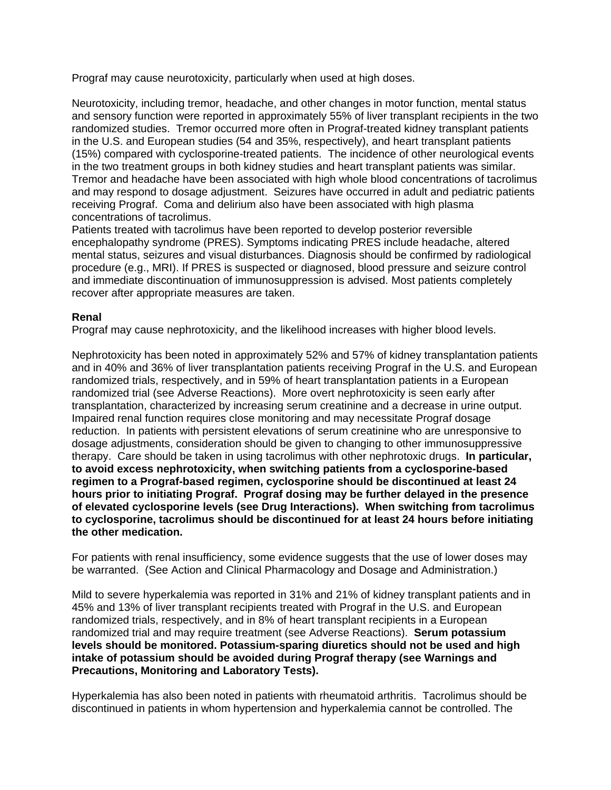Prograf may cause neurotoxicity, particularly when used at high doses.

Neurotoxicity, including tremor, headache, and other changes in motor function, mental status and sensory function were reported in approximately 55% of liver transplant recipients in the two randomized studies. Tremor occurred more often in Prograf-treated kidney transplant patients in the U.S. and European studies (54 and 35%, respectively), and heart transplant patients (15%) compared with cyclosporine-treated patients. The incidence of other neurological events in the two treatment groups in both kidney studies and heart transplant patients was similar. Tremor and headache have been associated with high whole blood concentrations of tacrolimus and may respond to dosage adjustment. Seizures have occurred in adult and pediatric patients receiving Prograf. Coma and delirium also have been associated with high plasma concentrations of tacrolimus.

Patients treated with tacrolimus have been reported to develop posterior reversible encephalopathy syndrome (PRES). Symptoms indicating PRES include headache, altered mental status, seizures and visual disturbances. Diagnosis should be confirmed by radiological procedure (e.g., MRI). If PRES is suspected or diagnosed, blood pressure and seizure control and immediate discontinuation of immunosuppression is advised. Most patients completely recover after appropriate measures are taken.

#### **Renal**

Prograf may cause nephrotoxicity, and the likelihood increases with higher blood levels.

Nephrotoxicity has been noted in approximately 52% and 57% of kidney transplantation patients and in 40% and 36% of liver transplantation patients receiving Prograf in the U.S. and European randomized trials, respectively, and in 59% of heart transplantation patients in a European randomized trial (see Adverse Reactions). More overt nephrotoxicity is seen early after transplantation, characterized by increasing serum creatinine and a decrease in urine output. Impaired renal function requires close monitoring and may necessitate Prograf dosage reduction. In patients with persistent elevations of serum creatinine who are unresponsive to dosage adjustments, consideration should be given to changing to other immunosuppressive therapy. Care should be taken in using tacrolimus with other nephrotoxic drugs. **In particular, to avoid excess nephrotoxicity, when switching patients from a cyclosporine-based regimen to a Prograf-based regimen, cyclosporine should be discontinued at least 24 hours prior to initiating Prograf. Prograf dosing may be further delayed in the presence of elevated cyclosporine levels (see Drug Interactions). When switching from tacrolimus to cyclosporine, tacrolimus should be discontinued for at least 24 hours before initiating the other medication.**

For patients with renal insufficiency, some evidence suggests that the use of lower doses may be warranted. (See Action and Clinical Pharmacology and Dosage and Administration.)

Mild to severe hyperkalemia was reported in 31% and 21% of kidney transplant patients and in 45% and 13% of liver transplant recipients treated with Prograf in the U.S. and European randomized trials, respectively, and in 8% of heart transplant recipients in a European randomized trial and may require treatment (see Adverse Reactions). **Serum potassium levels should be monitored. Potassium-sparing diuretics should not be used and high intake of potassium should be avoided during Prograf therapy (see Warnings and Precautions, Monitoring and Laboratory Tests).**

Hyperkalemia has also been noted in patients with rheumatoid arthritis. Tacrolimus should be discontinued in patients in whom hypertension and hyperkalemia cannot be controlled. The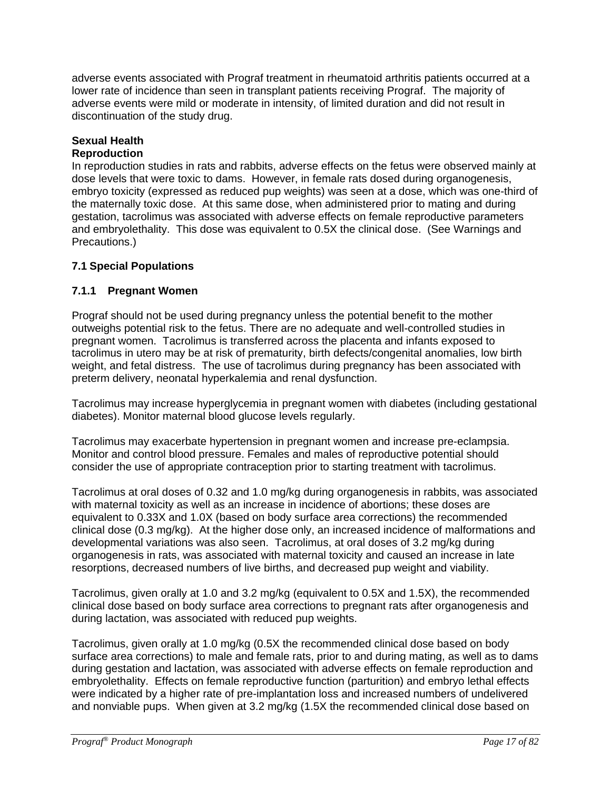adverse events associated with Prograf treatment in rheumatoid arthritis patients occurred at a lower rate of incidence than seen in transplant patients receiving Prograf. The majority of adverse events were mild or moderate in intensity, of limited duration and did not result in discontinuation of the study drug.

# **Sexual Health**

### **Reproduction**

In reproduction studies in rats and rabbits, adverse effects on the fetus were observed mainly at dose levels that were toxic to dams. However, in female rats dosed during organogenesis, embryo toxicity (expressed as reduced pup weights) was seen at a dose, which was one-third of the maternally toxic dose. At this same dose, when administered prior to mating and during gestation, tacrolimus was associated with adverse effects on female reproductive parameters and embryolethality. This dose was equivalent to 0.5X the clinical dose. (See Warnings and Precautions.)

# **7.1 Special Populations**

### **7.1.1 Pregnant Women**

Prograf should not be used during pregnancy unless the potential benefit to the mother outweighs potential risk to the fetus. There are no adequate and well-controlled studies in pregnant women. Tacrolimus is transferred across the placenta and infants exposed to tacrolimus in utero may be at risk of prematurity, birth defects/congenital anomalies, low birth weight, and fetal distress. The use of tacrolimus during pregnancy has been associated with preterm delivery, neonatal hyperkalemia and renal dysfunction.

Tacrolimus may increase hyperglycemia in pregnant women with diabetes (including gestational diabetes). Monitor maternal blood glucose levels regularly.

Tacrolimus may exacerbate hypertension in pregnant women and increase pre-eclampsia. Monitor and control blood pressure. Females and males of reproductive potential should consider the use of appropriate contraception prior to starting treatment with tacrolimus.

Tacrolimus at oral doses of 0.32 and 1.0 mg/kg during organogenesis in rabbits, was associated with maternal toxicity as well as an increase in incidence of abortions; these doses are equivalent to 0.33X and 1.0X (based on body surface area corrections) the recommended clinical dose (0.3 mg/kg). At the higher dose only, an increased incidence of malformations and developmental variations was also seen. Tacrolimus, at oral doses of 3.2 mg/kg during organogenesis in rats, was associated with maternal toxicity and caused an increase in late resorptions, decreased numbers of live births, and decreased pup weight and viability.

Tacrolimus, given orally at 1.0 and 3.2 mg/kg (equivalent to 0.5X and 1.5X), the recommended clinical dose based on body surface area corrections to pregnant rats after organogenesis and during lactation, was associated with reduced pup weights.

Tacrolimus, given orally at 1.0 mg/kg (0.5X the recommended clinical dose based on body surface area corrections) to male and female rats, prior to and during mating, as well as to dams during gestation and lactation, was associated with adverse effects on female reproduction and embryolethality. Effects on female reproductive function (parturition) and embryo lethal effects were indicated by a higher rate of pre-implantation loss and increased numbers of undelivered and nonviable pups. When given at 3.2 mg/kg (1.5X the recommended clinical dose based on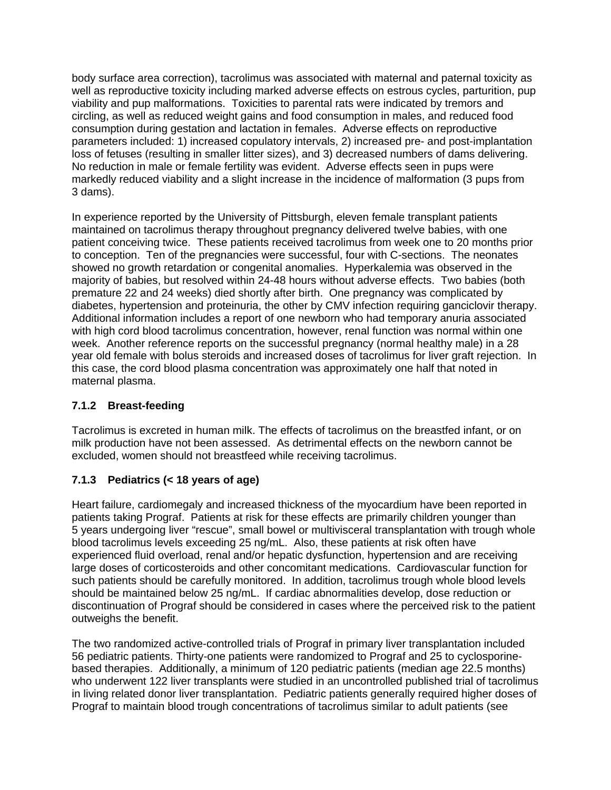body surface area correction), tacrolimus was associated with maternal and paternal toxicity as well as reproductive toxicity including marked adverse effects on estrous cycles, parturition, pup viability and pup malformations. Toxicities to parental rats were indicated by tremors and circling, as well as reduced weight gains and food consumption in males, and reduced food consumption during gestation and lactation in females. Adverse effects on reproductive parameters included: 1) increased copulatory intervals, 2) increased pre- and post-implantation loss of fetuses (resulting in smaller litter sizes), and 3) decreased numbers of dams delivering. No reduction in male or female fertility was evident. Adverse effects seen in pups were markedly reduced viability and a slight increase in the incidence of malformation (3 pups from 3 dams).

In experience reported by the University of Pittsburgh, eleven female transplant patients maintained on tacrolimus therapy throughout pregnancy delivered twelve babies, with one patient conceiving twice. These patients received tacrolimus from week one to 20 months prior to conception. Ten of the pregnancies were successful, four with C-sections. The neonates showed no growth retardation or congenital anomalies. Hyperkalemia was observed in the majority of babies, but resolved within 24-48 hours without adverse effects. Two babies (both premature 22 and 24 weeks) died shortly after birth. One pregnancy was complicated by diabetes, hypertension and proteinuria, the other by CMV infection requiring ganciclovir therapy. Additional information includes a report of one newborn who had temporary anuria associated with high cord blood tacrolimus concentration, however, renal function was normal within one week. Another reference reports on the successful pregnancy (normal healthy male) in a 28 year old female with bolus steroids and increased doses of tacrolimus for liver graft rejection. In this case, the cord blood plasma concentration was approximately one half that noted in maternal plasma.

# **7.1.2 Breast-feeding**

Tacrolimus is excreted in human milk. The effects of tacrolimus on the breastfed infant, or on milk production have not been assessed. As detrimental effects on the newborn cannot be excluded, women should not breastfeed while receiving tacrolimus.

# **7.1.3 Pediatrics (< 18 years of age)**

Heart failure, cardiomegaly and increased thickness of the myocardium have been reported in patients taking Prograf. Patients at risk for these effects are primarily children younger than 5 years undergoing liver "rescue", small bowel or multivisceral transplantation with trough whole blood tacrolimus levels exceeding 25 ng/mL. Also, these patients at risk often have experienced fluid overload, renal and/or hepatic dysfunction, hypertension and are receiving large doses of corticosteroids and other concomitant medications. Cardiovascular function for such patients should be carefully monitored. In addition, tacrolimus trough whole blood levels should be maintained below 25 ng/mL. If cardiac abnormalities develop, dose reduction or discontinuation of Prograf should be considered in cases where the perceived risk to the patient outweighs the benefit.

The two randomized active-controlled trials of Prograf in primary liver transplantation included 56 pediatric patients. Thirty-one patients were randomized to Prograf and 25 to cyclosporinebased therapies. Additionally, a minimum of 120 pediatric patients (median age 22.5 months) who underwent 122 liver transplants were studied in an uncontrolled published trial of tacrolimus in living related donor liver transplantation. Pediatric patients generally required higher doses of Prograf to maintain blood trough concentrations of tacrolimus similar to adult patients (see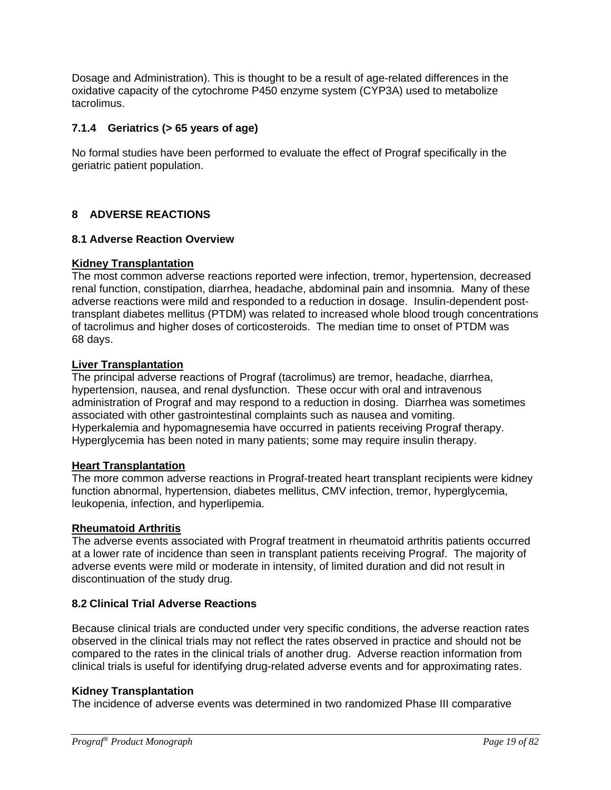Dosage and Administration). This is thought to be a result of age-related differences in the oxidative capacity of the cytochrome P450 enzyme system (CYP3A) used to metabolize tacrolimus.

### **7.1.4 Geriatrics (> 65 years of age)**

No formal studies have been performed to evaluate the effect of Prograf specifically in the geriatric patient population.

### **8 ADVERSE REACTIONS**

#### **8.1 Adverse Reaction Overview**

#### **Kidney Transplantation**

The most common adverse reactions reported were infection, tremor, hypertension, decreased renal function, constipation, diarrhea, headache, abdominal pain and insomnia. Many of these adverse reactions were mild and responded to a reduction in dosage. Insulin-dependent posttransplant diabetes mellitus (PTDM) was related to increased whole blood trough concentrations of tacrolimus and higher doses of corticosteroids. The median time to onset of PTDM was 68 days.

#### **Liver Transplantation**

The principal adverse reactions of Prograf (tacrolimus) are tremor, headache, diarrhea, hypertension, nausea, and renal dysfunction. These occur with oral and intravenous administration of Prograf and may respond to a reduction in dosing. Diarrhea was sometimes associated with other gastrointestinal complaints such as nausea and vomiting. Hyperkalemia and hypomagnesemia have occurred in patients receiving Prograf therapy. Hyperglycemia has been noted in many patients; some may require insulin therapy.

#### **Heart Transplantation**

The more common adverse reactions in Prograf-treated heart transplant recipients were kidney function abnormal, hypertension, diabetes mellitus, CMV infection, tremor, hyperglycemia, leukopenia, infection, and hyperlipemia.

#### **Rheumatoid Arthritis**

The adverse events associated with Prograf treatment in rheumatoid arthritis patients occurred at a lower rate of incidence than seen in transplant patients receiving Prograf. The majority of adverse events were mild or moderate in intensity, of limited duration and did not result in discontinuation of the study drug.

### **8.2 Clinical Trial Adverse Reactions**

Because clinical trials are conducted under very specific conditions, the adverse reaction rates observed in the clinical trials may not reflect the rates observed in practice and should not be compared to the rates in the clinical trials of another drug. Adverse reaction information from clinical trials is useful for identifying drug-related adverse events and for approximating rates.

#### **Kidney Transplantation**

The incidence of adverse events was determined in two randomized Phase III comparative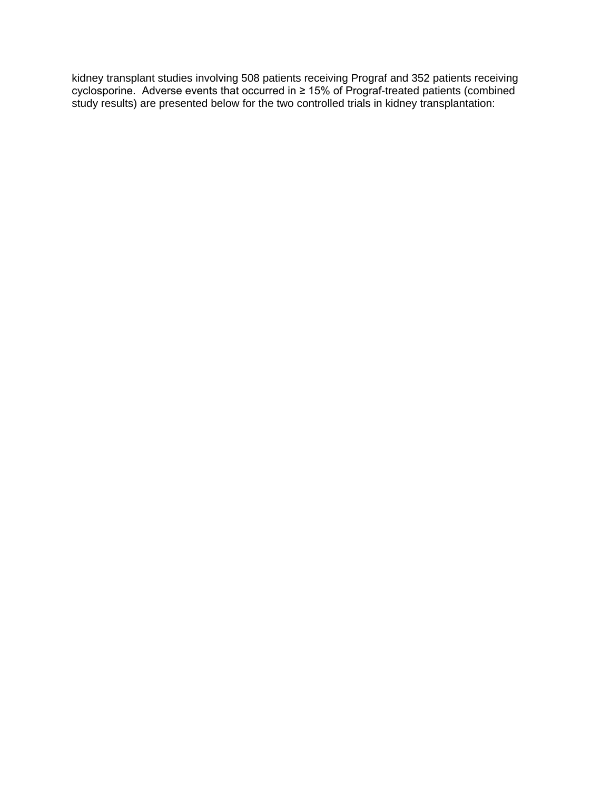kidney transplant studies involving 508 patients receiving Prograf and 352 patients receiving cyclosporine. Adverse events that occurred in ≥ 15% of Prograf-treated patients (combined study results) are presented below for the two controlled trials in kidney transplantation: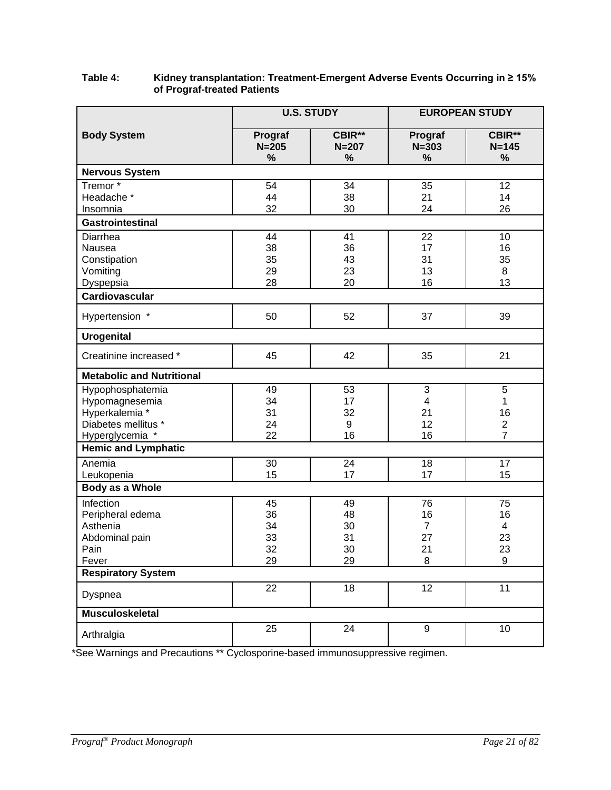|                                    |                      | <b>U.S. STUDY</b>   |                      | <b>EUROPEAN STUDY</b> |
|------------------------------------|----------------------|---------------------|----------------------|-----------------------|
| <b>Body System</b>                 | Prograf<br>$N = 205$ | CBIR**<br>$N = 207$ | Prograf<br>$N = 303$ | CBIR**<br>$N = 145$   |
| <b>Nervous System</b>              | %                    | %                   | %                    | $\%$                  |
| Tremor*                            | 54                   | 34                  | 35                   | 12                    |
| Headache *                         | 44                   | 38                  | 21                   | 14                    |
| Insomnia                           | 32                   | 30                  | 24                   | 26                    |
| <b>Gastrointestinal</b>            |                      |                     |                      |                       |
| Diarrhea                           | 44                   | 41                  | 22                   | 10                    |
| Nausea                             | 38                   | 36                  | 17                   | 16                    |
| Constipation                       | 35                   | 43                  | 31                   | 35                    |
| Vomiting                           | 29                   | 23                  | 13                   | 8                     |
| Dyspepsia                          | 28                   | 20                  | 16                   | 13                    |
| Cardiovascular                     |                      |                     |                      |                       |
| Hypertension *                     | 50                   | 52                  | 37                   | 39                    |
| <b>Urogenital</b>                  |                      |                     |                      |                       |
| Creatinine increased *             | 45                   | 42                  | 35                   | 21                    |
| <b>Metabolic and Nutritional</b>   |                      |                     |                      |                       |
| Hypophosphatemia                   | 49                   | 53                  | 3                    | 5                     |
| Hypomagnesemia                     | 34                   | 17                  | 4                    | 1                     |
| Hyperkalemia *                     | 31                   | 32                  | 21                   | 16                    |
| Diabetes mellitus *                | 24                   | 9                   | 12                   | $\overline{2}$        |
| Hyperglycemia *                    | 22                   | 16                  | 16                   | $\overline{7}$        |
| <b>Hemic and Lymphatic</b>         |                      |                     |                      |                       |
| Anemia                             | 30                   | 24                  | 18                   | 17                    |
| Leukopenia                         | 15                   | 17                  | 17                   | 15                    |
| Body as a Whole                    |                      |                     |                      |                       |
| Infection                          | 45                   | 49                  | 76                   | 75                    |
| Peripheral edema                   | 36                   | 48                  | 16                   | 16                    |
| Asthenia                           | 34                   | 30                  | $\overline{7}$       | 4                     |
| Abdominal pain                     | 33                   | 31                  | 27                   | 23                    |
| Pain                               | 32<br>29             | 30<br>29            | 21<br>8              | 23<br>9               |
| Fever<br><b>Respiratory System</b> |                      |                     |                      |                       |
|                                    | 22                   | 18                  | 12                   | $\overline{11}$       |
| Dyspnea                            |                      |                     |                      |                       |
| <b>Musculoskeletal</b>             |                      |                     |                      |                       |
| Arthralgia                         | $\overline{25}$      | $\overline{24}$     | $\overline{9}$       | $\overline{10}$       |

#### **Table 4: Kidney transplantation: Treatment-Emergent Adverse Events Occurring in ≥ 15% of Prograf-treated Patients**

\*See Warnings and Precautions \*\* Cyclosporine-based immunosuppressive regimen.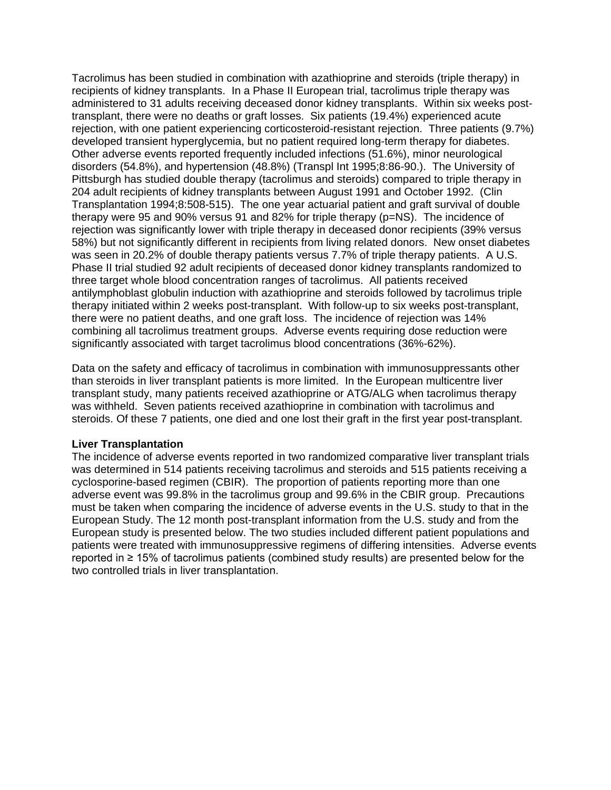Tacrolimus has been studied in combination with azathioprine and steroids (triple therapy) in recipients of kidney transplants. In a Phase II European trial, tacrolimus triple therapy was administered to 31 adults receiving deceased donor kidney transplants. Within six weeks posttransplant, there were no deaths or graft losses. Six patients (19.4%) experienced acute rejection, with one patient experiencing corticosteroid-resistant rejection. Three patients (9.7%) developed transient hyperglycemia, but no patient required long-term therapy for diabetes. Other adverse events reported frequently included infections (51.6%), minor neurological disorders (54.8%), and hypertension (48.8%) (Transpl Int 1995;8:86-90.). The University of Pittsburgh has studied double therapy (tacrolimus and steroids) compared to triple therapy in 204 adult recipients of kidney transplants between August 1991 and October 1992. (Clin Transplantation 1994;8:508-515). The one year actuarial patient and graft survival of double therapy were 95 and 90% versus 91 and 82% for triple therapy (p=NS). The incidence of rejection was significantly lower with triple therapy in deceased donor recipients (39% versus 58%) but not significantly different in recipients from living related donors. New onset diabetes was seen in 20.2% of double therapy patients versus 7.7% of triple therapy patients. A U.S. Phase II trial studied 92 adult recipients of deceased donor kidney transplants randomized to three target whole blood concentration ranges of tacrolimus. All patients received antilymphoblast globulin induction with azathioprine and steroids followed by tacrolimus triple therapy initiated within 2 weeks post-transplant. With follow-up to six weeks post-transplant, there were no patient deaths, and one graft loss. The incidence of rejection was 14% combining all tacrolimus treatment groups. Adverse events requiring dose reduction were significantly associated with target tacrolimus blood concentrations (36%-62%).

Data on the safety and efficacy of tacrolimus in combination with immunosuppressants other than steroids in liver transplant patients is more limited. In the European multicentre liver transplant study, many patients received azathioprine or ATG/ALG when tacrolimus therapy was withheld. Seven patients received azathioprine in combination with tacrolimus and steroids. Of these 7 patients, one died and one lost their graft in the first year post-transplant.

#### **Liver Transplantation**

The incidence of adverse events reported in two randomized comparative liver transplant trials was determined in 514 patients receiving tacrolimus and steroids and 515 patients receiving a cyclosporine-based regimen (CBIR). The proportion of patients reporting more than one adverse event was 99.8% in the tacrolimus group and 99.6% in the CBIR group. Precautions must be taken when comparing the incidence of adverse events in the U.S. study to that in the European Study. The 12 month post-transplant information from the U.S. study and from the European study is presented below. The two studies included different patient populations and patients were treated with immunosuppressive regimens of differing intensities. Adverse events reported in ≥ 15% of tacrolimus patients (combined study results) are presented below for the two controlled trials in liver transplantation.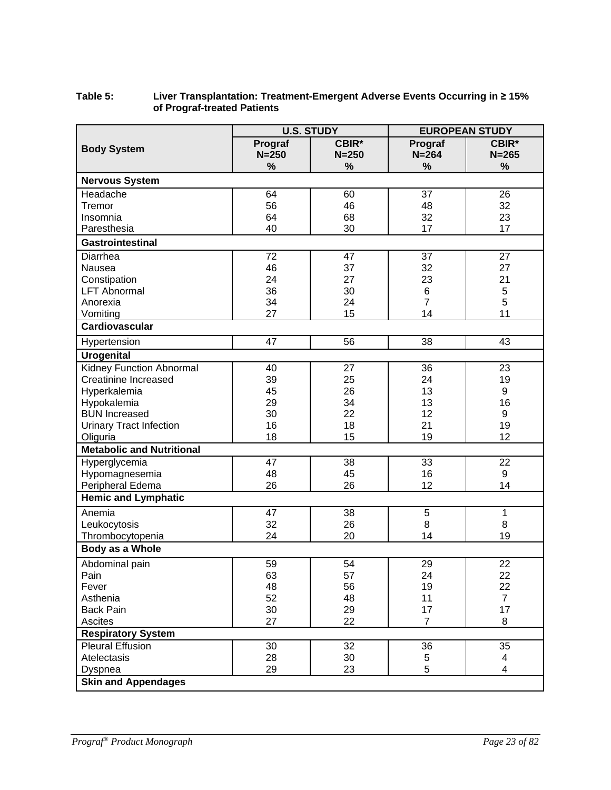#### **Table 5: Liver Transplantation: Treatment-Emergent Adverse Events Occurring in ≥ 15% of Prograf-treated Patients**

|                                  |           | <b>U.S. STUDY</b> |                | <b>EUROPEAN STUDY</b> |
|----------------------------------|-----------|-------------------|----------------|-----------------------|
| <b>Body System</b>               | Prograf   | <b>CBIR*</b>      | Prograf        | CBIR*                 |
|                                  | $N = 250$ | $N = 250$         | $N = 264$      | $N = 265$             |
|                                  | %         | %                 | %              | %                     |
| <b>Nervous System</b>            |           |                   |                |                       |
| Headache                         | 64        | 60                | 37             | 26                    |
| Tremor                           | 56        | 46                | 48             | 32                    |
| Insomnia                         | 64        | 68                | 32             | 23                    |
| Paresthesia                      | 40        | 30                | 17             | 17                    |
| <b>Gastrointestinal</b>          |           |                   |                |                       |
| Diarrhea                         | 72        | 47                | 37             | 27                    |
| Nausea                           | 46        | 37                | 32             | 27                    |
| Constipation                     | 24        | 27                | 23             | 21                    |
| <b>LFT Abnormal</b>              | 36        | 30                | 6              | 5                     |
| Anorexia                         | 34        | 24                | $\overline{7}$ | 5                     |
| Vomiting                         | 27        | 15                | 14             | 11                    |
| <b>Cardiovascular</b>            |           |                   |                |                       |
| Hypertension                     | 47        | 56                | 38             | 43                    |
| <b>Urogenital</b>                |           |                   |                |                       |
| <b>Kidney Function Abnormal</b>  | 40        | 27                | 36             | 23                    |
| <b>Creatinine Increased</b>      | 39        | 25                | 24             | 19                    |
| Hyperkalemia                     | 45        | 26                | 13             | 9                     |
| Hypokalemia                      | 29        | 34                | 13             | 16                    |
| <b>BUN Increased</b>             | 30        | 22                | 12             | 9                     |
| <b>Urinary Tract Infection</b>   | 16        | 18                | 21             | 19                    |
| Oliguria                         | 18        | 15                | 19             | 12                    |
| <b>Metabolic and Nutritional</b> |           |                   |                |                       |
| Hyperglycemia                    | 47        | 38                | 33             | 22                    |
| Hypomagnesemia                   | 48        | 45                | 16             | 9                     |
| Peripheral Edema                 | 26        | 26                | 12             | 14                    |
| <b>Hemic and Lymphatic</b>       |           |                   |                |                       |
| Anemia                           | 47        | 38                | $\sqrt{5}$     | $\mathbf{1}$          |
| Leukocytosis                     | 32        | 26                | 8              | 8                     |
| Thrombocytopenia                 | 24        | 20                | 14             | 19                    |
| Body as a Whole                  |           |                   |                |                       |
| Abdominal pain                   | 59        | 54                | 29             | 22                    |
| Pain                             | 63        | 57                | 24             | 22                    |
| Fever                            | 48        | 56                | 19             | 22                    |
| Asthenia                         | 52        | 48                | 11             | $\overline{7}$        |
| <b>Back Pain</b>                 | 30        | 29                | 17             | 17                    |
| <b>Ascites</b>                   | 27        | 22                | $\overline{7}$ | 8                     |
| <b>Respiratory System</b>        |           |                   |                |                       |
| <b>Pleural Effusion</b>          | 30        | 32                | 36             | 35                    |
| Atelectasis                      | 28        | 30                | 5              | 4                     |
| Dyspnea                          | 29        | 23                | 5              | 4                     |
| <b>Skin and Appendages</b>       |           |                   |                |                       |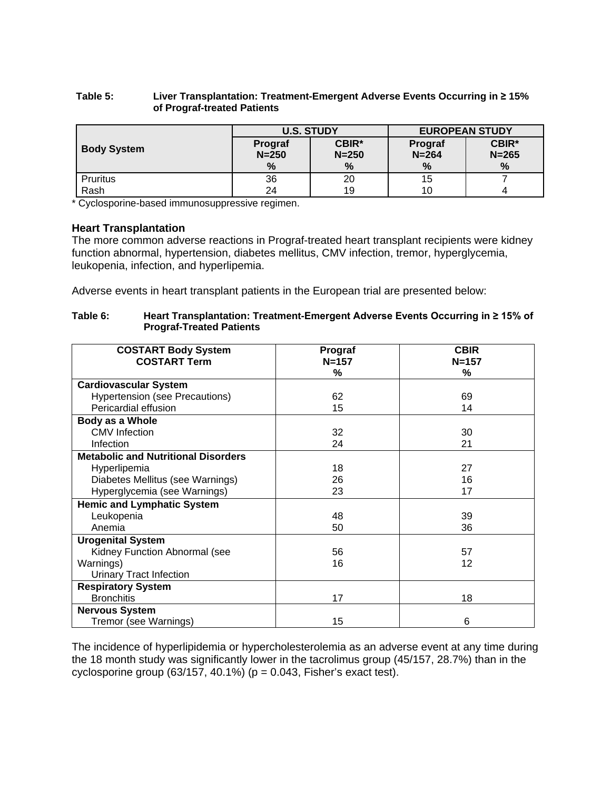#### **Table 5: Liver Transplantation: Treatment-Emergent Adverse Events Occurring in ≥ 15% of Prograf-treated Patients**

|                    | <b>U.S. STUDY</b>    |                    | <b>EUROPEAN STUDY</b> |                           |
|--------------------|----------------------|--------------------|-----------------------|---------------------------|
| <b>Body System</b> | Prograf<br>$N = 250$ | CBIR*<br>$N = 250$ | Prograf<br>$N = 264$  | <b>CBIR*</b><br>$N = 265$ |
|                    | %                    | %                  | $\%$                  | %                         |
| Pruritus           | 36                   | 20                 | 15                    |                           |
| Rash               | 24                   | 19                 | 10                    |                           |

\* Cyclosporine-based immunosuppressive regimen.

#### **Heart Transplantation**

The more common adverse reactions in Prograf-treated heart transplant recipients were kidney function abnormal, hypertension, diabetes mellitus, CMV infection, tremor, hyperglycemia, leukopenia, infection, and hyperlipemia.

Adverse events in heart transplant patients in the European trial are presented below:

#### **Table 6: Heart Transplantation: Treatment-Emergent Adverse Events Occurring in ≥ 15% of Prograf-Treated Patients**

| <b>COSTART Body System</b>                 | Prograf   | <b>CBIR</b> |
|--------------------------------------------|-----------|-------------|
| <b>COSTART Term</b>                        | $N = 157$ | $N = 157$   |
|                                            | %         | %           |
| <b>Cardiovascular System</b>               |           |             |
| <b>Hypertension (see Precautions)</b>      | 62        | 69          |
| Pericardial effusion                       | 15        | 14          |
| Body as a Whole                            |           |             |
| <b>CMV</b> Infection                       | 32        | 30          |
| Infection                                  | 24        | 21          |
| <b>Metabolic and Nutritional Disorders</b> |           |             |
| Hyperlipemia                               | 18        | 27          |
| Diabetes Mellitus (see Warnings)           | 26        | 16          |
| Hyperglycemia (see Warnings)               | 23        | 17          |
| <b>Hemic and Lymphatic System</b>          |           |             |
| Leukopenia                                 | 48        | 39          |
| Anemia                                     | 50        | 36          |
| <b>Urogenital System</b>                   |           |             |
| Kidney Function Abnormal (see              | 56        | 57          |
| Warnings)                                  | 16        | 12          |
| <b>Urinary Tract Infection</b>             |           |             |
| <b>Respiratory System</b>                  |           |             |
| <b>Bronchitis</b>                          | 17        | 18          |
| <b>Nervous System</b>                      |           |             |
| Tremor (see Warnings)                      | 15        | 6           |

The incidence of hyperlipidemia or hypercholesterolemia as an adverse event at any time during the 18 month study was significantly lower in the tacrolimus group (45/157, 28.7%) than in the cyclosporine group  $(63/157, 40.1\%)$  ( $p = 0.043$ , Fisher's exact test).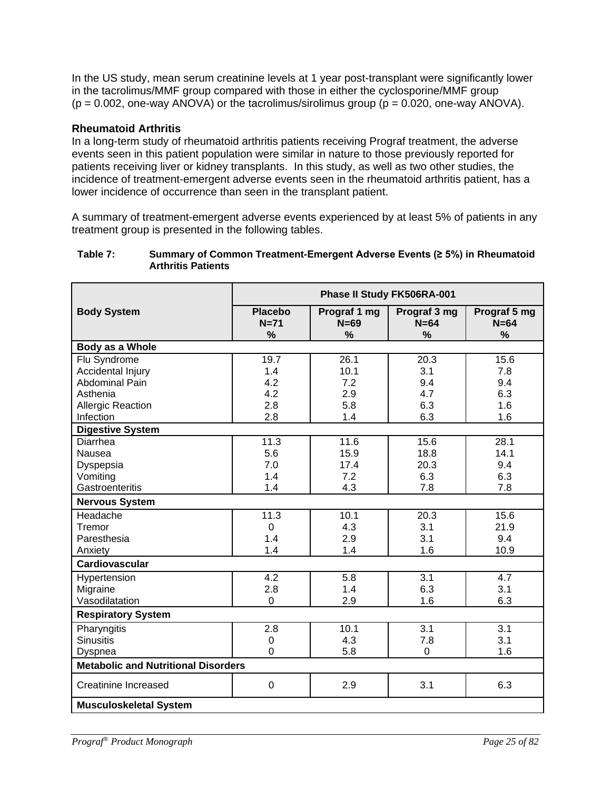In the US study, mean serum creatinine levels at 1 year post-transplant were significantly lower in the tacrolimus/MMF group compared with those in either the cyclosporine/MMF group  $(p = 0.002,$  one-way ANOVA) or the tacrolimus/sirolimus group  $(p = 0.020,$  one-way ANOVA).

### **Rheumatoid Arthritis**

In a long-term study of rheumatoid arthritis patients receiving Prograf treatment, the adverse events seen in this patient population were similar in nature to those previously reported for patients receiving liver or kidney transplants. In this study, as well as two other studies, the incidence of treatment-emergent adverse events seen in the rheumatoid arthritis patient, has a lower incidence of occurrence than seen in the transplant patient.

A summary of treatment-emergent adverse events experienced by at least 5% of patients in any treatment group is presented in the following tables.

#### **Table 7: Summary of Common Treatment-Emergent Adverse Events (≥ 5%) in Rheumatoid Arthritis Patients**

|                                            |                               | Phase II Study FK506RA-001              |                                         |                                |
|--------------------------------------------|-------------------------------|-----------------------------------------|-----------------------------------------|--------------------------------|
| <b>Body System</b>                         | <b>Placebo</b><br>$N=71$<br>% | Prograf 1 mg<br>$N=69$<br>$\frac{0}{0}$ | Prograf 3 mg<br>$N=64$<br>$\frac{0}{0}$ | Prograf 5 mg<br>$N=64$<br>$\%$ |
| Body as a Whole                            |                               |                                         |                                         |                                |
| Flu Syndrome                               | 19.7                          | 26.1                                    | 20.3                                    | 15.6                           |
| Accidental Injury                          | 1.4                           | 10.1                                    | 3.1                                     | 7.8                            |
| <b>Abdominal Pain</b>                      | 4.2                           | 7.2                                     | 9.4                                     | 9.4                            |
| Asthenia                                   | 4.2                           | 2.9                                     | 4.7                                     | 6.3                            |
| <b>Allergic Reaction</b>                   | 2.8                           | 5.8                                     | 6.3                                     | 1.6                            |
| Infection                                  | 2.8                           | 1.4                                     | 6.3                                     | 1.6                            |
| <b>Digestive System</b>                    |                               |                                         |                                         |                                |
| Diarrhea                                   | 11.3                          | 11.6                                    | 15.6                                    | 28.1                           |
| Nausea                                     | 5.6                           | 15.9                                    | 18.8                                    | 14.1                           |
| Dyspepsia                                  | 7.0                           | 17.4                                    | 20.3                                    | 9.4                            |
| Vomiting                                   | 1.4                           | 7.2                                     | 6.3                                     | 6.3                            |
| Gastroenteritis                            | 1.4                           | 4.3                                     | 7.8                                     | 7.8                            |
| <b>Nervous System</b>                      |                               |                                         |                                         |                                |
| Headache                                   | 11.3                          | 10.1                                    | 20.3                                    | 15.6                           |
| Tremor                                     | 0                             | 4.3                                     | 3.1                                     | 21.9                           |
| Paresthesia                                | 1.4                           | 2.9                                     | 3.1                                     | 9.4                            |
| Anxiety                                    | 1.4                           | 1.4                                     | 1.6                                     | 10.9                           |
| <b>Cardiovascular</b>                      |                               |                                         |                                         |                                |
| Hypertension                               | 4.2                           | 5.8                                     | 3.1                                     | 4.7                            |
| Migraine                                   | 2.8                           | 1.4                                     | 6.3                                     | 3.1                            |
| Vasodilatation                             | $\Omega$                      | 2.9                                     | 1.6                                     | 6.3                            |
| <b>Respiratory System</b>                  |                               |                                         |                                         |                                |
| Pharyngitis                                | 2.8                           | 10.1                                    | 3.1                                     | $\overline{3.1}$               |
| <b>Sinusitis</b>                           | 0                             | 4.3                                     | 7.8                                     | 3.1                            |
| Dyspnea                                    | 0                             | 5.8                                     | 0                                       | 1.6                            |
| <b>Metabolic and Nutritional Disorders</b> |                               |                                         |                                         |                                |
| <b>Creatinine Increased</b>                | 0                             | 2.9                                     | 3.1                                     | 6.3                            |
| <b>Musculoskeletal System</b>              |                               |                                         |                                         |                                |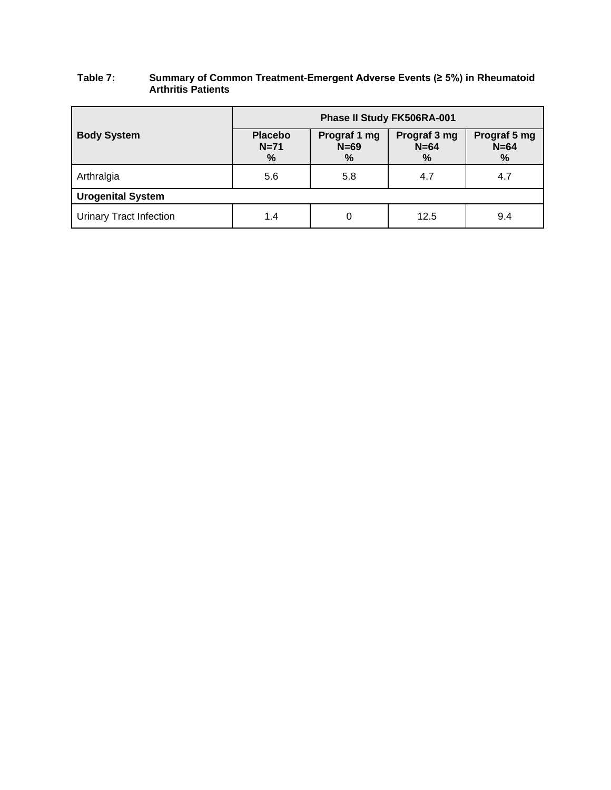| Table 7: | Summary of Common Treatment-Emergent Adverse Events (≥ 5%) in Rheumatoid |
|----------|--------------------------------------------------------------------------|
|          | <b>Arthritis Patients</b>                                                |

|                                | Phase II Study FK506RA-001    |                                |                                |                             |
|--------------------------------|-------------------------------|--------------------------------|--------------------------------|-----------------------------|
| <b>Body System</b>             | <b>Placebo</b><br>$N=71$<br>% | Prograf 1 mg<br>$N=69$<br>$\%$ | Prograf 3 mg<br>$N=64$<br>$\%$ | Prograf 5 mg<br>$N=64$<br>% |
| Arthralgia                     | 5.6                           | 5.8                            | 4.7                            | 4.7                         |
| <b>Urogenital System</b>       |                               |                                |                                |                             |
| <b>Urinary Tract Infection</b> | 1.4                           | 0                              | 12.5                           | 9.4                         |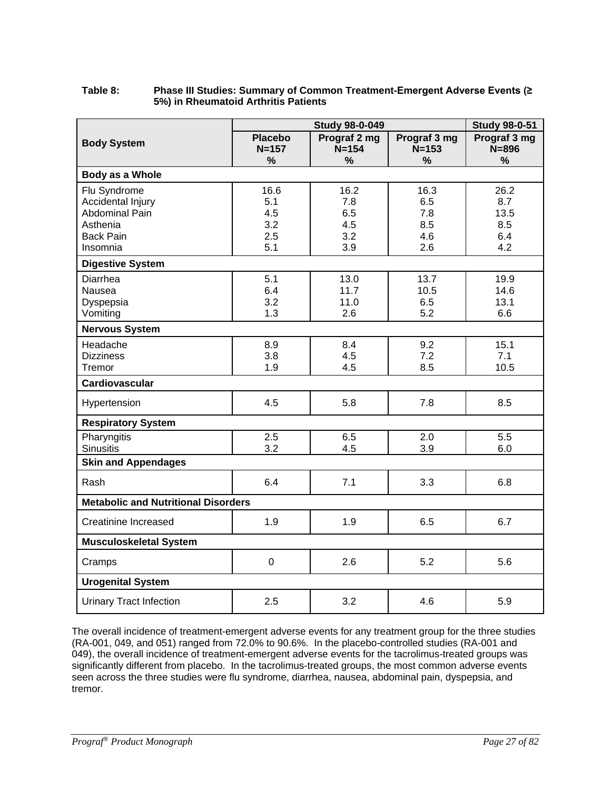#### **Table 8: Phase III Studies: Summary of Common Treatment-Emergent Adverse Events (≥ 5%) in Rheumatoid Arthritis Patients**

|                                                                                                        | <b>Study 98-0-049</b>                   |                                            |                                            | <b>Study 98-0-51</b>                     |
|--------------------------------------------------------------------------------------------------------|-----------------------------------------|--------------------------------------------|--------------------------------------------|------------------------------------------|
| <b>Body System</b>                                                                                     | <b>Placebo</b><br>$N = 157$<br>%        | Prograf 2 mg<br>$N = 154$<br>$\frac{0}{0}$ | Prograf 3 mg<br>$N = 153$<br>$\frac{9}{6}$ | Prograf 3 mg<br>$N = 896$<br>%           |
| Body as a Whole                                                                                        |                                         |                                            |                                            |                                          |
| Flu Syndrome<br>Accidental Injury<br><b>Abdominal Pain</b><br>Asthenia<br><b>Back Pain</b><br>Insomnia | 16.6<br>5.1<br>4.5<br>3.2<br>2.5<br>5.1 | 16.2<br>7.8<br>6.5<br>4.5<br>3.2<br>3.9    | 16.3<br>6.5<br>7.8<br>8.5<br>4.6<br>2.6    | 26.2<br>8.7<br>13.5<br>8.5<br>6.4<br>4.2 |
| <b>Digestive System</b>                                                                                |                                         |                                            |                                            |                                          |
| Diarrhea<br>Nausea<br>Dyspepsia<br>Vomiting                                                            | 5.1<br>6.4<br>3.2<br>1.3                | 13.0<br>11.7<br>11.0<br>2.6                | 13.7<br>10.5<br>6.5<br>5.2                 | 19.9<br>14.6<br>13.1<br>6.6              |
| <b>Nervous System</b>                                                                                  |                                         |                                            |                                            |                                          |
| Headache<br><b>Dizziness</b><br>Tremor                                                                 | 8.9<br>3.8<br>1.9                       | 8.4<br>4.5<br>4.5                          | 9.2<br>7.2<br>8.5                          | 15.1<br>7.1<br>10.5                      |
| <b>Cardiovascular</b>                                                                                  |                                         |                                            |                                            |                                          |
| Hypertension                                                                                           | 4.5                                     | 5.8                                        | 7.8                                        | 8.5                                      |
| <b>Respiratory System</b>                                                                              |                                         |                                            |                                            |                                          |
| Pharyngitis<br><b>Sinusitis</b>                                                                        | 2.5<br>3.2                              | 6.5<br>4.5                                 | 2.0<br>3.9                                 | 5.5<br>6.0                               |
| <b>Skin and Appendages</b>                                                                             |                                         |                                            |                                            |                                          |
| Rash                                                                                                   | 6.4                                     | 7.1                                        | 3.3                                        | 6.8                                      |
| <b>Metabolic and Nutritional Disorders</b>                                                             |                                         |                                            |                                            |                                          |
| <b>Creatinine Increased</b>                                                                            | 1.9                                     | 1.9                                        | 6.5                                        | 6.7                                      |
| <b>Musculoskeletal System</b>                                                                          |                                         |                                            |                                            |                                          |
| Cramps                                                                                                 | 0                                       | 2.6                                        | 5.2                                        | 5.6                                      |
| <b>Urogenital System</b>                                                                               |                                         |                                            |                                            |                                          |
| <b>Urinary Tract Infection</b>                                                                         | 2.5                                     | 3.2                                        | 4.6                                        | 5.9                                      |

The overall incidence of treatment-emergent adverse events for any treatment group for the three studies (RA-001, 049, and 051) ranged from 72.0% to 90.6%. In the placebo-controlled studies (RA-001 and 049), the overall incidence of treatment-emergent adverse events for the tacrolimus-treated groups was significantly different from placebo. In the tacrolimus-treated groups, the most common adverse events seen across the three studies were flu syndrome, diarrhea, nausea, abdominal pain, dyspepsia, and tremor.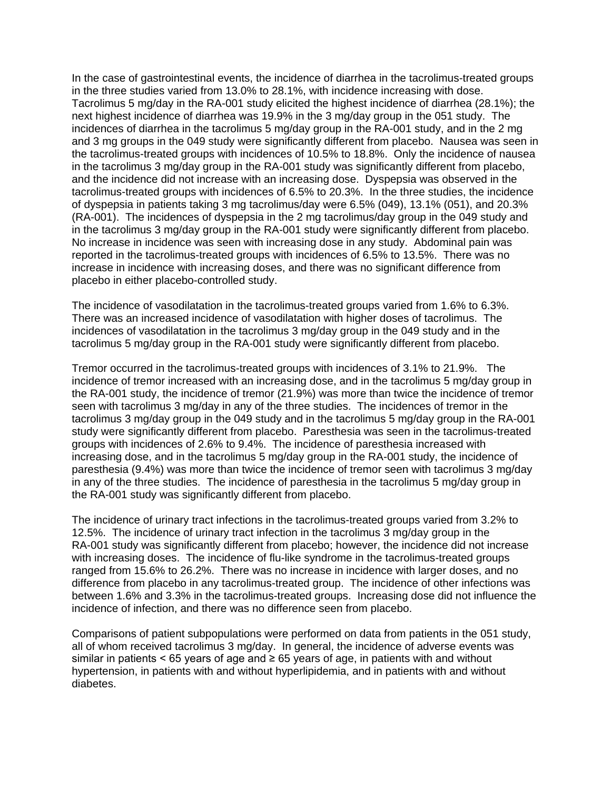In the case of gastrointestinal events, the incidence of diarrhea in the tacrolimus-treated groups in the three studies varied from 13.0% to 28.1%, with incidence increasing with dose. Tacrolimus 5 mg/day in the RA-001 study elicited the highest incidence of diarrhea (28.1%); the next highest incidence of diarrhea was 19.9% in the 3 mg/day group in the 051 study. The incidences of diarrhea in the tacrolimus 5 mg/day group in the RA-001 study, and in the 2 mg and 3 mg groups in the 049 study were significantly different from placebo. Nausea was seen in the tacrolimus-treated groups with incidences of 10.5% to 18.8%. Only the incidence of nausea in the tacrolimus 3 mg/day group in the RA-001 study was significantly different from placebo, and the incidence did not increase with an increasing dose. Dyspepsia was observed in the tacrolimus-treated groups with incidences of 6.5% to 20.3%. In the three studies, the incidence of dyspepsia in patients taking 3 mg tacrolimus/day were 6.5% (049), 13.1% (051), and 20.3% (RA-001). The incidences of dyspepsia in the 2 mg tacrolimus/day group in the 049 study and in the tacrolimus 3 mg/day group in the RA-001 study were significantly different from placebo. No increase in incidence was seen with increasing dose in any study. Abdominal pain was reported in the tacrolimus-treated groups with incidences of 6.5% to 13.5%. There was no increase in incidence with increasing doses, and there was no significant difference from placebo in either placebo-controlled study.

The incidence of vasodilatation in the tacrolimus-treated groups varied from 1.6% to 6.3%. There was an increased incidence of vasodilatation with higher doses of tacrolimus. The incidences of vasodilatation in the tacrolimus 3 mg/day group in the 049 study and in the tacrolimus 5 mg/day group in the RA-001 study were significantly different from placebo.

Tremor occurred in the tacrolimus-treated groups with incidences of 3.1% to 21.9%. The incidence of tremor increased with an increasing dose, and in the tacrolimus 5 mg/day group in the RA-001 study, the incidence of tremor (21.9%) was more than twice the incidence of tremor seen with tacrolimus 3 mg/day in any of the three studies. The incidences of tremor in the tacrolimus 3 mg/day group in the 049 study and in the tacrolimus 5 mg/day group in the RA-001 study were significantly different from placebo. Paresthesia was seen in the tacrolimus-treated groups with incidences of 2.6% to 9.4%. The incidence of paresthesia increased with increasing dose, and in the tacrolimus 5 mg/day group in the RA-001 study, the incidence of paresthesia (9.4%) was more than twice the incidence of tremor seen with tacrolimus 3 mg/day in any of the three studies. The incidence of paresthesia in the tacrolimus 5 mg/day group in the RA-001 study was significantly different from placebo.

The incidence of urinary tract infections in the tacrolimus-treated groups varied from 3.2% to 12.5%. The incidence of urinary tract infection in the tacrolimus 3 mg/day group in the RA-001 study was significantly different from placebo; however, the incidence did not increase with increasing doses. The incidence of flu-like syndrome in the tacrolimus-treated groups ranged from 15.6% to 26.2%. There was no increase in incidence with larger doses, and no difference from placebo in any tacrolimus-treated group. The incidence of other infections was between 1.6% and 3.3% in the tacrolimus-treated groups. Increasing dose did not influence the incidence of infection, and there was no difference seen from placebo.

Comparisons of patient subpopulations were performed on data from patients in the 051 study, all of whom received tacrolimus 3 mg/day. In general, the incidence of adverse events was similar in patients < 65 years of age and  $\geq$  65 years of age, in patients with and without hypertension, in patients with and without hyperlipidemia, and in patients with and without diabetes.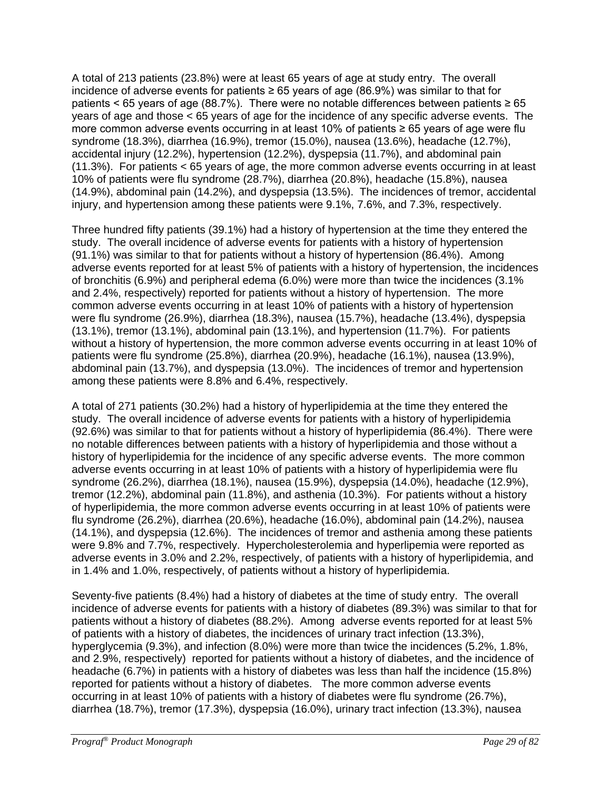A total of 213 patients (23.8%) were at least 65 years of age at study entry. The overall incidence of adverse events for patients ≥ 65 years of age (86.9%) was similar to that for patients < 65 years of age (88.7%). There were no notable differences between patients  $\geq 65$ years of age and those < 65 years of age for the incidence of any specific adverse events. The more common adverse events occurring in at least 10% of patients  $\geq 65$  years of age were flu syndrome (18.3%), diarrhea (16.9%), tremor (15.0%), nausea (13.6%), headache (12.7%), accidental injury (12.2%), hypertension (12.2%), dyspepsia (11.7%), and abdominal pain (11.3%). For patients < 65 years of age, the more common adverse events occurring in at least 10% of patients were flu syndrome (28.7%), diarrhea (20.8%), headache (15.8%), nausea (14.9%), abdominal pain (14.2%), and dyspepsia (13.5%). The incidences of tremor, accidental injury, and hypertension among these patients were 9.1%, 7.6%, and 7.3%, respectively.

Three hundred fifty patients (39.1%) had a history of hypertension at the time they entered the study. The overall incidence of adverse events for patients with a history of hypertension (91.1%) was similar to that for patients without a history of hypertension (86.4%). Among adverse events reported for at least 5% of patients with a history of hypertension, the incidences of bronchitis (6.9%) and peripheral edema (6.0%) were more than twice the incidences (3.1% and 2.4%, respectively) reported for patients without a history of hypertension. The more common adverse events occurring in at least 10% of patients with a history of hypertension were flu syndrome (26.9%), diarrhea (18.3%), nausea (15.7%), headache (13.4%), dyspepsia (13.1%), tremor (13.1%), abdominal pain (13.1%), and hypertension (11.7%). For patients without a history of hypertension, the more common adverse events occurring in at least 10% of patients were flu syndrome (25.8%), diarrhea (20.9%), headache (16.1%), nausea (13.9%), abdominal pain (13.7%), and dyspepsia (13.0%). The incidences of tremor and hypertension among these patients were 8.8% and 6.4%, respectively.

A total of 271 patients (30.2%) had a history of hyperlipidemia at the time they entered the study. The overall incidence of adverse events for patients with a history of hyperlipidemia (92.6%) was similar to that for patients without a history of hyperlipidemia (86.4%). There were no notable differences between patients with a history of hyperlipidemia and those without a history of hyperlipidemia for the incidence of any specific adverse events. The more common adverse events occurring in at least 10% of patients with a history of hyperlipidemia were flu syndrome (26.2%), diarrhea (18.1%), nausea (15.9%), dyspepsia (14.0%), headache (12.9%), tremor (12.2%), abdominal pain (11.8%), and asthenia (10.3%). For patients without a history of hyperlipidemia, the more common adverse events occurring in at least 10% of patients were flu syndrome (26.2%), diarrhea (20.6%), headache (16.0%), abdominal pain (14.2%), nausea (14.1%), and dyspepsia (12.6%). The incidences of tremor and asthenia among these patients were 9.8% and 7.7%, respectively. Hypercholesterolemia and hyperlipemia were reported as adverse events in 3.0% and 2.2%, respectively, of patients with a history of hyperlipidemia, and in 1.4% and 1.0%, respectively, of patients without a history of hyperlipidemia.

Seventy-five patients (8.4%) had a history of diabetes at the time of study entry. The overall incidence of adverse events for patients with a history of diabetes (89.3%) was similar to that for patients without a history of diabetes (88.2%). Among adverse events reported for at least 5% of patients with a history of diabetes, the incidences of urinary tract infection (13.3%), hyperglycemia (9.3%), and infection (8.0%) were more than twice the incidences (5.2%, 1.8%, and 2.9%, respectively) reported for patients without a history of diabetes, and the incidence of headache (6.7%) in patients with a history of diabetes was less than half the incidence (15.8%) reported for patients without a history of diabetes. The more common adverse events occurring in at least 10% of patients with a history of diabetes were flu syndrome (26.7%), diarrhea (18.7%), tremor (17.3%), dyspepsia (16.0%), urinary tract infection (13.3%), nausea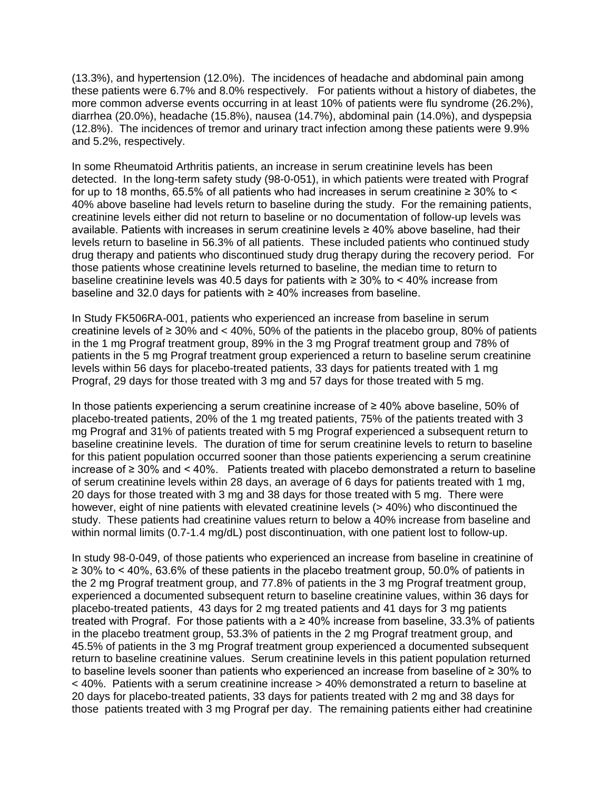(13.3%), and hypertension (12.0%). The incidences of headache and abdominal pain among these patients were 6.7% and 8.0% respectively. For patients without a history of diabetes, the more common adverse events occurring in at least 10% of patients were flu syndrome (26.2%), diarrhea (20.0%), headache (15.8%), nausea (14.7%), abdominal pain (14.0%), and dyspepsia (12.8%). The incidences of tremor and urinary tract infection among these patients were 9.9% and 5.2%, respectively.

In some Rheumatoid Arthritis patients, an increase in serum creatinine levels has been detected. In the long-term safety study (98-0-051), in which patients were treated with Prograf for up to 18 months, 65.5% of all patients who had increases in serum creatinine  $\geq 30\%$  to  $\leq$ 40% above baseline had levels return to baseline during the study. For the remaining patients, creatinine levels either did not return to baseline or no documentation of follow-up levels was available. Patients with increases in serum creatinine levels ≥ 40% above baseline, had their levels return to baseline in 56.3% of all patients. These included patients who continued study drug therapy and patients who discontinued study drug therapy during the recovery period. For those patients whose creatinine levels returned to baseline, the median time to return to baseline creatinine levels was 40.5 days for patients with  $\geq$  30% to < 40% increase from baseline and 32.0 days for patients with ≥ 40% increases from baseline.

In Study FK506RA-001, patients who experienced an increase from baseline in serum creatinine levels of  $\geq 30\%$  and < 40%, 50% of the patients in the placebo group, 80% of patients in the 1 mg Prograf treatment group, 89% in the 3 mg Prograf treatment group and 78% of patients in the 5 mg Prograf treatment group experienced a return to baseline serum creatinine levels within 56 days for placebo-treated patients, 33 days for patients treated with 1 mg Prograf, 29 days for those treated with 3 mg and 57 days for those treated with 5 mg.

In those patients experiencing a serum creatinine increase of ≥ 40% above baseline, 50% of placebo-treated patients, 20% of the 1 mg treated patients, 75% of the patients treated with 3 mg Prograf and 31% of patients treated with 5 mg Prograf experienced a subsequent return to baseline creatinine levels. The duration of time for serum creatinine levels to return to baseline for this patient population occurred sooner than those patients experiencing a serum creatinine increase of ≥ 30% and < 40%. Patients treated with placebo demonstrated a return to baseline of serum creatinine levels within 28 days, an average of 6 days for patients treated with 1 mg, 20 days for those treated with 3 mg and 38 days for those treated with 5 mg. There were however, eight of nine patients with elevated creatinine levels (>40%) who discontinued the study. These patients had creatinine values return to below a 40% increase from baseline and within normal limits (0.7-1.4 mg/dL) post discontinuation, with one patient lost to follow-up.

In study 98-0-049, of those patients who experienced an increase from baseline in creatinine of ≥ 30% to < 40%, 63.6% of these patients in the placebo treatment group, 50.0% of patients in the 2 mg Prograf treatment group, and 77.8% of patients in the 3 mg Prograf treatment group, experienced a documented subsequent return to baseline creatinine values, within 36 days for placebo-treated patients, 43 days for 2 mg treated patients and 41 days for 3 mg patients treated with Prograf. For those patients with a  $\geq$  40% increase from baseline, 33.3% of patients in the placebo treatment group, 53.3% of patients in the 2 mg Prograf treatment group, and 45.5% of patients in the 3 mg Prograf treatment group experienced a documented subsequent return to baseline creatinine values. Serum creatinine levels in this patient population returned to baseline levels sooner than patients who experienced an increase from baseline of ≥ 30% to < 40%. Patients with a serum creatinine increase > 40% demonstrated a return to baseline at 20 days for placebo-treated patients, 33 days for patients treated with 2 mg and 38 days for those patients treated with 3 mg Prograf per day. The remaining patients either had creatinine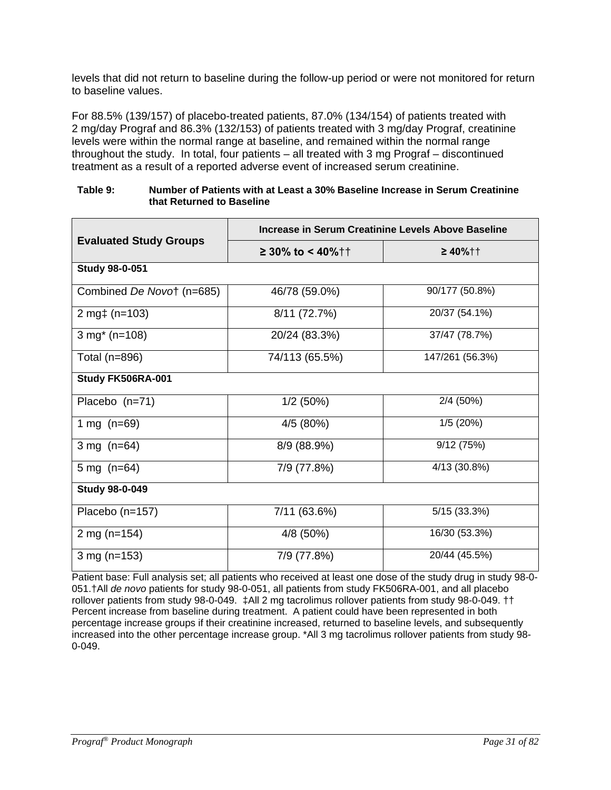levels that did not return to baseline during the follow-up period or were not monitored for return to baseline values.

For 88.5% (139/157) of placebo-treated patients, 87.0% (134/154) of patients treated with 2 mg/day Prograf and 86.3% (132/153) of patients treated with 3 mg/day Prograf, creatinine levels were within the normal range at baseline, and remained within the normal range throughout the study. In total, four patients – all treated with 3 mg Prograf – discontinued treatment as a result of a reported adverse event of increased serum creatinine.

| Table 9: | Number of Patients with at Least a 30% Baseline Increase in Serum Creatinine |
|----------|------------------------------------------------------------------------------|
|          | that Returned to Baseline                                                    |

|                               | Increase in Serum Creatinine Levels Above Baseline |                 |  |  |  |
|-------------------------------|----------------------------------------------------|-----------------|--|--|--|
| <b>Evaluated Study Groups</b> | $≥ 30\%$ to < 40%††                                | $≥ 40%$ ††      |  |  |  |
| <b>Study 98-0-051</b>         |                                                    |                 |  |  |  |
| Combined De Novo† (n=685)     | 46/78 (59.0%)                                      | 90/177 (50.8%)  |  |  |  |
| 2 mg $\uparrow$ (n=103)       | 8/11 (72.7%)                                       | 20/37 (54.1%)   |  |  |  |
| $3$ mg <sup>*</sup> (n=108)   | 20/24 (83.3%)                                      | 37/47 (78.7%)   |  |  |  |
| Total (n=896)                 | 74/113 (65.5%)                                     | 147/261 (56.3%) |  |  |  |
| Study FK506RA-001             |                                                    |                 |  |  |  |
| Placebo (n=71)                | 1/2(50%)                                           | 2/4 (50%)       |  |  |  |
| 1 mg $(n=69)$                 | 4/5 (80%)                                          | 1/5(20%)        |  |  |  |
| 3 mg $(n=64)$                 | 8/9 (88.9%)                                        | 9/12(75%)       |  |  |  |
| 5 mg $(n=64)$                 | 7/9 (77.8%)                                        | 4/13 (30.8%)    |  |  |  |
| <b>Study 98-0-049</b>         |                                                    |                 |  |  |  |
| Placebo (n=157)               | 7/11 (63.6%)                                       | 5/15 (33.3%)    |  |  |  |
| 2 mg $(n=154)$                | 16/30 (53.3%)<br>4/8 (50%)                         |                 |  |  |  |
| 3 mg $(n=153)$                | 20/44 (45.5%)<br>7/9 (77.8%)                       |                 |  |  |  |

Patient base: Full analysis set; all patients who received at least one dose of the study drug in study 98-0- 051.†All *de novo* patients for study 98-0-051, all patients from study FK506RA-001, and all placebo rollover patients from study 98-0-049. ‡All 2 mg tacrolimus rollover patients from study 98-0-049. †† Percent increase from baseline during treatment. A patient could have been represented in both percentage increase groups if their creatinine increased, returned to baseline levels, and subsequently increased into the other percentage increase group. \*All 3 mg tacrolimus rollover patients from study 98- 0-049.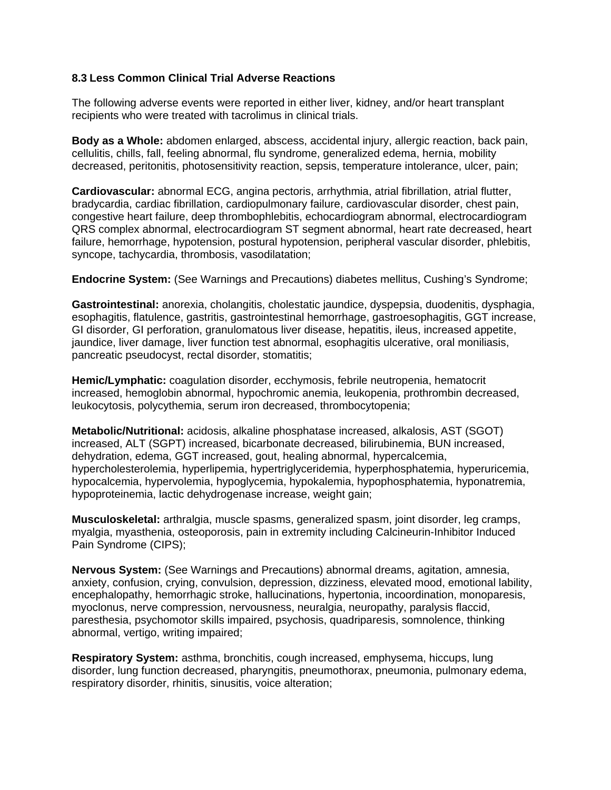#### **8.3 Less Common Clinical Trial Adverse Reactions**

The following adverse events were reported in either liver, kidney, and/or heart transplant recipients who were treated with tacrolimus in clinical trials.

**Body as a Whole:** abdomen enlarged, abscess, accidental injury, allergic reaction, back pain, cellulitis, chills, fall, feeling abnormal, flu syndrome, generalized edema, hernia, mobility decreased, peritonitis, photosensitivity reaction, sepsis, temperature intolerance, ulcer, pain;

**Cardiovascular:** abnormal ECG, angina pectoris, arrhythmia, atrial fibrillation, atrial flutter, bradycardia, cardiac fibrillation, cardiopulmonary failure, cardiovascular disorder, chest pain, congestive heart failure, deep thrombophlebitis, echocardiogram abnormal, electrocardiogram QRS complex abnormal, electrocardiogram ST segment abnormal, heart rate decreased, heart failure, hemorrhage, hypotension, postural hypotension, peripheral vascular disorder, phlebitis, syncope, tachycardia, thrombosis, vasodilatation;

**Endocrine System:** (See Warnings and Precautions) diabetes mellitus, Cushing's Syndrome;

**Gastrointestinal:** anorexia, cholangitis, cholestatic jaundice, dyspepsia, duodenitis, dysphagia, esophagitis, flatulence, gastritis, gastrointestinal hemorrhage, gastroesophagitis, GGT increase, GI disorder, GI perforation, granulomatous liver disease, hepatitis, ileus, increased appetite, jaundice, liver damage, liver function test abnormal, esophagitis ulcerative, oral moniliasis, pancreatic pseudocyst, rectal disorder, stomatitis;

**Hemic/Lymphatic:** coagulation disorder, ecchymosis, febrile neutropenia, hematocrit increased, hemoglobin abnormal, hypochromic anemia, leukopenia, prothrombin decreased, leukocytosis, polycythemia, serum iron decreased, thrombocytopenia;

**Metabolic/Nutritional:** acidosis, alkaline phosphatase increased, alkalosis, AST (SGOT) increased, ALT (SGPT) increased, bicarbonate decreased, bilirubinemia, BUN increased, dehydration, edema, GGT increased, gout, healing abnormal, hypercalcemia, hypercholesterolemia, hyperlipemia, hypertriglyceridemia, hyperphosphatemia, hyperuricemia, hypocalcemia, hypervolemia, hypoglycemia, hypokalemia, hypophosphatemia, hyponatremia, hypoproteinemia, lactic dehydrogenase increase, weight gain;

**Musculoskeletal:** arthralgia, muscle spasms, generalized spasm, joint disorder, leg cramps, myalgia, myasthenia, osteoporosis, pain in extremity including Calcineurin-Inhibitor Induced Pain Syndrome (CIPS);

**Nervous System:** (See Warnings and Precautions) abnormal dreams, agitation, amnesia, anxiety, confusion, crying, convulsion, depression, dizziness, elevated mood, emotional lability, encephalopathy, hemorrhagic stroke, hallucinations, hypertonia, incoordination, monoparesis, myoclonus, nerve compression, nervousness, neuralgia, neuropathy, paralysis flaccid, paresthesia, psychomotor skills impaired, psychosis, quadriparesis, somnolence, thinking abnormal, vertigo, writing impaired;

**Respiratory System:** asthma, bronchitis, cough increased, emphysema, hiccups, lung disorder, lung function decreased, pharyngitis, pneumothorax, pneumonia, pulmonary edema, respiratory disorder, rhinitis, sinusitis, voice alteration;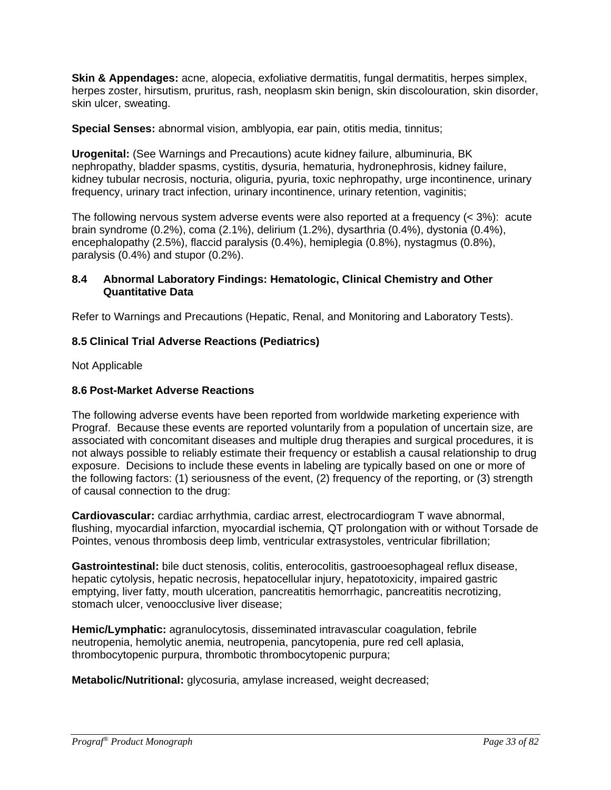**Skin & Appendages:** acne, alopecia, exfoliative dermatitis, fungal dermatitis, herpes simplex, herpes zoster, hirsutism, pruritus, rash, neoplasm skin benign, skin discolouration, skin disorder, skin ulcer, sweating.

**Special Senses:** abnormal vision, amblyopia, ear pain, otitis media, tinnitus;

**Urogenital:** (See Warnings and Precautions) acute kidney failure, albuminuria, BK nephropathy, bladder spasms, cystitis, dysuria, hematuria, hydronephrosis, kidney failure, kidney tubular necrosis, nocturia, oliguria, pyuria, toxic nephropathy, urge incontinence, urinary frequency, urinary tract infection, urinary incontinence, urinary retention, vaginitis;

The following nervous system adverse events were also reported at a frequency (< 3%): acute brain syndrome (0.2%), coma (2.1%), delirium (1.2%), dysarthria (0.4%), dystonia (0.4%), encephalopathy (2.5%), flaccid paralysis (0.4%), hemiplegia (0.8%), nystagmus (0.8%), paralysis (0.4%) and stupor (0.2%).

### **8.4 Abnormal Laboratory Findings: Hematologic, Clinical Chemistry and Other Quantitative Data**

Refer to Warnings and Precautions (Hepatic, Renal, and Monitoring and Laboratory Tests).

### **8.5 Clinical Trial Adverse Reactions (Pediatrics)**

Not Applicable

### **8.6 Post-Market Adverse Reactions**

The following adverse events have been reported from worldwide marketing experience with Prograf. Because these events are reported voluntarily from a population of uncertain size, are associated with concomitant diseases and multiple drug therapies and surgical procedures, it is not always possible to reliably estimate their frequency or establish a causal relationship to drug exposure. Decisions to include these events in labeling are typically based on one or more of the following factors: (1) seriousness of the event, (2) frequency of the reporting, or (3) strength of causal connection to the drug:

**Cardiovascular:** cardiac arrhythmia, cardiac arrest, electrocardiogram T wave abnormal, flushing, myocardial infarction, myocardial ischemia, QT prolongation with or without Torsade de Pointes, venous thrombosis deep limb, ventricular extrasystoles, ventricular fibrillation;

**Gastrointestinal:** bile duct stenosis, colitis, enterocolitis, gastrooesophageal reflux disease, hepatic cytolysis, hepatic necrosis, hepatocellular injury, hepatotoxicity, impaired gastric emptying, liver fatty, mouth ulceration, pancreatitis hemorrhagic, pancreatitis necrotizing, stomach ulcer, venoocclusive liver disease;

**Hemic/Lymphatic:** agranulocytosis, disseminated intravascular coagulation, febrile neutropenia, hemolytic anemia, neutropenia, pancytopenia, pure red cell aplasia, thrombocytopenic purpura, thrombotic thrombocytopenic purpura;

**Metabolic/Nutritional:** glycosuria, amylase increased, weight decreased;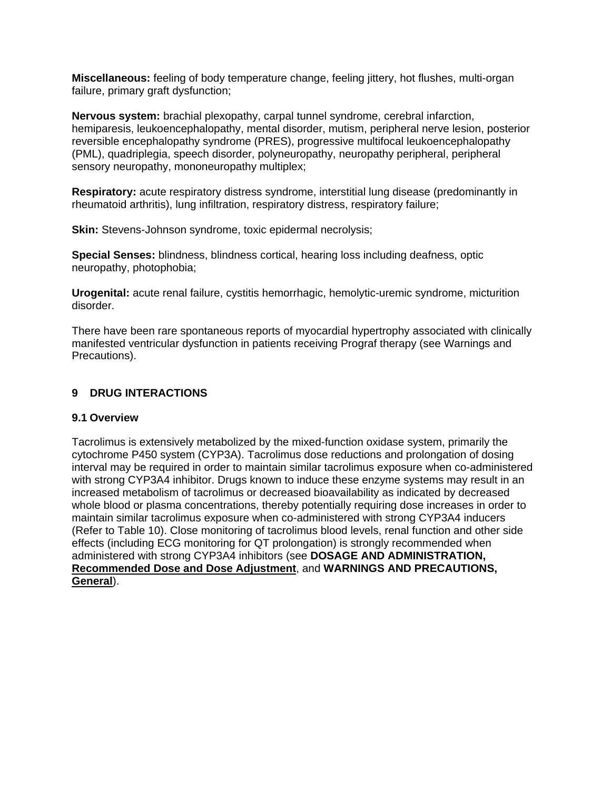**Miscellaneous:** feeling of body temperature change, feeling jittery, hot flushes, multi-organ failure, primary graft dysfunction;

**Nervous system:** brachial plexopathy, carpal tunnel syndrome, cerebral infarction, hemiparesis, leukoencephalopathy, mental disorder, mutism, peripheral nerve lesion, posterior reversible encephalopathy syndrome (PRES), progressive multifocal leukoencephalopathy (PML), quadriplegia, speech disorder, polyneuropathy, neuropathy peripheral, peripheral sensory neuropathy, mononeuropathy multiplex;

**Respiratory:** acute respiratory distress syndrome, interstitial lung disease (predominantly in rheumatoid arthritis), lung infiltration, respiratory distress, respiratory failure;

**Skin:** Stevens-Johnson syndrome, toxic epidermal necrolysis;

**Special Senses:** blindness, blindness cortical, hearing loss including deafness, optic neuropathy, photophobia;

**Urogenital:** acute renal failure, cystitis hemorrhagic, hemolytic-uremic syndrome, micturition disorder.

There have been rare spontaneous reports of myocardial hypertrophy associated with clinically manifested ventricular dysfunction in patients receiving Prograf therapy (see Warnings and Precautions).

### **9 DRUG INTERACTIONS**

### **9.1 Overview**

Tacrolimus is extensively metabolized by the mixed-function oxidase system, primarily the cytochrome P450 system (CYP3A). Tacrolimus dose reductions and prolongation of dosing interval may be required in order to maintain similar tacrolimus exposure when co-administered with strong CYP3A4 inhibitor. Drugs known to induce these enzyme systems may result in an increased metabolism of tacrolimus or decreased bioavailability as indicated by decreased whole blood or plasma concentrations, thereby potentially requiring dose increases in order to maintain similar tacrolimus exposure when co-administered with strong CYP3A4 inducers (Refer to Table 10). Close monitoring of tacrolimus blood levels, renal function and other side effects (including ECG monitoring for QT prolongation) is strongly recommended when administered with strong CYP3A4 inhibitors (see **DOSAGE AND ADMINISTRATION, Recommended Dose and Dose Adjustment**, and **WARNINGS AND PRECAUTIONS, General**).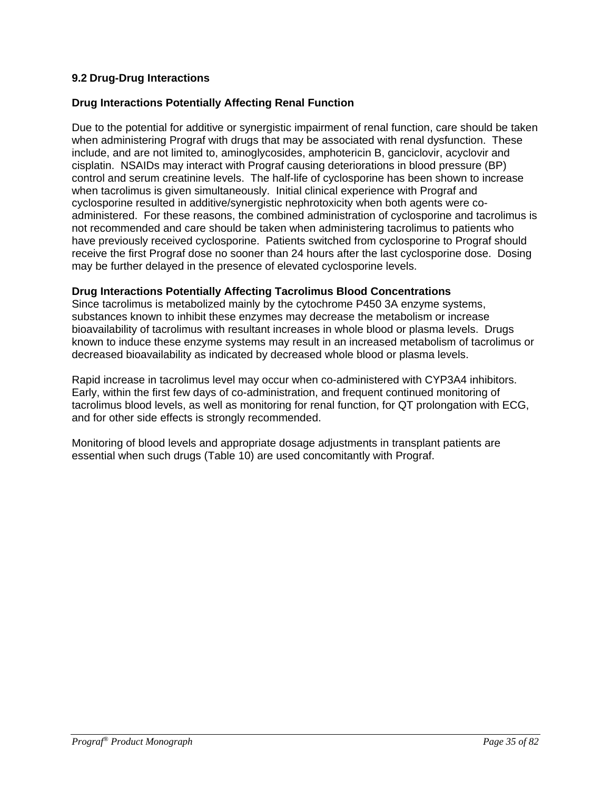### **9.2 Drug-Drug Interactions**

### **Drug Interactions Potentially Affecting Renal Function**

Due to the potential for additive or synergistic impairment of renal function, care should be taken when administering Prograf with drugs that may be associated with renal dysfunction. These include, and are not limited to, aminoglycosides, amphotericin B, ganciclovir, acyclovir and cisplatin. NSAIDs may interact with Prograf causing deteriorations in blood pressure (BP) control and serum creatinine levels. The half-life of cyclosporine has been shown to increase when tacrolimus is given simultaneously. Initial clinical experience with Prograf and cyclosporine resulted in additive/synergistic nephrotoxicity when both agents were coadministered. For these reasons, the combined administration of cyclosporine and tacrolimus is not recommended and care should be taken when administering tacrolimus to patients who have previously received cyclosporine. Patients switched from cyclosporine to Prograf should receive the first Prograf dose no sooner than 24 hours after the last cyclosporine dose. Dosing may be further delayed in the presence of elevated cyclosporine levels.

### **Drug Interactions Potentially Affecting Tacrolimus Blood Concentrations**

Since tacrolimus is metabolized mainly by the cytochrome P450 3A enzyme systems, substances known to inhibit these enzymes may decrease the metabolism or increase bioavailability of tacrolimus with resultant increases in whole blood or plasma levels. Drugs known to induce these enzyme systems may result in an increased metabolism of tacrolimus or decreased bioavailability as indicated by decreased whole blood or plasma levels.

Rapid increase in tacrolimus level may occur when co-administered with CYP3A4 inhibitors. Early, within the first few days of co-administration, and frequent continued monitoring of tacrolimus blood levels, as well as monitoring for renal function, for QT prolongation with ECG, and for other side effects is strongly recommended.

Monitoring of blood levels and appropriate dosage adjustments in transplant patients are essential when such drugs (Table 10) are used concomitantly with Prograf.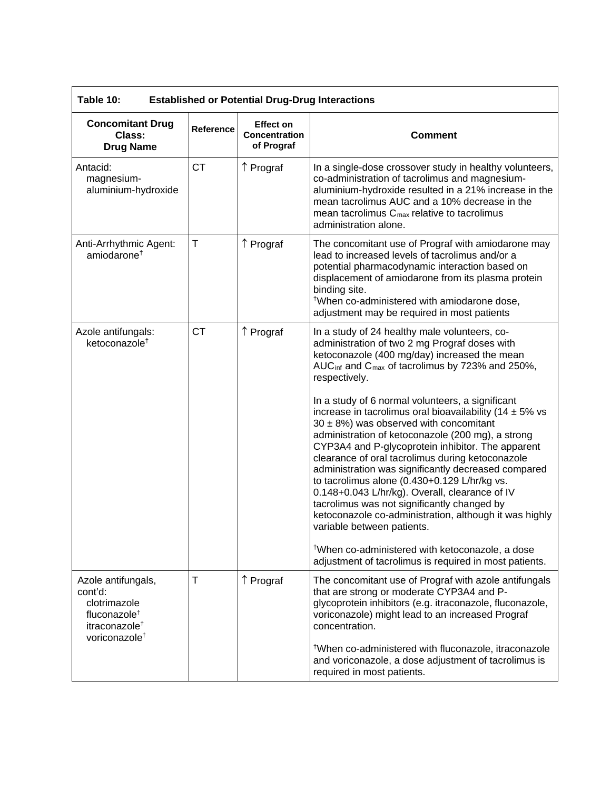| Table 10:<br><b>Established or Potential Drug-Drug Interactions</b>                                                                 |                  |                                                        |                                                                                                                                                                                                                                                                                                                                                                                                                                                                                                                                                                                                                                                                                                                                                                                                                                                                                                                                                                                                      |  |
|-------------------------------------------------------------------------------------------------------------------------------------|------------------|--------------------------------------------------------|------------------------------------------------------------------------------------------------------------------------------------------------------------------------------------------------------------------------------------------------------------------------------------------------------------------------------------------------------------------------------------------------------------------------------------------------------------------------------------------------------------------------------------------------------------------------------------------------------------------------------------------------------------------------------------------------------------------------------------------------------------------------------------------------------------------------------------------------------------------------------------------------------------------------------------------------------------------------------------------------------|--|
| <b>Concomitant Drug</b><br>Class:<br><b>Drug Name</b>                                                                               | <b>Reference</b> | <b>Effect on</b><br><b>Concentration</b><br>of Prograf | <b>Comment</b>                                                                                                                                                                                                                                                                                                                                                                                                                                                                                                                                                                                                                                                                                                                                                                                                                                                                                                                                                                                       |  |
| Antacid:<br>magnesium-<br>aluminium-hydroxide                                                                                       | <b>CT</b>        | ↑ Prograf                                              | In a single-dose crossover study in healthy volunteers,<br>co-administration of tacrolimus and magnesium-<br>aluminium-hydroxide resulted in a 21% increase in the<br>mean tacrolimus AUC and a 10% decrease in the<br>mean tacrolimus $C_{\text{max}}$ relative to tacrolimus<br>administration alone.                                                                                                                                                                                                                                                                                                                                                                                                                                                                                                                                                                                                                                                                                              |  |
| Anti-Arrhythmic Agent:<br>amiodarone <sup>†</sup>                                                                                   | $\mathsf T$      | ↑ Prograf                                              | The concomitant use of Prograf with amiodarone may<br>lead to increased levels of tacrolimus and/or a<br>potential pharmacodynamic interaction based on<br>displacement of amiodarone from its plasma protein<br>binding site.<br><sup>†</sup> When co-administered with amiodarone dose,<br>adjustment may be required in most patients                                                                                                                                                                                                                                                                                                                                                                                                                                                                                                                                                                                                                                                             |  |
| Azole antifungals:<br>ketoconazole <sup>+</sup>                                                                                     | <b>CT</b>        | ↑ Prograf                                              | In a study of 24 healthy male volunteers, co-<br>administration of two 2 mg Prograf doses with<br>ketoconazole (400 mg/day) increased the mean<br>AUC <sub>inf</sub> and C <sub>max</sub> of tacrolimus by 723% and 250%,<br>respectively.<br>In a study of 6 normal volunteers, a significant<br>increase in tacrolimus oral bioavailability (14 $\pm$ 5% vs<br>$30 \pm 8\%$ ) was observed with concomitant<br>administration of ketoconazole (200 mg), a strong<br>CYP3A4 and P-glycoprotein inhibitor. The apparent<br>clearance of oral tacrolimus during ketoconazole<br>administration was significantly decreased compared<br>to tacrolimus alone (0.430+0.129 L/hr/kg vs.<br>0.148+0.043 L/hr/kg). Overall, clearance of IV<br>tacrolimus was not significantly changed by<br>ketoconazole co-administration, although it was highly<br>variable between patients.<br><sup>†</sup> When co-administered with ketoconazole, a dose<br>adjustment of tacrolimus is required in most patients. |  |
| Azole antifungals,<br>cont'd:<br>clotrimazole<br>fluconazole <sup>+</sup><br>itraconazole <sup>+</sup><br>voriconazole <sup>+</sup> | T                | ↑ Prograf                                              | The concomitant use of Prograf with azole antifungals<br>that are strong or moderate CYP3A4 and P-<br>glycoprotein inhibitors (e.g. itraconazole, fluconazole,<br>voriconazole) might lead to an increased Prograf<br>concentration.<br><sup>†</sup> When co-administered with fluconazole, itraconazole<br>and voriconazole, a dose adjustment of tacrolimus is<br>required in most patients.                                                                                                                                                                                                                                                                                                                                                                                                                                                                                                                                                                                                       |  |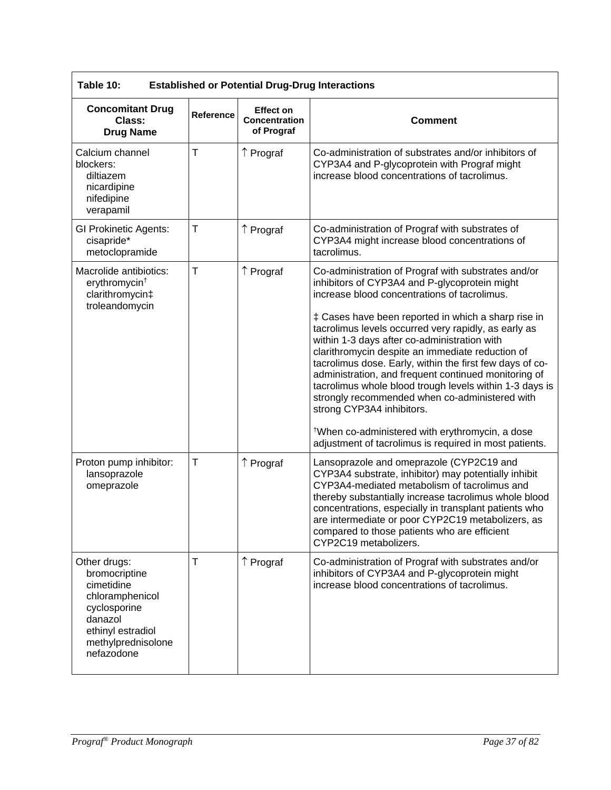| Table 10:<br><b>Established or Potential Drug-Drug Interactions</b>                                                                                |              |                                                        |                                                                                                                                                                                                                                                                                                                                                                                                                                                                                                                                                                                                                                                                                                                                                                |  |
|----------------------------------------------------------------------------------------------------------------------------------------------------|--------------|--------------------------------------------------------|----------------------------------------------------------------------------------------------------------------------------------------------------------------------------------------------------------------------------------------------------------------------------------------------------------------------------------------------------------------------------------------------------------------------------------------------------------------------------------------------------------------------------------------------------------------------------------------------------------------------------------------------------------------------------------------------------------------------------------------------------------------|--|
| <b>Concomitant Drug</b><br>Class:<br><b>Drug Name</b>                                                                                              | Reference    | <b>Effect on</b><br><b>Concentration</b><br>of Prograf | <b>Comment</b>                                                                                                                                                                                                                                                                                                                                                                                                                                                                                                                                                                                                                                                                                                                                                 |  |
| Calcium channel<br>blockers:<br>diltiazem<br>nicardipine<br>nifedipine<br>verapamil                                                                | T            | ↑ Prograf                                              | Co-administration of substrates and/or inhibitors of<br>CYP3A4 and P-glycoprotein with Prograf might<br>increase blood concentrations of tacrolimus.                                                                                                                                                                                                                                                                                                                                                                                                                                                                                                                                                                                                           |  |
| <b>GI Prokinetic Agents:</b><br>cisapride*<br>metoclopramide                                                                                       | $\mathsf T$  | ↑ Prograf                                              | Co-administration of Prograf with substrates of<br>CYP3A4 might increase blood concentrations of<br>tacrolimus.                                                                                                                                                                                                                                                                                                                                                                                                                                                                                                                                                                                                                                                |  |
| Macrolide antibiotics:<br>erythromycin <sup>†</sup><br>clarithromycin‡<br>troleandomycin                                                           | $\mathsf{T}$ | ↑ Prograf                                              | Co-administration of Prograf with substrates and/or<br>inhibitors of CYP3A4 and P-glycoprotein might<br>increase blood concentrations of tacrolimus.<br>‡ Cases have been reported in which a sharp rise in<br>tacrolimus levels occurred very rapidly, as early as<br>within 1-3 days after co-administration with<br>clarithromycin despite an immediate reduction of<br>tacrolimus dose. Early, within the first few days of co-<br>administration, and frequent continued monitoring of<br>tacrolimus whole blood trough levels within 1-3 days is<br>strongly recommended when co-administered with<br>strong CYP3A4 inhibitors.<br><sup>†</sup> When co-administered with erythromycin, a dose<br>adjustment of tacrolimus is required in most patients. |  |
| Proton pump inhibitor:<br>lansoprazole<br>omeprazole                                                                                               | $\mathsf T$  | ↑ Prograf                                              | Lansoprazole and omeprazole (CYP2C19 and<br>CYP3A4 substrate, inhibitor) may potentially inhibit<br>CYP3A4-mediated metabolism of tacrolimus and<br>thereby substantially increase tacrolimus whole blood<br>concentrations, especially in transplant patients who<br>are intermediate or poor CYP2C19 metabolizers, as<br>compared to those patients who are efficient<br>CYP2C19 metabolizers.                                                                                                                                                                                                                                                                                                                                                               |  |
| Other drugs:<br>bromocriptine<br>cimetidine<br>chloramphenicol<br>cyclosporine<br>danazol<br>ethinyl estradiol<br>methylprednisolone<br>nefazodone | T            | ↑ Prograf                                              | Co-administration of Prograf with substrates and/or<br>inhibitors of CYP3A4 and P-glycoprotein might<br>increase blood concentrations of tacrolimus.                                                                                                                                                                                                                                                                                                                                                                                                                                                                                                                                                                                                           |  |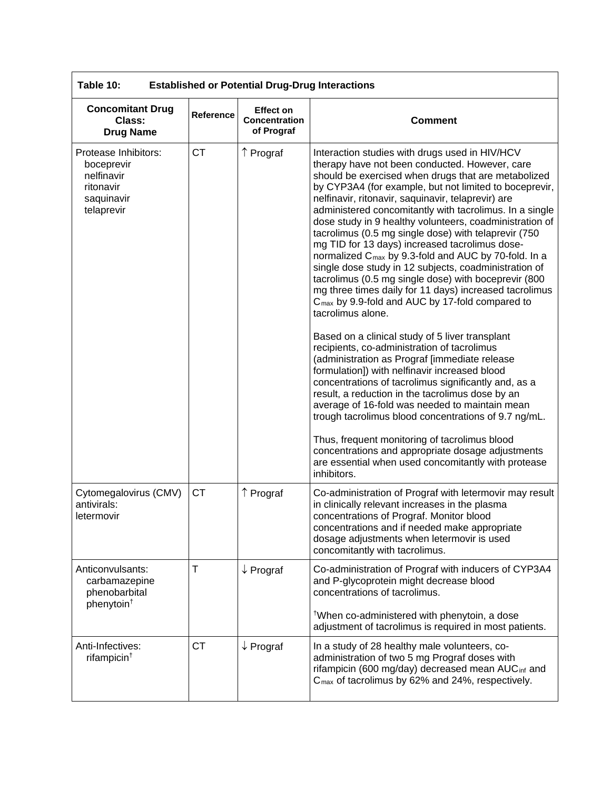| Table 10:<br><b>Established or Potential Drug-Drug Interactions</b>                       |           |                                                        |                                                                                                                                                                                                                                                                                                                                                                                                                                                                                                                                                                                                                                                                                                                                                                                                                                            |  |
|-------------------------------------------------------------------------------------------|-----------|--------------------------------------------------------|--------------------------------------------------------------------------------------------------------------------------------------------------------------------------------------------------------------------------------------------------------------------------------------------------------------------------------------------------------------------------------------------------------------------------------------------------------------------------------------------------------------------------------------------------------------------------------------------------------------------------------------------------------------------------------------------------------------------------------------------------------------------------------------------------------------------------------------------|--|
| <b>Concomitant Drug</b><br>Class:<br><b>Drug Name</b>                                     | Reference | <b>Effect on</b><br><b>Concentration</b><br>of Prograf | <b>Comment</b>                                                                                                                                                                                                                                                                                                                                                                                                                                                                                                                                                                                                                                                                                                                                                                                                                             |  |
| Protease Inhibitors:<br>boceprevir<br>nelfinavir<br>ritonavir<br>saquinavir<br>telaprevir | <b>CT</b> | ↑ Prograf                                              | Interaction studies with drugs used in HIV/HCV<br>therapy have not been conducted. However, care<br>should be exercised when drugs that are metabolized<br>by CYP3A4 (for example, but not limited to boceprevir,<br>nelfinavir, ritonavir, saquinavir, telaprevir) are<br>administered concomitantly with tacrolimus. In a single<br>dose study in 9 healthy volunteers, coadministration of<br>tacrolimus (0.5 mg single dose) with telaprevir (750<br>mg TID for 13 days) increased tacrolimus dose-<br>normalized C <sub>max</sub> by 9.3-fold and AUC by 70-fold. In a<br>single dose study in 12 subjects, coadministration of<br>tacrolimus (0.5 mg single dose) with boceprevir (800<br>mg three times daily for 11 days) increased tacrolimus<br>C <sub>max</sub> by 9.9-fold and AUC by 17-fold compared to<br>tacrolimus alone. |  |
|                                                                                           |           |                                                        | Based on a clinical study of 5 liver transplant<br>recipients, co-administration of tacrolimus<br>(administration as Prograf [immediate release<br>formulation]) with nelfinavir increased blood<br>concentrations of tacrolimus significantly and, as a<br>result, a reduction in the tacrolimus dose by an<br>average of 16-fold was needed to maintain mean<br>trough tacrolimus blood concentrations of 9.7 ng/mL.                                                                                                                                                                                                                                                                                                                                                                                                                     |  |
|                                                                                           |           |                                                        | Thus, frequent monitoring of tacrolimus blood<br>concentrations and appropriate dosage adjustments<br>are essential when used concomitantly with protease<br>inhibitors.                                                                                                                                                                                                                                                                                                                                                                                                                                                                                                                                                                                                                                                                   |  |
| Cytomegalovirus (CMV)<br>antivirals:<br>letermovir                                        | <b>CT</b> | ↑ Prograf                                              | Co-administration of Prograf with letermovir may result<br>in clinically relevant increases in the plasma<br>concentrations of Prograf. Monitor blood<br>concentrations and if needed make appropriate<br>dosage adjustments when letermovir is used<br>concomitantly with tacrolimus.                                                                                                                                                                                                                                                                                                                                                                                                                                                                                                                                                     |  |
| Anticonvulsants:<br>carbamazepine<br>phenobarbital<br>phenytoin <sup>†</sup>              | т         | $\downarrow$ Prograf                                   | Co-administration of Prograf with inducers of CYP3A4<br>and P-glycoprotein might decrease blood<br>concentrations of tacrolimus.<br><sup>†</sup> When co-administered with phenytoin, a dose<br>adjustment of tacrolimus is required in most patients.                                                                                                                                                                                                                                                                                                                                                                                                                                                                                                                                                                                     |  |
| Anti-Infectives:<br>rifampicin <sup>t</sup>                                               | <b>CT</b> | $\downarrow$ Prograf                                   | In a study of 28 healthy male volunteers, co-<br>administration of two 5 mg Prograf doses with<br>rifampicin (600 mg/day) decreased mean AUC <sub>inf</sub> and<br>$C_{\text{max}}$ of tacrolimus by 62% and 24%, respectively.                                                                                                                                                                                                                                                                                                                                                                                                                                                                                                                                                                                                            |  |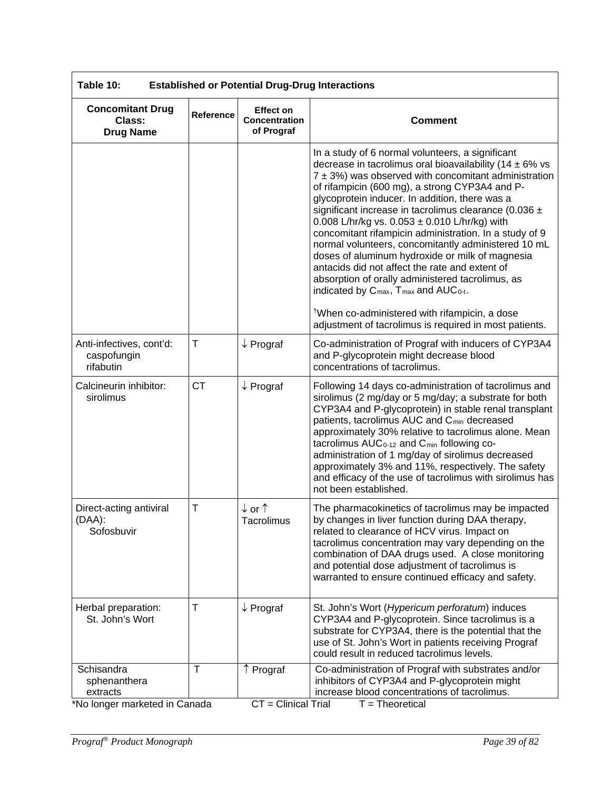| Table 10:<br><b>Established or Potential Drug-Drug Interactions</b>     |             |                                                        |                                                                                                                                                                                                                                                                                                                                                                                                                                                                                                                                                                                                                                                                                                                                                                                                                                                                              |  |
|-------------------------------------------------------------------------|-------------|--------------------------------------------------------|------------------------------------------------------------------------------------------------------------------------------------------------------------------------------------------------------------------------------------------------------------------------------------------------------------------------------------------------------------------------------------------------------------------------------------------------------------------------------------------------------------------------------------------------------------------------------------------------------------------------------------------------------------------------------------------------------------------------------------------------------------------------------------------------------------------------------------------------------------------------------|--|
| <b>Concomitant Drug</b><br>Class:<br><b>Drug Name</b>                   | Reference   | <b>Effect on</b><br><b>Concentration</b><br>of Prograf | <b>Comment</b>                                                                                                                                                                                                                                                                                                                                                                                                                                                                                                                                                                                                                                                                                                                                                                                                                                                               |  |
|                                                                         |             |                                                        | In a study of 6 normal volunteers, a significant<br>decrease in tacrolimus oral bioavailability (14 $\pm$ 6% vs<br>$7 \pm 3$ %) was observed with concomitant administration<br>of rifampicin (600 mg), a strong CYP3A4 and P-<br>glycoprotein inducer. In addition, there was a<br>significant increase in tacrolimus clearance (0.036 ±<br>0.008 L/hr/kg vs. 0.053 $\pm$ 0.010 L/hr/kg) with<br>concomitant rifampicin administration. In a study of 9<br>normal volunteers, concomitantly administered 10 mL<br>doses of aluminum hydroxide or milk of magnesia<br>antacids did not affect the rate and extent of<br>absorption of orally administered tacrolimus, as<br>indicated by C <sub>max</sub> , T <sub>max</sub> and AUC <sub>0-t</sub> .<br><sup>†</sup> When co-administered with rifampicin, a dose<br>adjustment of tacrolimus is required in most patients. |  |
| Anti-infectives, cont'd:<br>caspofungin<br>rifabutin                    | $\mathsf T$ | $\downarrow$ Prograf                                   | Co-administration of Prograf with inducers of CYP3A4<br>and P-glycoprotein might decrease blood<br>concentrations of tacrolimus.                                                                                                                                                                                                                                                                                                                                                                                                                                                                                                                                                                                                                                                                                                                                             |  |
| Calcineurin inhibitor:<br>sirolimus                                     | <b>CT</b>   | $\downarrow$ Prograf                                   | Following 14 days co-administration of tacrolimus and<br>sirolimus (2 mg/day or 5 mg/day; a substrate for both<br>CYP3A4 and P-glycoprotein) in stable renal transplant<br>patients, tacrolimus AUC and C <sub>min</sub> decreased<br>approximately 30% relative to tacrolimus alone. Mean<br>tacrolimus AUC <sub>0-12</sub> and C <sub>min</sub> following co-<br>administration of 1 mg/day of sirolimus decreased<br>approximately 3% and 11%, respectively. The safety<br>and efficacy of the use of tacrolimus with sirolimus has<br>not been established.                                                                                                                                                                                                                                                                                                              |  |
| Direct-acting antiviral<br>(DAA):<br>Sofosbuvir                         | T           | ↓or↑<br>Tacrolimus                                     | The pharmacokinetics of tacrolimus may be impacted<br>by changes in liver function during DAA therapy,<br>related to clearance of HCV virus. Impact on<br>tacrolimus concentration may vary depending on the<br>combination of DAA drugs used. A close monitoring<br>and potential dose adjustment of tacrolimus is<br>warranted to ensure continued efficacy and safety.                                                                                                                                                                                                                                                                                                                                                                                                                                                                                                    |  |
| Herbal preparation:<br>St. John's Wort                                  | T           | $\downarrow$ Prograf                                   | St. John's Wort (Hypericum perforatum) induces<br>CYP3A4 and P-glycoprotein. Since tacrolimus is a<br>substrate for CYP3A4, there is the potential that the<br>use of St. John's Wort in patients receiving Prograf<br>could result in reduced tacrolimus levels.                                                                                                                                                                                                                                                                                                                                                                                                                                                                                                                                                                                                            |  |
| Schisandra<br>sphenanthera<br>extracts<br>*No longer marketed in Canada | T           | ↑ Prograf<br>$\overline{CT}$ = Clinical Trial          | Co-administration of Prograf with substrates and/or<br>inhibitors of CYP3A4 and P-glycoprotein might<br>increase blood concentrations of tacrolimus.<br>$T = Theoretical$                                                                                                                                                                                                                                                                                                                                                                                                                                                                                                                                                                                                                                                                                                    |  |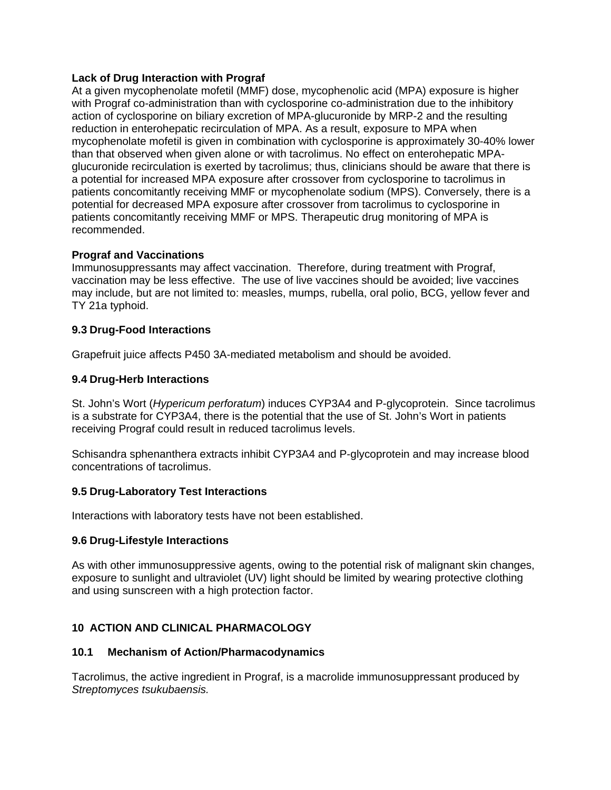### **Lack of Drug Interaction with Prograf**

At a given mycophenolate mofetil (MMF) dose, mycophenolic acid (MPA) exposure is higher with Prograf co-administration than with cyclosporine co-administration due to the inhibitory action of cyclosporine on biliary excretion of MPA-glucuronide by MRP-2 and the resulting reduction in enterohepatic recirculation of MPA. As a result, exposure to MPA when mycophenolate mofetil is given in combination with cyclosporine is approximately 30-40% lower than that observed when given alone or with tacrolimus. No effect on enterohepatic MPAglucuronide recirculation is exerted by tacrolimus; thus, clinicians should be aware that there is a potential for increased MPA exposure after crossover from cyclosporine to tacrolimus in patients concomitantly receiving MMF or mycophenolate sodium (MPS). Conversely, there is a potential for decreased MPA exposure after crossover from tacrolimus to cyclosporine in patients concomitantly receiving MMF or MPS. Therapeutic drug monitoring of MPA is recommended.

### **Prograf and Vaccinations**

Immunosuppressants may affect vaccination. Therefore, during treatment with Prograf, vaccination may be less effective. The use of live vaccines should be avoided; live vaccines may include, but are not limited to: measles, mumps, rubella, oral polio, BCG, yellow fever and TY 21a typhoid.

### **9.3 Drug-Food Interactions**

Grapefruit juice affects P450 3A-mediated metabolism and should be avoided.

### **9.4 Drug-Herb Interactions**

St. John's Wort (*Hypericum perforatum*) induces CYP3A4 and P-glycoprotein. Since tacrolimus is a substrate for CYP3A4, there is the potential that the use of St. John's Wort in patients receiving Prograf could result in reduced tacrolimus levels.

Schisandra sphenanthera extracts inhibit CYP3A4 and P-glycoprotein and may increase blood concentrations of tacrolimus.

### **9.5 Drug-Laboratory Test Interactions**

Interactions with laboratory tests have not been established.

### **9.6 Drug-Lifestyle Interactions**

As with other immunosuppressive agents, owing to the potential risk of malignant skin changes, exposure to sunlight and ultraviolet (UV) light should be limited by wearing protective clothing and using sunscreen with a high protection factor.

### **10 ACTION AND CLINICAL PHARMACOLOGY**

### **10.1 Mechanism of Action/Pharmacodynamics**

Tacrolimus, the active ingredient in Prograf, is a macrolide immunosuppressant produced by *Streptomyces tsukubaensis.*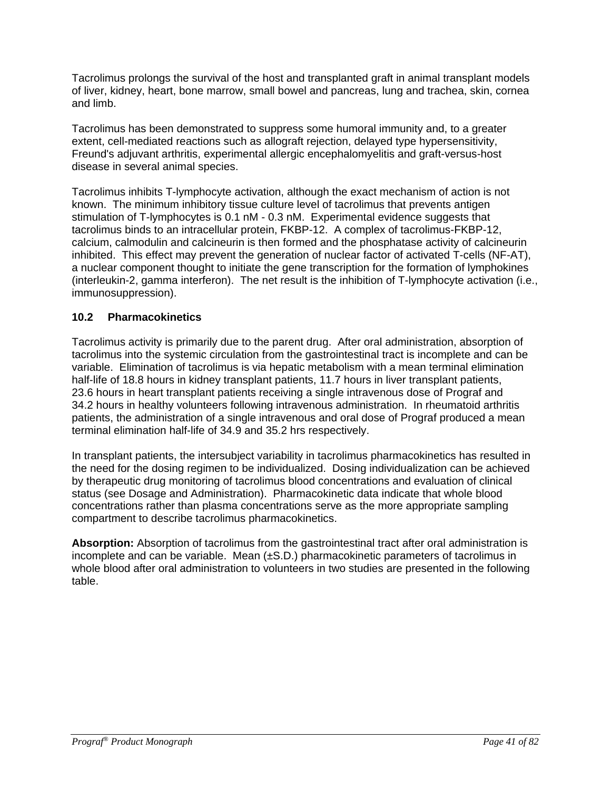Tacrolimus prolongs the survival of the host and transplanted graft in animal transplant models of liver, kidney, heart, bone marrow, small bowel and pancreas, lung and trachea, skin, cornea and limb.

Tacrolimus has been demonstrated to suppress some humoral immunity and, to a greater extent, cell-mediated reactions such as allograft rejection, delayed type hypersensitivity, Freund's adjuvant arthritis, experimental allergic encephalomyelitis and graft-versus-host disease in several animal species.

Tacrolimus inhibits T-lymphocyte activation, although the exact mechanism of action is not known. The minimum inhibitory tissue culture level of tacrolimus that prevents antigen stimulation of T-lymphocytes is 0.1 nM - 0.3 nM. Experimental evidence suggests that tacrolimus binds to an intracellular protein, FKBP-12. A complex of tacrolimus-FKBP-12, calcium, calmodulin and calcineurin is then formed and the phosphatase activity of calcineurin inhibited. This effect may prevent the generation of nuclear factor of activated T-cells (NF-AT), a nuclear component thought to initiate the gene transcription for the formation of lymphokines (interleukin-2, gamma interferon). The net result is the inhibition of T-lymphocyte activation (i.e., immunosuppression).

### **10.2 Pharmacokinetics**

Tacrolimus activity is primarily due to the parent drug. After oral administration, absorption of tacrolimus into the systemic circulation from the gastrointestinal tract is incomplete and can be variable. Elimination of tacrolimus is via hepatic metabolism with a mean terminal elimination half-life of 18.8 hours in kidney transplant patients, 11.7 hours in liver transplant patients, 23.6 hours in heart transplant patients receiving a single intravenous dose of Prograf and 34.2 hours in healthy volunteers following intravenous administration. In rheumatoid arthritis patients, the administration of a single intravenous and oral dose of Prograf produced a mean terminal elimination half-life of 34.9 and 35.2 hrs respectively.

In transplant patients, the intersubject variability in tacrolimus pharmacokinetics has resulted in the need for the dosing regimen to be individualized. Dosing individualization can be achieved by therapeutic drug monitoring of tacrolimus blood concentrations and evaluation of clinical status (see Dosage and Administration). Pharmacokinetic data indicate that whole blood concentrations rather than plasma concentrations serve as the more appropriate sampling compartment to describe tacrolimus pharmacokinetics.

**Absorption:** Absorption of tacrolimus from the gastrointestinal tract after oral administration is incomplete and can be variable. Mean  $(\pm S.D.)$  pharmacokinetic parameters of tacrolimus in whole blood after oral administration to volunteers in two studies are presented in the following table.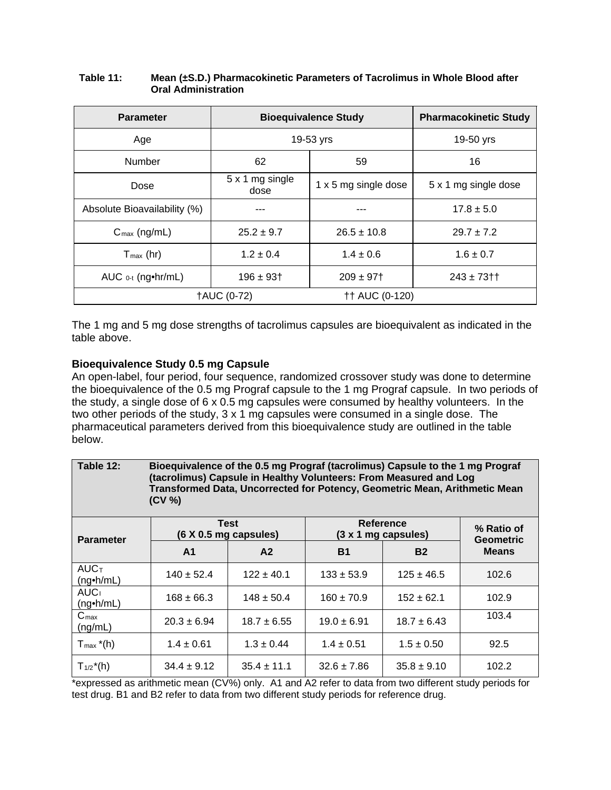| <b>Parameter</b>             | <b>Bioequivalence Study</b> | <b>Pharmacokinetic Study</b> |                      |
|------------------------------|-----------------------------|------------------------------|----------------------|
| Age                          |                             | 19-53 yrs                    | 19-50 yrs            |
| Number                       | 62                          | 59                           | 16                   |
| Dose                         | 5 x 1 mg single<br>dose     | 1 x 5 mg single dose         | 5 x 1 mg single dose |
| Absolute Bioavailability (%) |                             |                              | $17.8 \pm 5.0$       |
| $C_{\text{max}}$ (ng/mL)     | $25.2 \pm 9.7$              | $26.5 \pm 10.8$              | $29.7 \pm 7.2$       |
| $T_{\text{max}}$ (hr)        | $1.2 \pm 0.4$               | $1.4 \pm 0.6$                | $1.6 \pm 0.7$        |
| AUC 0-t (ng•hr/mL)           | $196 \pm 93$ <sup>+</sup>   | $209 \pm 97$ <sup>+</sup>    | $243 \pm 73$ † †     |
| <b>†AUC (0-72)</b>           |                             | <b>†† AUC (0-120)</b>        |                      |

#### **Table 11: Mean (±S.D.) Pharmacokinetic Parameters of Tacrolimus in Whole Blood after Oral Administration**

The 1 mg and 5 mg dose strengths of tacrolimus capsules are bioequivalent as indicated in the table above.

### **Bioequivalence Study 0.5 mg Capsule**

An open-label, four period, four sequence, randomized crossover study was done to determine the bioequivalence of the 0.5 mg Prograf capsule to the 1 mg Prograf capsule. In two periods of the study, a single dose of 6 x 0.5 mg capsules were consumed by healthy volunteers. In the two other periods of the study, 3 x 1 mg capsules were consumed in a single dose. The pharmaceutical parameters derived from this bioequivalence study are outlined in the table below.

| Table 12:                            | Bioequivalence of the 0.5 mg Prograf (tacrolimus) Capsule to the 1 mg Prograf<br>(tacrolimus) Capsule in Healthy Volunteers: From Measured and Log<br>Transformed Data, Uncorrected for Potency, Geometric Mean, Arithmetic Mean<br>(CV %) |                                      |                 |                                    |                                |  |
|--------------------------------------|--------------------------------------------------------------------------------------------------------------------------------------------------------------------------------------------------------------------------------------------|--------------------------------------|-----------------|------------------------------------|--------------------------------|--|
| <b>Parameter</b>                     |                                                                                                                                                                                                                                            | <b>Test</b><br>(6 X 0.5 mg capsules) |                 | Reference<br>$(3 x 1 mg$ capsules) | % Ratio of<br><b>Geometric</b> |  |
|                                      | A <sub>1</sub>                                                                                                                                                                                                                             | A2                                   | <b>B1</b>       | <b>B2</b>                          | <b>Means</b>                   |  |
| <b>AUCT</b><br>$(ng\cdot h/mL)$      | $140 \pm 52.4$                                                                                                                                                                                                                             | $122 \pm 40.1$                       | $133 \pm 53.9$  | $125 \pm 46.5$                     | 102.6                          |  |
| AUC <sub>1</sub><br>$(ng\cdot h/mL)$ | $168 \pm 66.3$                                                                                                                                                                                                                             | $148 \pm 50.4$                       | $160 \pm 70.9$  | $152 \pm 62.1$                     | 102.9                          |  |
| $C_{\text{max}}$<br>(ng/mL)          | $20.3 \pm 6.94$                                                                                                                                                                                                                            | $18.7 \pm 6.55$                      | $19.0 \pm 6.91$ | $18.7 \pm 6.43$                    | 103.4                          |  |
| $T_{\text{max}}$ *(h)                | $1.4 \pm 0.61$                                                                                                                                                                                                                             | $1.3 \pm 0.44$                       | $1.4 \pm 0.51$  | $1.5 \pm 0.50$                     | 92.5                           |  |
| $T_{1/2}$ <sup>*</sup> (h)           | $34.4 \pm 9.12$                                                                                                                                                                                                                            | $35.4 \pm 11.1$                      | $32.6 \pm 7.86$ | $35.8 \pm 9.10$                    | 102.2                          |  |

\*expressed as arithmetic mean (CV%) only. A1 and A2 refer to data from two different study periods for test drug. B1 and B2 refer to data from two different study periods for reference drug.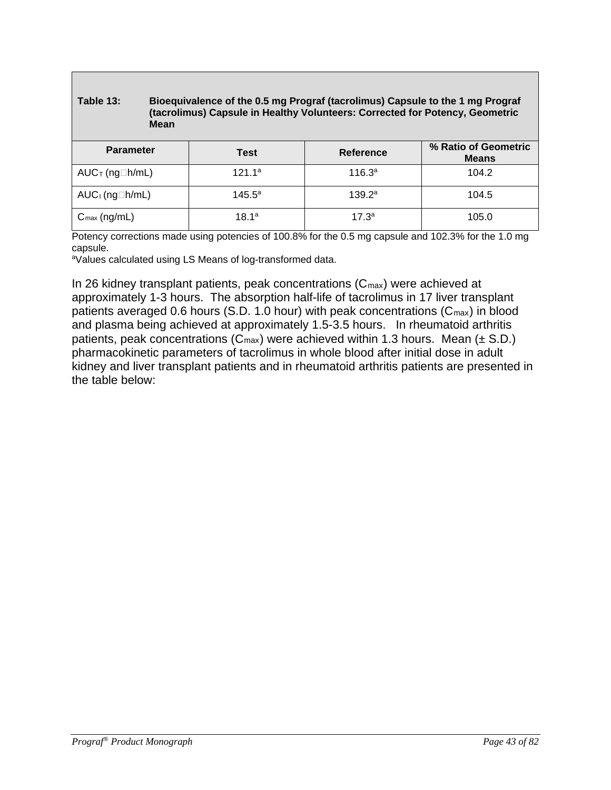#### **Table 13: Bioequivalence of the 0.5 mg Prograf (tacrolimus) Capsule to the 1 mg Prograf (tacrolimus) Capsule in Healthy Volunteers: Corrected for Potency, Geometric Mean**

| <b>Parameter</b>                    | Test               | <b>Reference</b>   | % Ratio of Geometric<br><b>Means</b> |
|-------------------------------------|--------------------|--------------------|--------------------------------------|
| $AUC$ <sub>T</sub> (ng $\Box$ h/mL) | 121.1 <sup>a</sup> | 116.3 <sup>a</sup> | 104.2                                |
| $AUC_1$ (ng $\Box h/mL$ )           | $145.5^{\circ}$    | 139.2 <sup>a</sup> | 104.5                                |
| $C_{\text{max}}$ (ng/mL)            | 18.1 <sup>a</sup>  | $17.3^a$           | 105.0                                |

Potency corrections made using potencies of 100.8% for the 0.5 mg capsule and 102.3% for the 1.0 mg capsule.

aValues calculated using LS Means of log-transformed data.

In 26 kidney transplant patients, peak concentrations  $(C_{\text{max}})$  were achieved at approximately 1-3 hours. The absorption half-life of tacrolimus in 17 liver transplant patients averaged 0.6 hours (S.D. 1.0 hour) with peak concentrations (C<sub>max</sub>) in blood and plasma being achieved at approximately 1.5-3.5 hours. In rheumatoid arthritis patients, peak concentrations ( $C_{\text{max}}$ ) were achieved within 1.3 hours. Mean ( $\pm$  S.D.) pharmacokinetic parameters of tacrolimus in whole blood after initial dose in adult kidney and liver transplant patients and in rheumatoid arthritis patients are presented in the table below: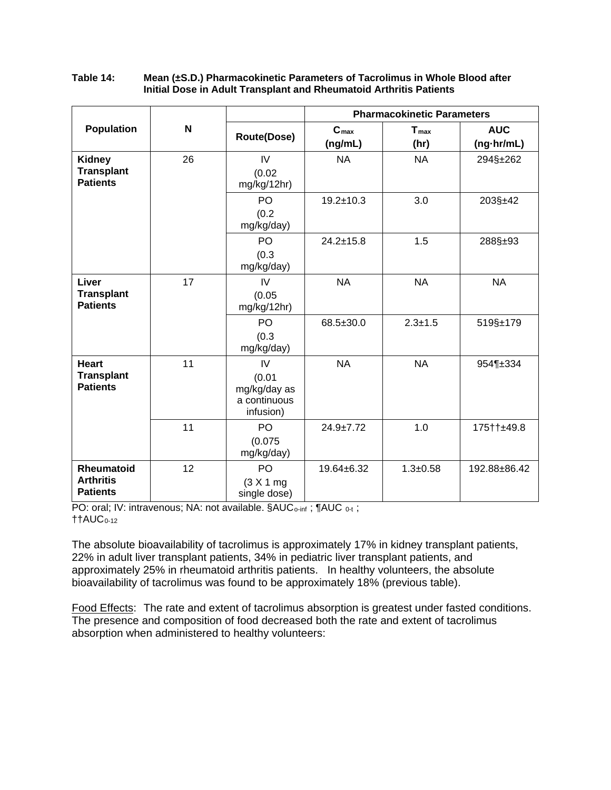| Table 14: | Mean (±S.D.) Pharmacokinetic Parameters of Tacrolimus in Whole Blood after |
|-----------|----------------------------------------------------------------------------|
|           | Initial Dose in Adult Transplant and Rheumatoid Arthritis Patients         |

|                                                       |    |                                                           |                             | <b>Pharmacokinetic Parameters</b> |                          |  |
|-------------------------------------------------------|----|-----------------------------------------------------------|-----------------------------|-----------------------------------|--------------------------|--|
| Population                                            | N  | <b>Route(Dose)</b>                                        | C <sub>max</sub><br>(ng/mL) | $T_{\text{max}}$<br>(hr)          | <b>AUC</b><br>(ng-hr/mL) |  |
| <b>Kidney</b><br><b>Transplant</b><br><b>Patients</b> | 26 | IV<br>(0.02)<br>mg/kg/12hr)                               | <b>NA</b>                   | <b>NA</b>                         | 294§±262                 |  |
|                                                       |    | PO<br>(0.2)<br>mg/kg/day)                                 | $19.2 \pm 10.3$             | 3.0                               | 203§±42                  |  |
|                                                       |    | PO<br>(0.3)<br>mg/kg/day)                                 | $24.2 \pm 15.8$             | 1.5                               | 288§±93                  |  |
| Liver<br><b>Transplant</b><br><b>Patients</b>         | 17 | IV<br>(0.05)<br>mg/kg/12hr)                               | <b>NA</b>                   | <b>NA</b>                         | <b>NA</b>                |  |
|                                                       |    | PO<br>(0.3)<br>mg/kg/day)                                 | 68.5±30.0                   | $2.3 + 1.5$                       | 519§±179                 |  |
| <b>Heart</b><br><b>Transplant</b><br><b>Patients</b>  | 11 | IV<br>(0.01)<br>mg/kg/day as<br>a continuous<br>infusion) | <b>NA</b>                   | <b>NA</b>                         | 954¶±334                 |  |
|                                                       | 11 | P <sub>O</sub><br>(0.075)<br>mg/kg/day)                   | $24.9 \pm 7.72$             | 1.0                               | 175††±49.8               |  |
| Rheumatoid<br><b>Arthritis</b><br><b>Patients</b>     | 12 | PO<br>(3 X 1 mg)<br>single dose)                          | 19.64±6.32                  | $1.3 + 0.58$                      | 192.88±86.42             |  |

PO: oral; IV: intravenous; NA: not available. §AUC<sub>o-inf</sub>; ¶AUC <sub>0-t</sub>;  $\uparrow$ †AUC<sub>0-12</sub>

The absolute bioavailability of tacrolimus is approximately 17% in kidney transplant patients, 22% in adult liver transplant patients, 34% in pediatric liver transplant patients, and approximately 25% in rheumatoid arthritis patients. In healthy volunteers, the absolute bioavailability of tacrolimus was found to be approximately 18% (previous table).

Food Effects: The rate and extent of tacrolimus absorption is greatest under fasted conditions. The presence and composition of food decreased both the rate and extent of tacrolimus absorption when administered to healthy volunteers: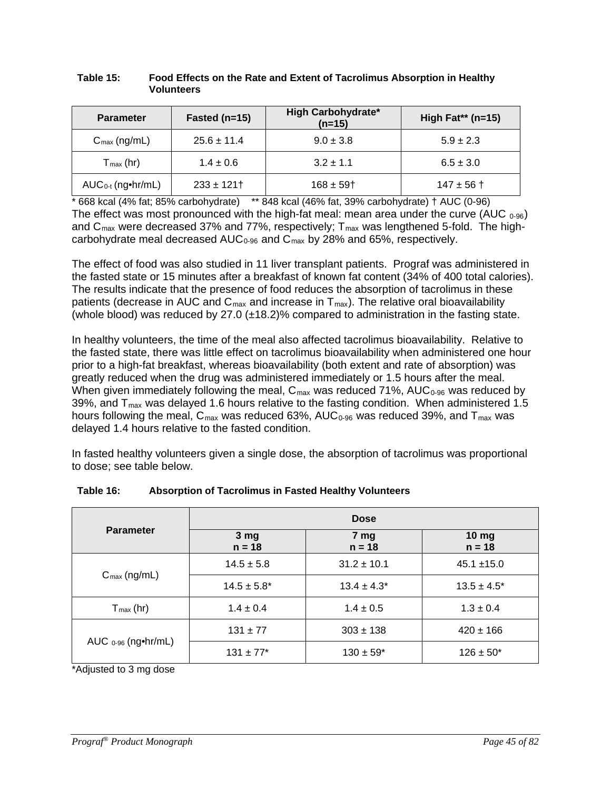| <b>Parameter</b>         | Fasted ( $n=15$ ) | High Carbohydrate*<br>$(n=15)$ | High Fat** ( $n=15$ ) |
|--------------------------|-------------------|--------------------------------|-----------------------|
| $C_{\text{max}}$ (ng/mL) | $25.6 \pm 11.4$   | $9.0 \pm 3.8$                  | $5.9 \pm 2.3$         |
| $T_{max}$ (hr)           | $1.4 \pm 0.6$     | $3.2 \pm 1.1$                  | $6.5 \pm 3.0$         |
| $AUC_{0-t}$ (ng•hr/mL)   | $233 \pm 121$     | $168 \pm 59$ <sup>+</sup>      | $147 \pm 56$ †        |

#### **Table 15: Food Effects on the Rate and Extent of Tacrolimus Absorption in Healthy Volunteers**

 $*$  668 kcal ( $\overline{4\%}$  fat; 85% carbohydrate)  $*$  848 kcal (46% fat, 39% carbohydrate)  $\dagger$  AUC (0-96) The effect was most pronounced with the high-fat meal: mean area under the curve (AUC  $_{0.96}$ ) and  $C_{\text{max}}$  were decreased 37% and 77%, respectively;  $T_{\text{max}}$  was lengthened 5-fold. The highcarbohydrate meal decreased AUC<sub>0-96</sub> and C<sub>max</sub> by 28% and 65%, respectively.

The effect of food was also studied in 11 liver transplant patients. Prograf was administered in the fasted state or 15 minutes after a breakfast of known fat content (34% of 400 total calories). The results indicate that the presence of food reduces the absorption of tacrolimus in these patients (decrease in AUC and  $C_{\text{max}}$  and increase in  $T_{\text{max}}$ ). The relative oral bioavailability (whole blood) was reduced by 27.0  $(\pm 18.2)$ % compared to administration in the fasting state.

In healthy volunteers, the time of the meal also affected tacrolimus bioavailability. Relative to the fasted state, there was little effect on tacrolimus bioavailability when administered one hour prior to a high-fat breakfast, whereas bioavailability (both extent and rate of absorption) was greatly reduced when the drug was administered immediately or 1.5 hours after the meal. When given immediately following the meal,  $C_{\text{max}}$  was reduced 71%, AUC<sub>0-96</sub> was reduced by 39%, and  $T_{\text{max}}$  was delayed 1.6 hours relative to the fasting condition. When administered 1.5 hours following the meal,  $C_{\text{max}}$  was reduced 63%, AUC<sub>0-96</sub> was reduced 39%, and  $T_{\text{max}}$  was delayed 1.4 hours relative to the fasted condition.

In fasted healthy volunteers given a single dose, the absorption of tacrolimus was proportional to dose; see table below.

|                                 | <b>Dose</b>                 |                             |                   |  |  |
|---------------------------------|-----------------------------|-----------------------------|-------------------|--|--|
| <b>Parameter</b>                | 3 <sub>mg</sub><br>$n = 18$ | 7 <sub>mg</sub><br>$n = 18$ | 10 mg<br>$n = 18$ |  |  |
| $C_{\text{max}}$ (ng/mL)        | $14.5 \pm 5.8$              | $31.2 \pm 10.1$             | $45.1 \pm 15.0$   |  |  |
|                                 | $14.5 \pm 5.8^*$            | $13.4 \pm 4.3^*$            | $13.5 \pm 4.5^*$  |  |  |
| $T_{\text{max}}$ (hr)           | $1.4 \pm 0.4$               | $1.4 \pm 0.5$               | $1.3 \pm 0.4$     |  |  |
| AUC $0.96$ (ng $\bullet$ hr/mL) | $131 \pm 77$                | $303 \pm 138$               | $420 \pm 166$     |  |  |
|                                 | $131 \pm 77$ *              | $130 \pm 59*$               | $126 \pm 50^*$    |  |  |

**Table 16: Absorption of Tacrolimus in Fasted Healthy Volunteers**

\*Adjusted to 3 mg dose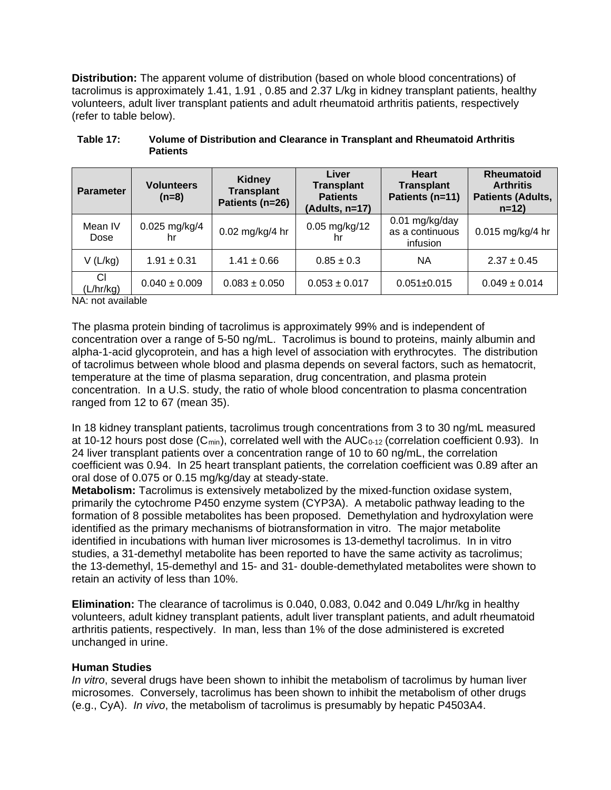**Distribution:** The apparent volume of distribution (based on whole blood concentrations) of tacrolimus is approximately 1.41, 1.91 , 0.85 and 2.37 L/kg in kidney transplant patients, healthy volunteers, adult liver transplant patients and adult rheumatoid arthritis patients, respectively (refer to table below).

| <b>Parameter</b>            | <b>Volunteers</b><br>$(n=8)$ | <b>Kidney</b><br><b>Transplant</b><br>Patients (n=26) | Liver<br><b>Transplant</b><br><b>Patients</b><br>(Adults, n=17) | <b>Heart</b><br><b>Transplant</b><br>Patients (n=11) | <b>Rheumatoid</b><br><b>Arthritis</b><br><b>Patients (Adults,</b><br>$n=12$ |
|-----------------------------|------------------------------|-------------------------------------------------------|-----------------------------------------------------------------|------------------------------------------------------|-----------------------------------------------------------------------------|
| Mean IV<br>Dose             | 0.025 mg/kg/4<br>hr          | 0.02 mg/kg/4 hr                                       | $0.05$ mg/kg/12<br>hr                                           | 0.01 mg/kg/day<br>as a continuous<br>infusion        | 0.015 mg/kg/4 hr                                                            |
| V(L/kg)                     | $1.91 \pm 0.31$              | $1.41 \pm 0.66$                                       | $0.85 \pm 0.3$                                                  | NА                                                   | $2.37 \pm 0.45$                                                             |
| CI<br>(L/hr/kg)<br>$\cdots$ | $0.040 \pm 0.009$            | $0.083 \pm 0.050$                                     | $0.053 \pm 0.017$                                               | $0.051 \pm 0.015$                                    | $0.049 \pm 0.014$                                                           |

| Table 17: | Volume of Distribution and Clearance in Transplant and Rheumatoid Arthritis |
|-----------|-----------------------------------------------------------------------------|
|           | <b>Patients</b>                                                             |

NA: not available

The plasma protein binding of tacrolimus is approximately 99% and is independent of concentration over a range of 5-50 ng/mL. Tacrolimus is bound to proteins, mainly albumin and alpha-1-acid glycoprotein, and has a high level of association with erythrocytes. The distribution of tacrolimus between whole blood and plasma depends on several factors, such as hematocrit, temperature at the time of plasma separation, drug concentration, and plasma protein concentration. In a U.S. study, the ratio of whole blood concentration to plasma concentration ranged from 12 to 67 (mean 35).

In 18 kidney transplant patients, tacrolimus trough concentrations from 3 to 30 ng/mL measured at 10-12 hours post dose  $(C_{min})$ , correlated well with the AUC<sub>0-12</sub> (correlation coefficient 0.93). In 24 liver transplant patients over a concentration range of 10 to 60 ng/mL, the correlation coefficient was 0.94. In 25 heart transplant patients, the correlation coefficient was 0.89 after an oral dose of 0.075 or 0.15 mg/kg/day at steady-state.

**Metabolism:** Tacrolimus is extensively metabolized by the mixed-function oxidase system, primarily the cytochrome P450 enzyme system (CYP3A). A metabolic pathway leading to the formation of 8 possible metabolites has been proposed. Demethylation and hydroxylation were identified as the primary mechanisms of biotransformation in vitro. The major metabolite identified in incubations with human liver microsomes is 13-demethyl tacrolimus. In in vitro studies, a 31-demethyl metabolite has been reported to have the same activity as tacrolimus; the 13-demethyl, 15-demethyl and 15- and 31- double-demethylated metabolites were shown to retain an activity of less than 10%.

**Elimination:** The clearance of tacrolimus is 0.040, 0.083, 0.042 and 0.049 L/hr/kg in healthy volunteers, adult kidney transplant patients, adult liver transplant patients, and adult rheumatoid arthritis patients, respectively. In man, less than 1% of the dose administered is excreted unchanged in urine.

#### **Human Studies**

*In vitro*, several drugs have been shown to inhibit the metabolism of tacrolimus by human liver microsomes. Conversely, tacrolimus has been shown to inhibit the metabolism of other drugs (e.g., CyA). *In vivo*, the metabolism of tacrolimus is presumably by hepatic P4503A4.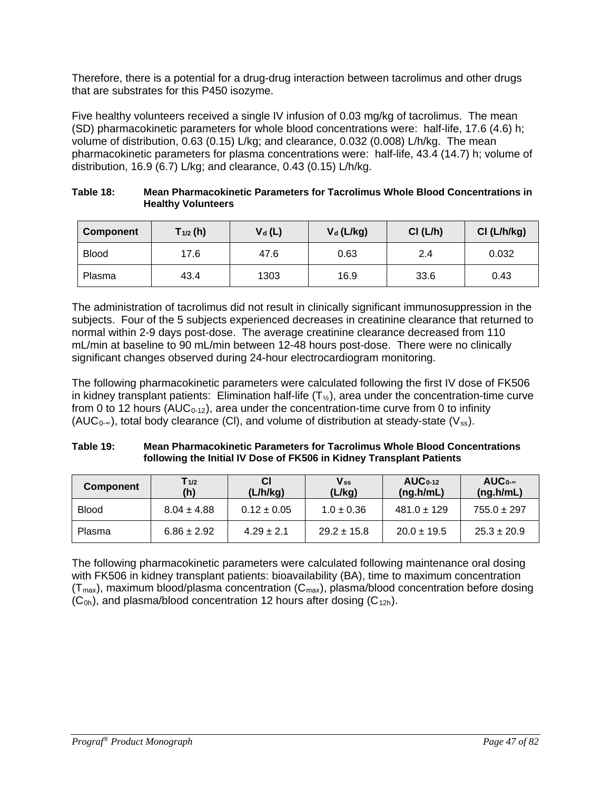Therefore, there is a potential for a drug-drug interaction between tacrolimus and other drugs that are substrates for this P450 isozyme.

Five healthy volunteers received a single IV infusion of 0.03 mg/kg of tacrolimus. The mean (SD) pharmacokinetic parameters for whole blood concentrations were: half-life, 17.6 (4.6) h; volume of distribution, 0.63 (0.15) L/kg; and clearance, 0.032 (0.008) L/h/kg. The mean pharmacokinetic parameters for plasma concentrations were: half-life, 43.4 (14.7) h; volume of distribution, 16.9 (6.7) L/kg; and clearance, 0.43 (0.15) L/h/kg.

| Table 18: | Mean Pharmacokinetic Parameters for Tacrolimus Whole Blood Concentrations in |
|-----------|------------------------------------------------------------------------------|
|           | <b>Healthy Volunteers</b>                                                    |

| <b>Component</b> | $T_{1/2}$ (h) | $V_d(L)$ | $V_d$ (L/kg) | CI(L/h) | Cl (L/h/kg) |
|------------------|---------------|----------|--------------|---------|-------------|
| <b>Blood</b>     | 17.6          | 47.6     | 0.63         | 2.4     | 0.032       |
| Plasma           | 43.4          | 1303     | 16.9         | 33.6    | 0.43        |

The administration of tacrolimus did not result in clinically significant immunosuppression in the subjects. Four of the 5 subjects experienced decreases in creatinine clearance that returned to normal within 2-9 days post-dose. The average creatinine clearance decreased from 110 mL/min at baseline to 90 mL/min between 12-48 hours post-dose. There were no clinically significant changes observed during 24-hour electrocardiogram monitoring.

The following pharmacokinetic parameters were calculated following the first IV dose of FK506 in kidney transplant patients: Elimination half-life  $(T_{\%})$ , area under the concentration-time curve from 0 to 12 hours ( $AUC_{0-12}$ ), area under the concentration-time curve from 0 to infinity (AUC<sub>0-∞</sub>), total body clearance (Cl), and volume of distribution at steady-state (V<sub>ss</sub>).

| Table 19: | Mean Pharmacokinetic Parameters for Tacrolimus Whole Blood Concentrations |
|-----------|---------------------------------------------------------------------------|
|           | following the Initial IV Dose of FK506 in Kidney Transplant Patients      |

| <b>Component</b> | $T_{1/2}$<br>(h) | (L/h/kg)        | $V_{ss}$<br>(L/kg) | $AUC_{0-12}$<br>(ng.h/mL) | $AUC_{0-\infty}$<br>(ng.h/mL) |
|------------------|------------------|-----------------|--------------------|---------------------------|-------------------------------|
| <b>Blood</b>     | $8.04 \pm 4.88$  | $0.12 \pm 0.05$ | $1.0 \pm 0.36$     | $481.0 \pm 129$           | $755.0 \pm 297$               |
| Plasma           | $6.86 \pm 2.92$  | $4.29 \pm 2.1$  | $29.2 \pm 15.8$    | $20.0 \pm 19.5$           | $25.3 \pm 20.9$               |

The following pharmacokinetic parameters were calculated following maintenance oral dosing with FK506 in kidney transplant patients: bioavailability (BA), time to maximum concentration  $(T_{max})$ , maximum blood/plasma concentration  $(C_{max})$ , plasma/blood concentration before dosing  $(C<sub>0h</sub>)$ , and plasma/blood concentration 12 hours after dosing  $(C<sub>12h</sub>)$ .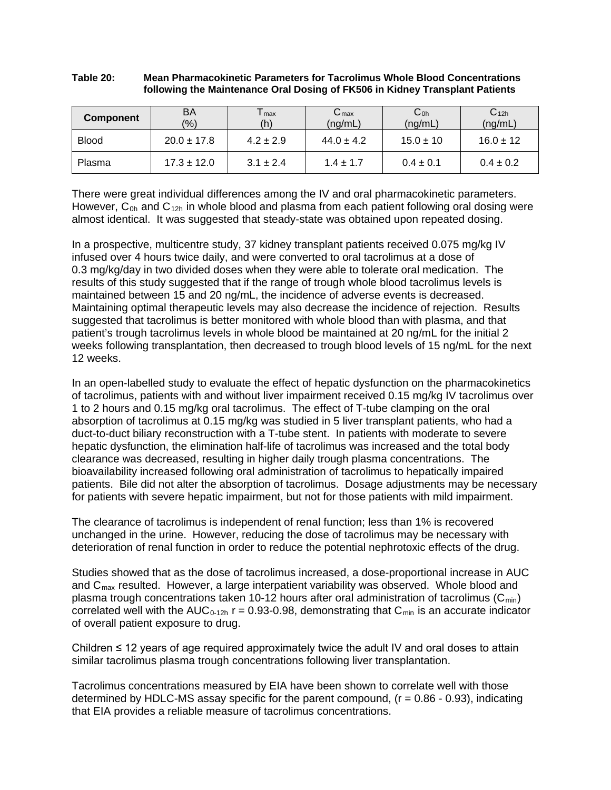#### **Table 20: Mean Pharmacokinetic Parameters for Tacrolimus Whole Blood Concentrations following the Maintenance Oral Dosing of FK506 in Kidney Transplant Patients**

| <b>Component</b> | BA<br>(9/6)     | l max<br>(h)  | $C_{\text{max}}$<br>(ng/mL) | Co <sub>h</sub><br>(ng/mL) | C <sub>12h</sub><br>(ng/mL) |
|------------------|-----------------|---------------|-----------------------------|----------------------------|-----------------------------|
| <b>Blood</b>     | $20.0 \pm 17.8$ | $4.2 \pm 2.9$ | $44.0 \pm 4.2$              | $15.0 \pm 10$              | $16.0 \pm 12$               |
| Plasma           | $17.3 \pm 12.0$ | $3.1 \pm 2.4$ | $1.4 + 1.7$                 | $0.4 \pm 0.1$              | $0.4 \pm 0.2$               |

There were great individual differences among the IV and oral pharmacokinetic parameters. However,  $C_{0h}$  and  $C_{12h}$  in whole blood and plasma from each patient following oral dosing were almost identical. It was suggested that steady-state was obtained upon repeated dosing.

In a prospective, multicentre study, 37 kidney transplant patients received 0.075 mg/kg IV infused over 4 hours twice daily, and were converted to oral tacrolimus at a dose of 0.3 mg/kg/day in two divided doses when they were able to tolerate oral medication. The results of this study suggested that if the range of trough whole blood tacrolimus levels is maintained between 15 and 20 ng/mL, the incidence of adverse events is decreased. Maintaining optimal therapeutic levels may also decrease the incidence of rejection. Results suggested that tacrolimus is better monitored with whole blood than with plasma, and that patient's trough tacrolimus levels in whole blood be maintained at 20 ng/mL for the initial 2 weeks following transplantation, then decreased to trough blood levels of 15 ng/mL for the next 12 weeks.

In an open-labelled study to evaluate the effect of hepatic dysfunction on the pharmacokinetics of tacrolimus, patients with and without liver impairment received 0.15 mg/kg IV tacrolimus over 1 to 2 hours and 0.15 mg/kg oral tacrolimus. The effect of T-tube clamping on the oral absorption of tacrolimus at 0.15 mg/kg was studied in 5 liver transplant patients, who had a duct-to-duct biliary reconstruction with a T-tube stent. In patients with moderate to severe hepatic dysfunction, the elimination half-life of tacrolimus was increased and the total body clearance was decreased, resulting in higher daily trough plasma concentrations. The bioavailability increased following oral administration of tacrolimus to hepatically impaired patients. Bile did not alter the absorption of tacrolimus. Dosage adjustments may be necessary for patients with severe hepatic impairment, but not for those patients with mild impairment.

The clearance of tacrolimus is independent of renal function; less than 1% is recovered unchanged in the urine. However, reducing the dose of tacrolimus may be necessary with deterioration of renal function in order to reduce the potential nephrotoxic effects of the drug.

Studies showed that as the dose of tacrolimus increased, a dose-proportional increase in AUC and  $C<sub>max</sub>$  resulted. However, a large interpatient variability was observed. Whole blood and plasma trough concentrations taken 10-12 hours after oral administration of tacrolimus ( $C_{min}$ ) correlated well with the AUC<sub>0-12h</sub>  $r = 0.93$ -0.98, demonstrating that C<sub>min</sub> is an accurate indicator of overall patient exposure to drug.

Children ≤ 12 years of age required approximately twice the adult IV and oral doses to attain similar tacrolimus plasma trough concentrations following liver transplantation.

Tacrolimus concentrations measured by EIA have been shown to correlate well with those determined by HDLC-MS assay specific for the parent compound,  $(r = 0.86 - 0.93)$ , indicating that EIA provides a reliable measure of tacrolimus concentrations.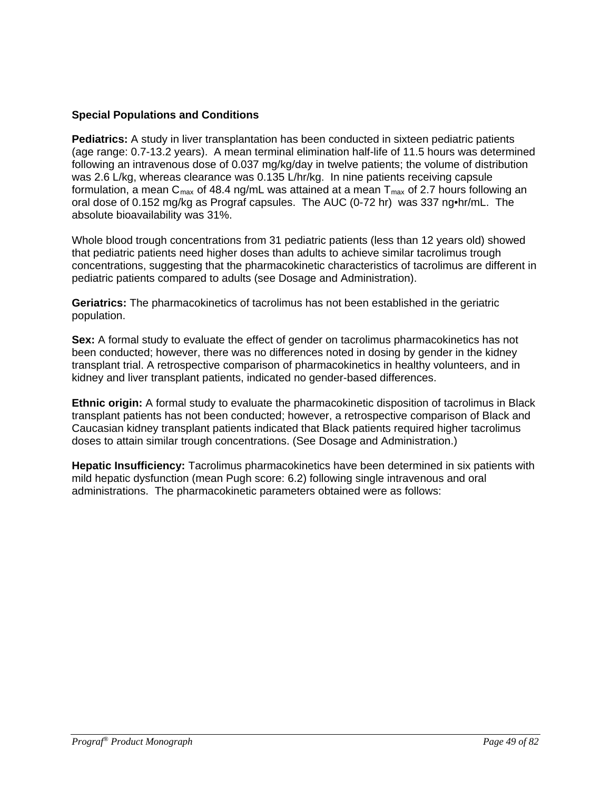### **Special Populations and Conditions**

**Pediatrics:** A study in liver transplantation has been conducted in sixteen pediatric patients (age range: 0.7-13.2 years). A mean terminal elimination half-life of 11.5 hours was determined following an intravenous dose of 0.037 mg/kg/day in twelve patients; the volume of distribution was 2.6 L/kg, whereas clearance was 0.135 L/hr/kg. In nine patients receiving capsule formulation, a mean  $C_{\text{max}}$  of 48.4 ng/mL was attained at a mean  $T_{\text{max}}$  of 2.7 hours following an oral dose of 0.152 mg/kg as Prograf capsules. The AUC (0-72 hr) was 337 ng•hr/mL. The absolute bioavailability was 31%.

Whole blood trough concentrations from 31 pediatric patients (less than 12 years old) showed that pediatric patients need higher doses than adults to achieve similar tacrolimus trough concentrations, suggesting that the pharmacokinetic characteristics of tacrolimus are different in pediatric patients compared to adults (see Dosage and Administration).

**Geriatrics:** The pharmacokinetics of tacrolimus has not been established in the geriatric population.

**Sex:** A formal study to evaluate the effect of gender on tacrolimus pharmacokinetics has not been conducted; however, there was no differences noted in dosing by gender in the kidney transplant trial. A retrospective comparison of pharmacokinetics in healthy volunteers, and in kidney and liver transplant patients, indicated no gender-based differences.

**Ethnic origin:** A formal study to evaluate the pharmacokinetic disposition of tacrolimus in Black transplant patients has not been conducted; however, a retrospective comparison of Black and Caucasian kidney transplant patients indicated that Black patients required higher tacrolimus doses to attain similar trough concentrations. (See Dosage and Administration.)

**Hepatic Insufficiency:** Tacrolimus pharmacokinetics have been determined in six patients with mild hepatic dysfunction (mean Pugh score: 6.2) following single intravenous and oral administrations. The pharmacokinetic parameters obtained were as follows: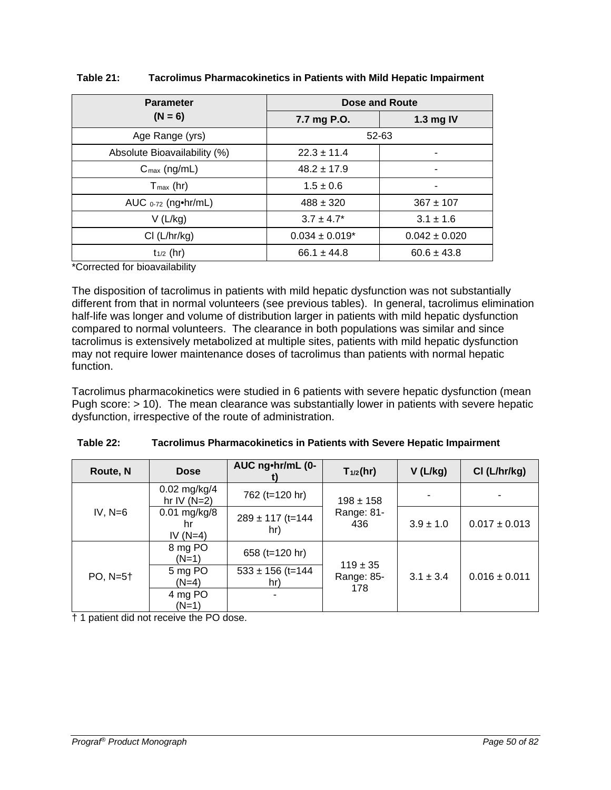| <b>Parameter</b>                   | <b>Dose and Route</b> |                   |  |  |
|------------------------------------|-----------------------|-------------------|--|--|
| $(N = 6)$                          | 7.7 mg P.O.           | 1.3 mg IV         |  |  |
| Age Range (yrs)                    |                       | 52-63             |  |  |
| Absolute Bioavailability (%)       | $22.3 \pm 11.4$       | ٠                 |  |  |
| $C_{\text{max}}$ (ng/mL)           | $48.2 \pm 17.9$       |                   |  |  |
| $T_{\text{max}}$ (hr)              | $1.5 \pm 0.6$         |                   |  |  |
| AUC $_{0-72}$ (ng $\bullet$ hr/mL) | $488 \pm 320$         | $367 \pm 107$     |  |  |
| V(L/kg)                            | $3.7 \pm 4.7^*$       | $3.1 \pm 1.6$     |  |  |
| Cl (L/hr/kg)                       | $0.034 \pm 0.019$ *   | $0.042 \pm 0.020$ |  |  |
| $t_{1/2}$ (hr)                     | $66.1 \pm 44.8$       | $60.6 \pm 43.8$   |  |  |

#### **Table 21: Tacrolimus Pharmacokinetics in Patients with Mild Hepatic Impairment**

\*Corrected for bioavailability

The disposition of tacrolimus in patients with mild hepatic dysfunction was not substantially different from that in normal volunteers (see previous tables). In general, tacrolimus elimination half-life was longer and volume of distribution larger in patients with mild hepatic dysfunction compared to normal volunteers. The clearance in both populations was similar and since tacrolimus is extensively metabolized at multiple sites, patients with mild hepatic dysfunction may not require lower maintenance doses of tacrolimus than patients with normal hepatic function.

Tacrolimus pharmacokinetics were studied in 6 patients with severe hepatic dysfunction (mean Pugh score: > 10). The mean clearance was substantially lower in patients with severe hepatic dysfunction, irrespective of the route of administration.

| Route, N<br><b>Dose</b> |                                    | AUC ng•hr/mL (0-            | $T_{1/2}$ (hr)             | $V$ (L/kg)    | CI (L/hr/kg)      |
|-------------------------|------------------------------------|-----------------------------|----------------------------|---------------|-------------------|
| $IV, N=6$               | $0.02$ mg/kg/4<br>hr IV $(N=2)$    | 762 (t=120 hr)              | $198 \pm 158$              |               |                   |
|                         | $0.01$ mg/kg/8<br>hr<br>IV $(N=4)$ | $289 \pm 117$ (t=144<br>hr) | Range: 81-<br>436          | $3.9 \pm 1.0$ | $0.017 \pm 0.013$ |
|                         | 8 mg PO<br>$(N=1)$                 | 658 (t=120 hr)              | $119 \pm 35$<br>Range: 85- | $3.1 \pm 3.4$ | $0.016 \pm 0.011$ |
| PO, N=5†                | 5 mg PO<br>$(N=4)$                 | $533 \pm 156$ (t=144<br>hr) |                            |               |                   |
|                         | 4 mg PO<br>$(N=1)$                 |                             | 178                        |               |                   |

| Table 22: | Tacrolimus Pharmacokinetics in Patients with Severe Hepatic Impairment |
|-----------|------------------------------------------------------------------------|
|-----------|------------------------------------------------------------------------|

† 1 patient did not receive the PO dose.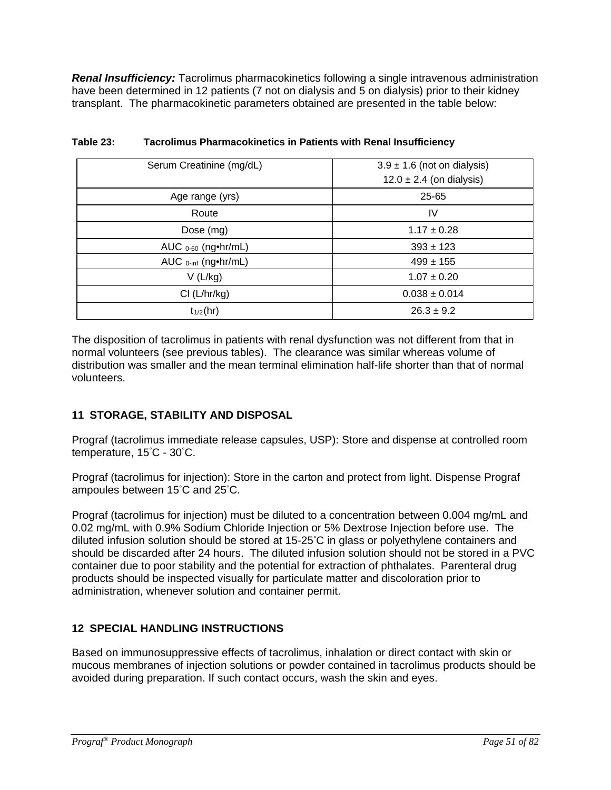*Renal Insufficiency:* Tacrolimus pharmacokinetics following a single intravenous administration have been determined in 12 patients (7 not on dialysis and 5 on dialysis) prior to their kidney transplant. The pharmacokinetic parameters obtained are presented in the table below:

| Serum Creatinine (mg/dL)                   | $3.9 \pm 1.6$ (not on dialysis) |
|--------------------------------------------|---------------------------------|
|                                            | $12.0 \pm 2.4$ (on dialysis)    |
| Age range (yrs)                            | 25-65                           |
| Route                                      | IV                              |
| Dose (mg)                                  | $1.17 \pm 0.28$                 |
| AUC $0.60$ (ng $\bullet$ hr/mL)            | $393 \pm 123$                   |
| AUC $_{0\text{-inf}}$ (ng $\bullet$ hr/mL) | $499 \pm 155$                   |
| V(L/kg)                                    | $1.07 \pm 0.20$                 |
| Cl (L/hr/kg)                               | $0.038 \pm 0.014$               |
| $t_{1/2}$ (hr)                             | $26.3 \pm 9.2$                  |

| Table 23: | <b>Tacrolimus Pharmacokinetics in Patients with Renal Insufficiency</b> |
|-----------|-------------------------------------------------------------------------|
|-----------|-------------------------------------------------------------------------|

The disposition of tacrolimus in patients with renal dysfunction was not different from that in normal volunteers (see previous tables). The clearance was similar whereas volume of distribution was smaller and the mean terminal elimination half-life shorter than that of normal volunteers.

### **11 STORAGE, STABILITY AND DISPOSAL**

Prograf (tacrolimus immediate release capsules, USP): Store and dispense at controlled room temperature, 15° C - 30° C.

Prograf (tacrolimus for injection): Store in the carton and protect from light. Dispense Prograf ampoules between 15° C and 25° C.

Prograf (tacrolimus for injection) must be diluted to a concentration between 0.004 mg/mL and 0.02 mg/mL with 0.9% Sodium Chloride Injection or 5% Dextrose Injection before use. The diluted infusion solution should be stored at 15-25° C in glass or polyethylene containers and should be discarded after 24 hours. The diluted infusion solution should not be stored in a PVC container due to poor stability and the potential for extraction of phthalates. Parenteral drug products should be inspected visually for particulate matter and discoloration prior to administration, whenever solution and container permit.

### **12 SPECIAL HANDLING INSTRUCTIONS**

Based on immunosuppressive effects of tacrolimus, inhalation or direct contact with skin or mucous membranes of injection solutions or powder contained in tacrolimus products should be avoided during preparation. If such contact occurs, wash the skin and eyes.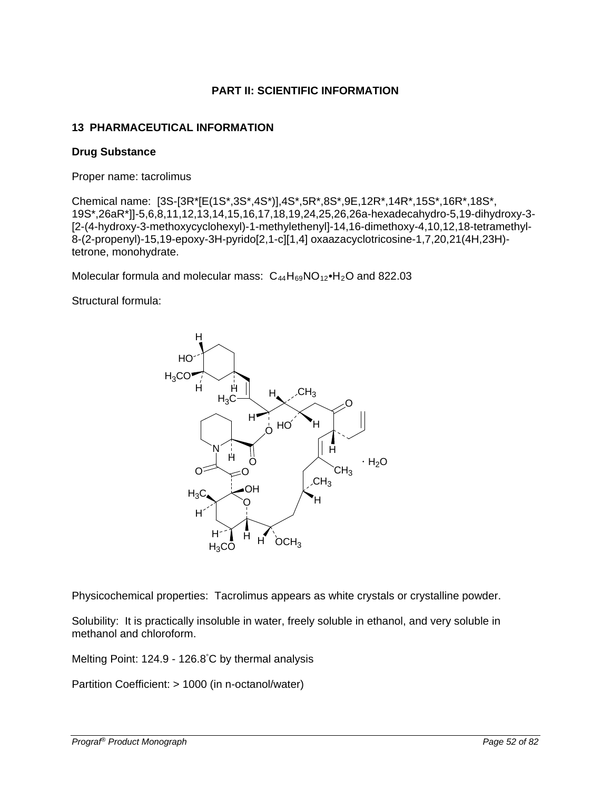### **PART II: SCIENTIFIC INFORMATION**

### **13 PHARMACEUTICAL INFORMATION**

#### **Drug Substance**

Proper name: tacrolimus

Chemical name: [3S-[3R\*[E(1S\*,3S\*,4S\*)],4S\*,5R\*,8S\*,9E,12R\*,14R\*,15S\*,16R\*,18S\*, 19S\*,26aR\*]]-5,6,8,11,12,13,14,15,16,17,18,19,24,25,26,26a-hexadecahydro-5,19-dihydroxy-3- [2-(4-hydroxy-3-methoxycyclohexyl)-1-methylethenyl]-14,16-dimethoxy-4,10,12,18-tetramethyl-8-(2-propenyl)-15,19-epoxy-3H-pyrido[2,1-c][1,4] oxaazacyclotricosine-1,7,20,21(4H,23H) tetrone, monohydrate.

Molecular formula and molecular mass:  $C_{44}H_{69}NO_{12}$ •H<sub>2</sub>O and 822.03

Structural formula:



Physicochemical properties: Tacrolimus appears as white crystals or crystalline powder.

Solubility: It is practically insoluble in water, freely soluble in ethanol, and very soluble in methanol and chloroform.

Melting Point: 124.9 - 126.8° C by thermal analysis

Partition Coefficient: > 1000 (in n-octanol/water)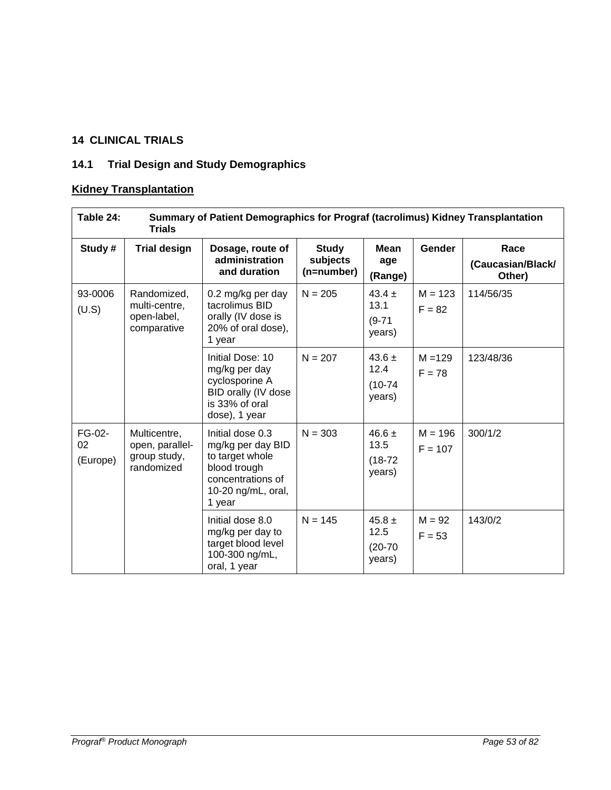# **14 CLINICAL TRIALS**

# **14.1 Trial Design and Study Demographics**

# **Kidney Transplantation**

| Table 24:                | Summary of Patient Demographics for Prograf (tacrolimus) Kidney Transplantation<br><b>Trials</b> |                                                                                                                               |                                        |                                           |                        |                                     |  |
|--------------------------|--------------------------------------------------------------------------------------------------|-------------------------------------------------------------------------------------------------------------------------------|----------------------------------------|-------------------------------------------|------------------------|-------------------------------------|--|
| Study#                   | <b>Trial design</b>                                                                              | Dosage, route of<br>administration<br>and duration                                                                            | <b>Study</b><br>subjects<br>(n=number) | <b>Mean</b><br>age<br>(Range)             | <b>Gender</b>          | Race<br>(Caucasian/Black/<br>Other) |  |
| 93-0006<br>(U.S)         | Randomized,<br>multi-centre,<br>open-label,<br>comparative                                       | 0.2 mg/kg per day<br>tacrolimus BID<br>orally (IV dose is<br>20% of oral dose),<br>1 year                                     | $N = 205$                              | $43.4 \pm$<br>13.1<br>$(9-71)$<br>years)  | $M = 123$<br>$F = 82$  | 114/56/35                           |  |
|                          |                                                                                                  | Initial Dose: 10<br>mg/kg per day<br>cyclosporine A<br>BID orally (IV dose<br>is 33% of oral<br>dose), 1 year                 | $N = 207$                              | $43.6 \pm$<br>12.4<br>$(10-74)$<br>years) | $M = 129$<br>$F = 78$  | 123/48/36                           |  |
| FG-02-<br>02<br>(Europe) | Multicentre,<br>open, parallel-<br>group study,<br>randomized                                    | Initial dose 0.3<br>mg/kg per day BID<br>to target whole<br>blood trough<br>concentrations of<br>10-20 ng/mL, oral,<br>1 year | $N = 303$                              | 46.6 $\pm$<br>13.5<br>$(18-72)$<br>years) | $M = 196$<br>$F = 107$ | 300/1/2                             |  |
|                          |                                                                                                  | Initial dose 8.0<br>mg/kg per day to<br>target blood level<br>100-300 ng/mL,<br>oral, 1 year                                  | $N = 145$                              | 45.8 $\pm$<br>12.5<br>$(20-70)$<br>years) | $M = 92$<br>$F = 53$   | 143/0/2                             |  |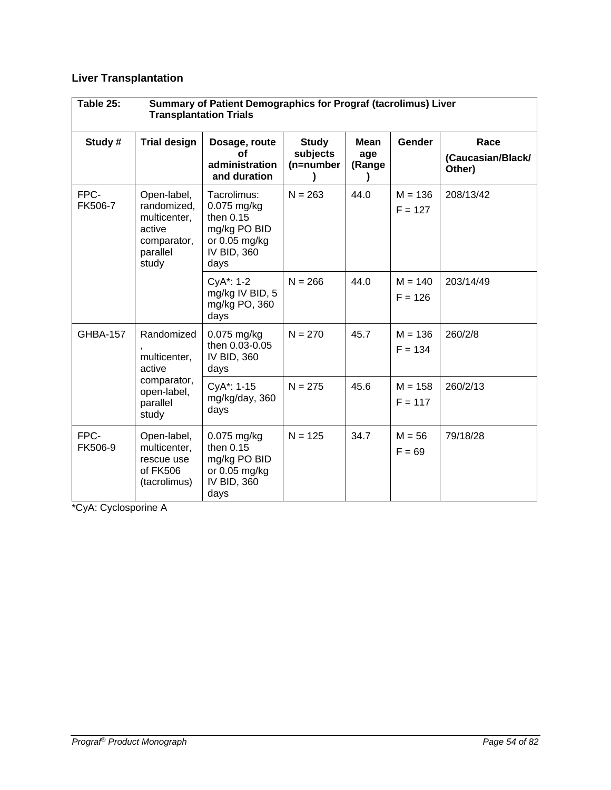# **Liver Transplantation**

| Table 25:<br>Summary of Patient Demographics for Prograf (tacrolimus) Liver<br><b>Transplantation Trials</b> |                                                                                          |                                                                                                     |                                       |                              |                        |                                     |  |  |
|--------------------------------------------------------------------------------------------------------------|------------------------------------------------------------------------------------------|-----------------------------------------------------------------------------------------------------|---------------------------------------|------------------------------|------------------------|-------------------------------------|--|--|
| Study #                                                                                                      | <b>Trial design</b>                                                                      | Dosage, route<br>οf<br>administration<br>and duration                                               | <b>Study</b><br>subjects<br>(n=number | <b>Mean</b><br>age<br>(Range | <b>Gender</b>          | Race<br>(Caucasian/Black/<br>Other) |  |  |
| FPC-<br>FK506-7                                                                                              | Open-label,<br>randomized,<br>multicenter,<br>active<br>comparator,<br>parallel<br>study | Tacrolimus:<br>$0.075$ mg/kg<br>then 0.15<br>mg/kg PO BID<br>or $0.05$ mg/kg<br>IV BID, 360<br>days | $N = 263$                             | 44.0                         | $M = 136$<br>$F = 127$ | 208/13/42                           |  |  |
|                                                                                                              |                                                                                          | CyA*: 1-2<br>mg/kg IV BID, 5<br>mg/kg PO, 360<br>days                                               | $N = 266$                             | 44.0                         | $M = 140$<br>$F = 126$ | 203/14/49                           |  |  |
| <b>GHBA-157</b>                                                                                              | Randomized<br>multicenter,<br>active<br>comparator,<br>open-label,<br>parallel<br>study  | $0.075$ mg/kg<br>then 0.03-0.05<br>IV BID, 360<br>days                                              | $N = 270$                             | 45.7                         | $M = 136$<br>$F = 134$ | 260/2/8                             |  |  |
|                                                                                                              |                                                                                          | CyA*: 1-15<br>mg/kg/day, 360<br>days                                                                | $N = 275$                             | 45.6                         | $M = 158$<br>$F = 117$ | 260/2/13                            |  |  |
| FPC-<br>FK506-9                                                                                              | Open-label,<br>multicenter,<br>rescue use<br>of FK506<br>(tacrolimus)                    | $0.075$ mg/kg<br>then 0.15<br>mg/kg PO BID<br>or 0.05 mg/kg<br>IV BID, 360<br>days                  | $N = 125$                             | 34.7                         | $M = 56$<br>$F = 69$   | 79/18/28                            |  |  |

\*CyA: Cyclosporine A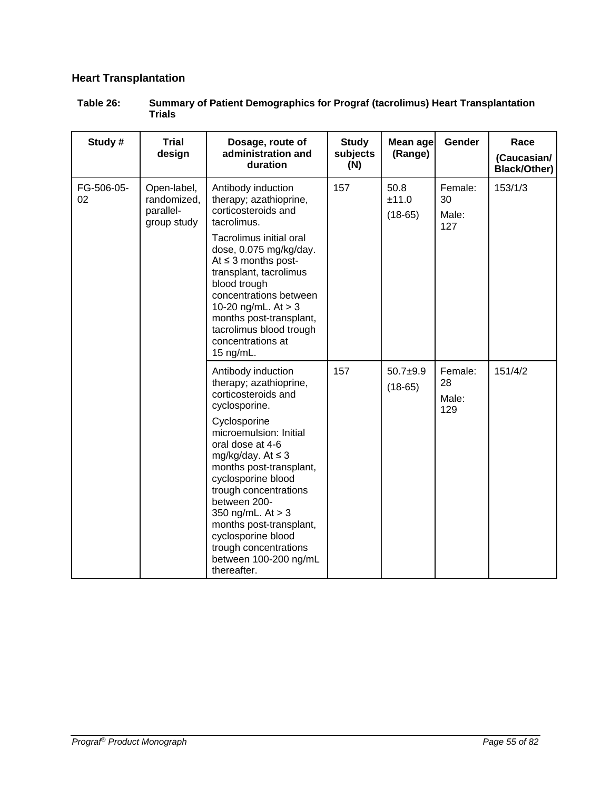# **Heart Transplantation**

| Table 26: | <b>Summary of Patient Demographics for Prograf (tacrolimus) Heart Transplantation</b> |
|-----------|---------------------------------------------------------------------------------------|
|           | Trials                                                                                |

| Study #          | <b>Trial</b><br>design                  | Dosage, route of<br>administration and<br>duration                                                                                                                                                                                                                                                                                                                                                            | <b>Study</b><br>subjects<br>(N) | <b>Mean age</b><br>(Range) | Gender                        | Race<br>(Caucasian/<br><b>Black/Other)</b> |
|------------------|-----------------------------------------|---------------------------------------------------------------------------------------------------------------------------------------------------------------------------------------------------------------------------------------------------------------------------------------------------------------------------------------------------------------------------------------------------------------|---------------------------------|----------------------------|-------------------------------|--------------------------------------------|
| FG-506-05-<br>02 | randomized,<br>parallel-<br>group study | Antibody induction<br>therapy; azathioprine,<br>corticosteroids and<br>tacrolimus.<br>Tacrolimus initial oral<br>dose, 0.075 mg/kg/day.<br>At $\leq$ 3 months post-<br>transplant, tacrolimus<br>blood trough<br>concentrations between<br>10-20 ng/mL. $At > 3$<br>months post-transplant,<br>tacrolimus blood trough<br>concentrations at<br>15 ng/mL.                                                      | 157                             | 50.8<br>±11.0<br>$(18-65)$ | Female:<br>30<br>Male:<br>127 | 153/1/3                                    |
|                  |                                         | Antibody induction<br>therapy; azathioprine,<br>corticosteroids and<br>cyclosporine.<br>Cyclosporine<br>microemulsion: Initial<br>oral dose at 4-6<br>mg/kg/day. At $\leq$ 3<br>months post-transplant,<br>cyclosporine blood<br>trough concentrations<br>between 200-<br>350 ng/mL. At > 3<br>months post-transplant,<br>cyclosporine blood<br>trough concentrations<br>between 100-200 ng/mL<br>thereafter. | 157                             | $50.7 + 9.9$<br>$(18-65)$  | Female:<br>28<br>Male:<br>129 | 151/4/2                                    |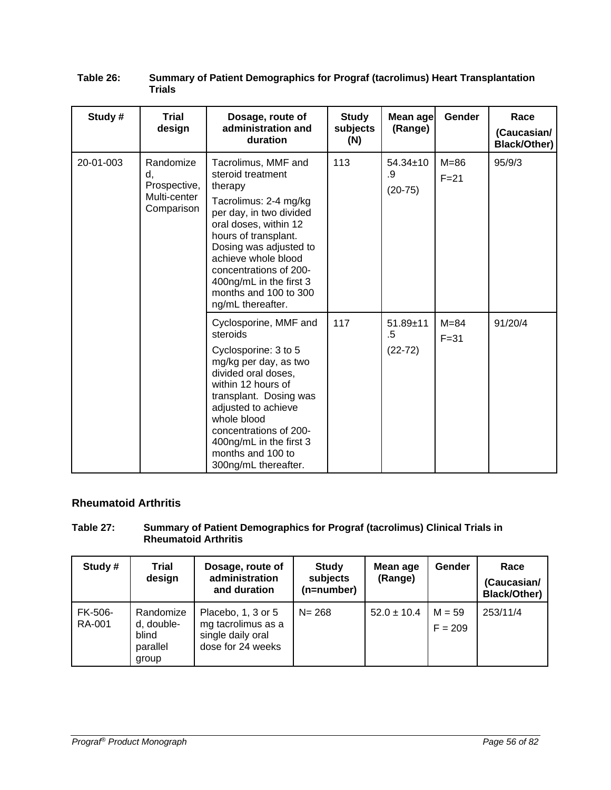| Study#    | <b>Trial</b><br>design                                        | Dosage, route of<br>administration and<br>duration                                                                                                                                                                                                                                                           | <b>Study</b><br>subjects<br>(N) | Mean age<br>(Range)               | Gender               | Race<br>(Caucasian/<br>Black/Other) |
|-----------|---------------------------------------------------------------|--------------------------------------------------------------------------------------------------------------------------------------------------------------------------------------------------------------------------------------------------------------------------------------------------------------|---------------------------------|-----------------------------------|----------------------|-------------------------------------|
| 20-01-003 | Randomize<br>d,<br>Prospective,<br>Multi-center<br>Comparison | Tacrolimus, MMF and<br>steroid treatment<br>therapy<br>Tacrolimus: 2-4 mg/kg<br>per day, in two divided<br>oral doses, within 12<br>hours of transplant.<br>Dosing was adjusted to<br>achieve whole blood<br>concentrations of 200-<br>400ng/mL in the first 3<br>months and 100 to 300<br>ng/mL thereafter. | 113                             | 54.34±10<br>.9<br>$(20-75)$       | $M = 86$<br>$F = 21$ | 95/9/3                              |
|           |                                                               | Cyclosporine, MMF and<br>steroids<br>Cyclosporine: 3 to 5<br>mg/kg per day, as two<br>divided oral doses,<br>within 12 hours of<br>transplant. Dosing was<br>adjusted to achieve<br>whole blood<br>concentrations of 200-<br>400ng/mL in the first 3<br>months and 100 to<br>300ng/mL thereafter.            | 117                             | $51.89 \pm 11$<br>.5<br>$(22-72)$ | $M = 84$<br>$F = 31$ | 91/20/4                             |

#### **Table 26: Summary of Patient Demographics for Prograf (tacrolimus) Heart Transplantation Trials**

### **Rheumatoid Arthritis**

#### **Table 27: Summary of Patient Demographics for Prograf (tacrolimus) Clinical Trials in Rheumatoid Arthritis**

| Study#            | Trial<br>design                                       | Dosage, route of<br>administration<br>and duration                                 | <b>Study</b><br>subjects<br>(n=number) | Mean age<br>(Range) | Gender                | Race<br>(Caucasian/<br><b>Black/Other)</b> |
|-------------------|-------------------------------------------------------|------------------------------------------------------------------------------------|----------------------------------------|---------------------|-----------------------|--------------------------------------------|
| FK-506-<br>RA-001 | Randomize<br>d, double-<br>blind<br>parallel<br>group | Placebo, 1, 3 or 5<br>mg tacrolimus as a<br>single daily oral<br>dose for 24 weeks | $N = 268$                              | $52.0 \pm 10.4$     | $M = 59$<br>$F = 209$ | 253/11/4                                   |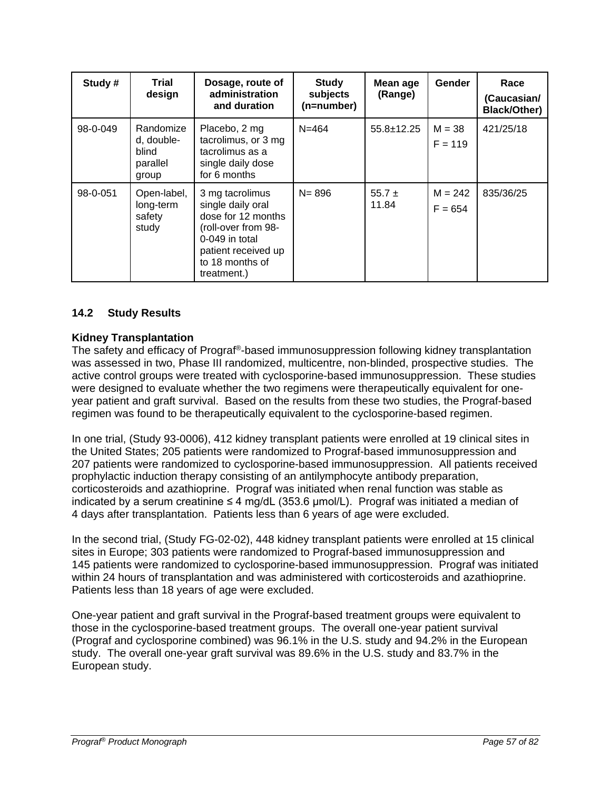| Study #  | Trial<br>design                                       | Dosage, route of<br>administration<br>and duration                                                                                                           | <b>Study</b><br>subjects<br>(n=number) | Mean age<br>(Range) | Gender                 | Race<br>(Caucasian/<br><b>Black/Other)</b> |
|----------|-------------------------------------------------------|--------------------------------------------------------------------------------------------------------------------------------------------------------------|----------------------------------------|---------------------|------------------------|--------------------------------------------|
| 98-0-049 | Randomize<br>d, double-<br>blind<br>parallel<br>group | Placebo, 2 mg<br>tacrolimus, or 3 mg<br>tacrolimus as a<br>single daily dose<br>for 6 months                                                                 | $N = 464$                              | $55.8 \pm 12.25$    | $M = 38$<br>$F = 119$  | 421/25/18                                  |
| 98-0-051 | Open-label,<br>long-term<br>safety<br>study           | 3 mg tacrolimus<br>single daily oral<br>dose for 12 months<br>(roll-over from 98-<br>0-049 in total<br>patient received up<br>to 18 months of<br>treatment.) | $N = 896$                              | $55.7 \pm$<br>11.84 | $M = 242$<br>$F = 654$ | 835/36/25                                  |

### **14.2 Study Results**

### **Kidney Transplantation**

The safety and efficacy of Prograf®-based immunosuppression following kidney transplantation was assessed in two, Phase III randomized, multicentre, non-blinded, prospective studies. The active control groups were treated with cyclosporine-based immunosuppression. These studies were designed to evaluate whether the two regimens were therapeutically equivalent for oneyear patient and graft survival. Based on the results from these two studies, the Prograf-based regimen was found to be therapeutically equivalent to the cyclosporine-based regimen.

In one trial, (Study 93-0006), 412 kidney transplant patients were enrolled at 19 clinical sites in the United States; 205 patients were randomized to Prograf-based immunosuppression and 207 patients were randomized to cyclosporine-based immunosuppression. All patients received prophylactic induction therapy consisting of an antilymphocyte antibody preparation, corticosteroids and azathioprine. Prograf was initiated when renal function was stable as indicated by a serum creatinine  $\leq 4$  mg/dL (353.6 µmol/L). Prograf was initiated a median of 4 days after transplantation. Patients less than 6 years of age were excluded.

In the second trial, (Study FG-02-02), 448 kidney transplant patients were enrolled at 15 clinical sites in Europe; 303 patients were randomized to Prograf-based immunosuppression and 145 patients were randomized to cyclosporine-based immunosuppression. Prograf was initiated within 24 hours of transplantation and was administered with corticosteroids and azathioprine. Patients less than 18 years of age were excluded.

One-year patient and graft survival in the Prograf-based treatment groups were equivalent to those in the cyclosporine-based treatment groups. The overall one-year patient survival (Prograf and cyclosporine combined) was 96.1% in the U.S. study and 94.2% in the European study. The overall one-year graft survival was 89.6% in the U.S. study and 83.7% in the European study.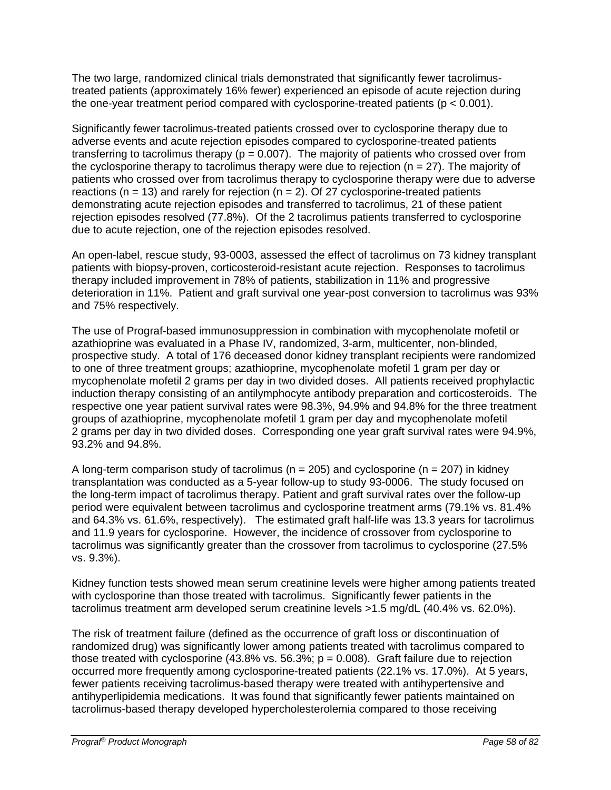The two large, randomized clinical trials demonstrated that significantly fewer tacrolimustreated patients (approximately 16% fewer) experienced an episode of acute rejection during the one-year treatment period compared with cyclosporine-treated patients  $(p < 0.001)$ .

Significantly fewer tacrolimus-treated patients crossed over to cyclosporine therapy due to adverse events and acute rejection episodes compared to cyclosporine-treated patients transferring to tacrolimus therapy ( $p = 0.007$ ). The majority of patients who crossed over from the cyclosporine therapy to tacrolimus therapy were due to rejection ( $n = 27$ ). The majority of patients who crossed over from tacrolimus therapy to cyclosporine therapy were due to adverse reactions ( $n = 13$ ) and rarely for rejection ( $n = 2$ ). Of 27 cyclosporine-treated patients demonstrating acute rejection episodes and transferred to tacrolimus, 21 of these patient rejection episodes resolved (77.8%). Of the 2 tacrolimus patients transferred to cyclosporine due to acute rejection, one of the rejection episodes resolved.

An open-label, rescue study, 93-0003, assessed the effect of tacrolimus on 73 kidney transplant patients with biopsy-proven, corticosteroid-resistant acute rejection. Responses to tacrolimus therapy included improvement in 78% of patients, stabilization in 11% and progressive deterioration in 11%. Patient and graft survival one year-post conversion to tacrolimus was 93% and 75% respectively.

The use of Prograf-based immunosuppression in combination with mycophenolate mofetil or azathioprine was evaluated in a Phase IV, randomized, 3-arm, multicenter, non-blinded, prospective study. A total of 176 deceased donor kidney transplant recipients were randomized to one of three treatment groups; azathioprine, mycophenolate mofetil 1 gram per day or mycophenolate mofetil 2 grams per day in two divided doses. All patients received prophylactic induction therapy consisting of an antilymphocyte antibody preparation and corticosteroids. The respective one year patient survival rates were 98.3%, 94.9% and 94.8% for the three treatment groups of azathioprine, mycophenolate mofetil 1 gram per day and mycophenolate mofetil 2 grams per day in two divided doses. Corresponding one year graft survival rates were 94.9%, 93.2% and 94.8%.

A long-term comparison study of tacrolimus ( $n = 205$ ) and cyclosporine ( $n = 207$ ) in kidney transplantation was conducted as a 5-year follow-up to study 93-0006. The study focused on the long-term impact of tacrolimus therapy. Patient and graft survival rates over the follow-up period were equivalent between tacrolimus and cyclosporine treatment arms (79.1% vs. 81.4% and 64.3% vs. 61.6%, respectively). The estimated graft half-life was 13.3 years for tacrolimus and 11.9 years for cyclosporine. However, the incidence of crossover from cyclosporine to tacrolimus was significantly greater than the crossover from tacrolimus to cyclosporine (27.5% vs. 9.3%).

Kidney function tests showed mean serum creatinine levels were higher among patients treated with cyclosporine than those treated with tacrolimus. Significantly fewer patients in the tacrolimus treatment arm developed serum creatinine levels >1.5 mg/dL (40.4% vs. 62.0%).

The risk of treatment failure (defined as the occurrence of graft loss or discontinuation of randomized drug) was significantly lower among patients treated with tacrolimus compared to those treated with cyclosporine (43.8% vs. 56.3%;  $p = 0.008$ ). Graft failure due to rejection occurred more frequently among cyclosporine-treated patients (22.1% vs. 17.0%). At 5 years, fewer patients receiving tacrolimus-based therapy were treated with antihypertensive and antihyperlipidemia medications. It was found that significantly fewer patients maintained on tacrolimus-based therapy developed hypercholesterolemia compared to those receiving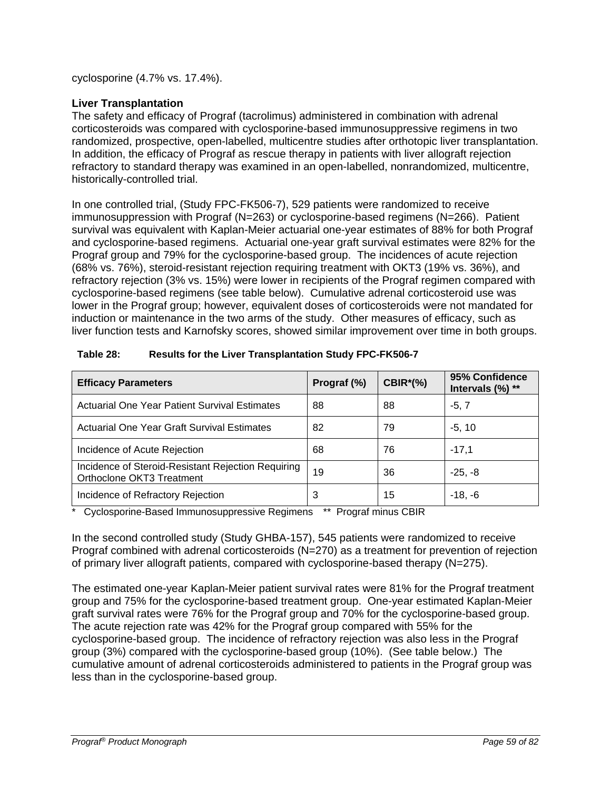cyclosporine (4.7% vs. 17.4%).

### **Liver Transplantation**

The safety and efficacy of Prograf (tacrolimus) administered in combination with adrenal corticosteroids was compared with cyclosporine-based immunosuppressive regimens in two randomized, prospective, open-labelled, multicentre studies after orthotopic liver transplantation. In addition, the efficacy of Prograf as rescue therapy in patients with liver allograft rejection refractory to standard therapy was examined in an open-labelled, nonrandomized, multicentre, historically-controlled trial.

In one controlled trial, (Study FPC-FK506-7), 529 patients were randomized to receive immunosuppression with Prograf (N=263) or cyclosporine-based regimens (N=266). Patient survival was equivalent with Kaplan-Meier actuarial one-year estimates of 88% for both Prograf and cyclosporine-based regimens. Actuarial one-year graft survival estimates were 82% for the Prograf group and 79% for the cyclosporine-based group. The incidences of acute rejection (68% vs. 76%), steroid-resistant rejection requiring treatment with OKT3 (19% vs. 36%), and refractory rejection (3% vs. 15%) were lower in recipients of the Prograf regimen compared with cyclosporine-based regimens (see table below). Cumulative adrenal corticosteroid use was lower in the Prograf group; however, equivalent doses of corticosteroids were not mandated for induction or maintenance in the two arms of the study. Other measures of efficacy, such as liver function tests and Karnofsky scores, showed similar improvement over time in both groups.

| <b>Efficacy Parameters</b>                                                      | Prograf (%) | <b>CBIR*(%)</b> | 95% Confidence<br>Intervals (%) ** |
|---------------------------------------------------------------------------------|-------------|-----------------|------------------------------------|
| <b>Actuarial One Year Patient Survival Estimates</b>                            | 88          | 88              | $-5, 7$                            |
| Actuarial One Year Graft Survival Estimates                                     | 82          | 79              | $-5, 10$                           |
| Incidence of Acute Rejection                                                    | 68          | 76              | $-17.1$                            |
| Incidence of Steroid-Resistant Rejection Requiring<br>Orthoclone OKT3 Treatment | 19          | 36              | $-25, -8$                          |
| Incidence of Refractory Rejection                                               | 3           | 15              | $-18, -6$                          |

\* Cyclosporine-Based Immunosuppressive Regimens \*\* Prograf minus CBIR

In the second controlled study (Study GHBA-157), 545 patients were randomized to receive Prograf combined with adrenal corticosteroids (N=270) as a treatment for prevention of rejection of primary liver allograft patients, compared with cyclosporine-based therapy (N=275).

The estimated one-year Kaplan-Meier patient survival rates were 81% for the Prograf treatment group and 75% for the cyclosporine-based treatment group. One-year estimated Kaplan-Meier graft survival rates were 76% for the Prograf group and 70% for the cyclosporine-based group. The acute rejection rate was 42% for the Prograf group compared with 55% for the cyclosporine-based group. The incidence of refractory rejection was also less in the Prograf group (3%) compared with the cyclosporine-based group (10%). (See table below.) The cumulative amount of adrenal corticosteroids administered to patients in the Prograf group was less than in the cyclosporine-based group.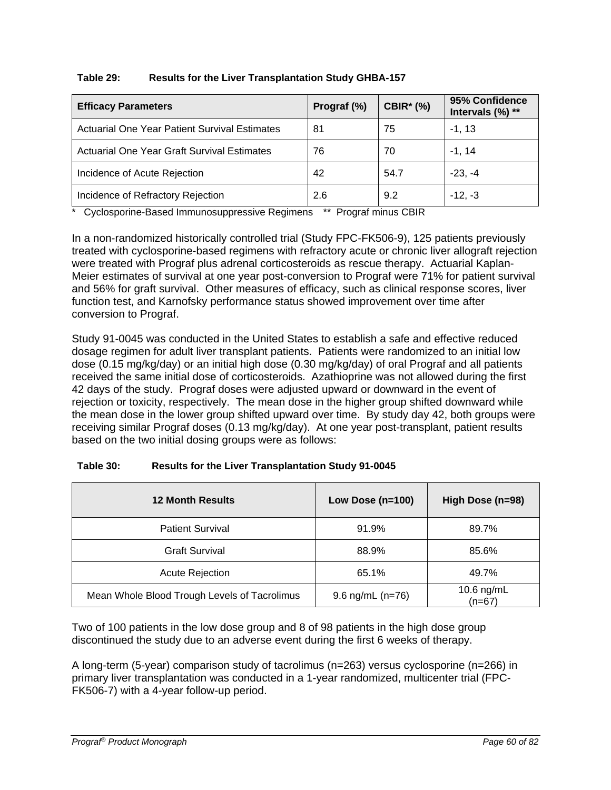| Table 29: | <b>Results for the Liver Transplantation Study GHBA-157</b> |
|-----------|-------------------------------------------------------------|
|-----------|-------------------------------------------------------------|

| <b>Efficacy Parameters</b>                           | Prograf (%) | <b>CBIR* (%)</b> | 95% Confidence<br>Intervals (%) ** |
|------------------------------------------------------|-------------|------------------|------------------------------------|
| <b>Actuarial One Year Patient Survival Estimates</b> | 81          | 75               | $-1, 13$                           |
| Actuarial One Year Graft Survival Estimates          | 76          | 70               | $-1, 14$                           |
| Incidence of Acute Rejection                         | 42          | 54.7             | $-23. -4$                          |
| Incidence of Refractory Rejection                    | 2.6         | 9.2              | $-12, -3$                          |

\* Cyclosporine-Based Immunosuppressive Regimens \*\* Prograf minus CBIR

In a non-randomized historically controlled trial (Study FPC-FK506-9), 125 patients previously treated with cyclosporine-based regimens with refractory acute or chronic liver allograft rejection were treated with Prograf plus adrenal corticosteroids as rescue therapy. Actuarial Kaplan-Meier estimates of survival at one year post-conversion to Prograf were 71% for patient survival and 56% for graft survival. Other measures of efficacy, such as clinical response scores, liver function test, and Karnofsky performance status showed improvement over time after conversion to Prograf.

Study 91-0045 was conducted in the United States to establish a safe and effective reduced dosage regimen for adult liver transplant patients. Patients were randomized to an initial low dose (0.15 mg/kg/day) or an initial high dose (0.30 mg/kg/day) of oral Prograf and all patients received the same initial dose of corticosteroids. Azathioprine was not allowed during the first 42 days of the study. Prograf doses were adjusted upward or downward in the event of rejection or toxicity, respectively. The mean dose in the higher group shifted downward while the mean dose in the lower group shifted upward over time. By study day 42, both groups were receiving similar Prograf doses (0.13 mg/kg/day). At one year post-transplant, patient results based on the two initial dosing groups were as follows:

| Table 30: | <b>Results for the Liver Transplantation Study 91-0045</b> |
|-----------|------------------------------------------------------------|
|-----------|------------------------------------------------------------|

| <b>12 Month Results</b>                      | Low Dose $(n=100)$ | High Dose (n=98)       |
|----------------------------------------------|--------------------|------------------------|
| <b>Patient Survival</b>                      | 91.9%              | 89.7%                  |
| <b>Graft Survival</b>                        | 88.9%              | 85.6%                  |
| <b>Acute Rejection</b>                       | 65.1%              | 49.7%                  |
| Mean Whole Blood Trough Levels of Tacrolimus | 9.6 $ng/mL (n=76)$ | 10.6 ng/mL<br>$(n=67)$ |

Two of 100 patients in the low dose group and 8 of 98 patients in the high dose group discontinued the study due to an adverse event during the first 6 weeks of therapy.

A long-term (5-year) comparison study of tacrolimus (n=263) versus cyclosporine (n=266) in primary liver transplantation was conducted in a 1-year randomized, multicenter trial (FPC-FK506-7) with a 4-year follow-up period.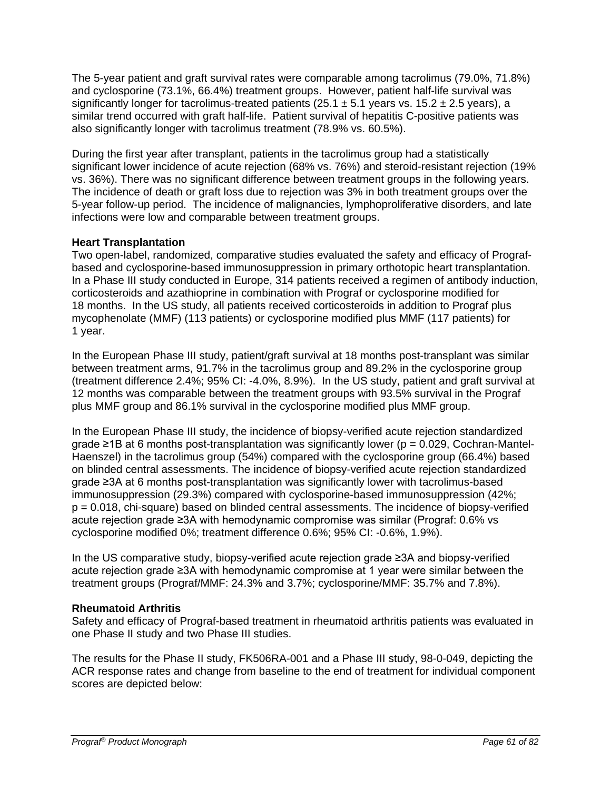The 5-year patient and graft survival rates were comparable among tacrolimus (79.0%, 71.8%) and cyclosporine (73.1%, 66.4%) treatment groups. However, patient half-life survival was significantly longer for tacrolimus-treated patients (25.1  $\pm$  5.1 years vs. 15.2  $\pm$  2.5 years), a similar trend occurred with graft half-life. Patient survival of hepatitis C-positive patients was also significantly longer with tacrolimus treatment (78.9% vs. 60.5%).

During the first year after transplant, patients in the tacrolimus group had a statistically significant lower incidence of acute rejection (68% vs. 76%) and steroid-resistant rejection (19% vs. 36%). There was no significant difference between treatment groups in the following years. The incidence of death or graft loss due to rejection was 3% in both treatment groups over the 5-year follow-up period. The incidence of malignancies, lymphoproliferative disorders, and late infections were low and comparable between treatment groups.

### **Heart Transplantation**

Two open-label, randomized, comparative studies evaluated the safety and efficacy of Prografbased and cyclosporine-based immunosuppression in primary orthotopic heart transplantation. In a Phase III study conducted in Europe, 314 patients received a regimen of antibody induction, corticosteroids and azathioprine in combination with Prograf or cyclosporine modified for 18 months. In the US study, all patients received corticosteroids in addition to Prograf plus mycophenolate (MMF) (113 patients) or cyclosporine modified plus MMF (117 patients) for 1 year.

In the European Phase III study, patient/graft survival at 18 months post-transplant was similar between treatment arms, 91.7% in the tacrolimus group and 89.2% in the cyclosporine group (treatment difference 2.4%; 95% CI: -4.0%, 8.9%). In the US study, patient and graft survival at 12 months was comparable between the treatment groups with 93.5% survival in the Prograf plus MMF group and 86.1% survival in the cyclosporine modified plus MMF group.

In the European Phase III study, the incidence of biopsy-verified acute rejection standardized grade  $\geq$ 1B at 6 months post-transplantation was significantly lower ( $p = 0.029$ , Cochran-Mantel-Haenszel) in the tacrolimus group (54%) compared with the cyclosporine group (66.4%) based on blinded central assessments. The incidence of biopsy-verified acute rejection standardized grade ≥3A at 6 months post-transplantation was significantly lower with tacrolimus-based immunosuppression (29.3%) compared with cyclosporine-based immunosuppression (42%; p = 0.018, chi-square) based on blinded central assessments. The incidence of biopsy-verified acute rejection grade ≥3A with hemodynamic compromise was similar (Prograf: 0.6% vs cyclosporine modified 0%; treatment difference 0.6%; 95% CI: -0.6%, 1.9%).

In the US comparative study, biopsy-verified acute rejection grade ≥3A and biopsy-verified acute rejection grade ≥3A with hemodynamic compromise at 1 year were similar between the treatment groups (Prograf/MMF: 24.3% and 3.7%; cyclosporine/MMF: 35.7% and 7.8%).

### **Rheumatoid Arthritis**

Safety and efficacy of Prograf-based treatment in rheumatoid arthritis patients was evaluated in one Phase II study and two Phase III studies.

The results for the Phase II study, FK506RA-001 and a Phase III study, 98-0-049, depicting the ACR response rates and change from baseline to the end of treatment for individual component scores are depicted below: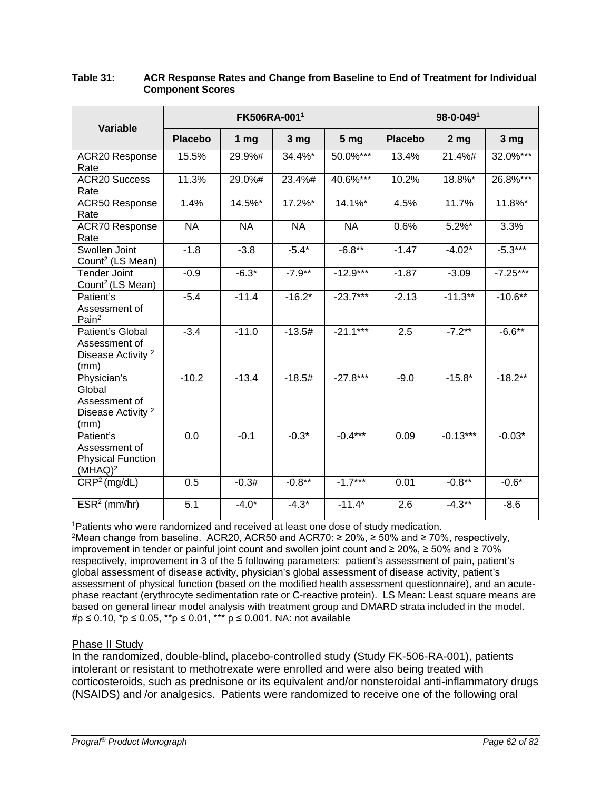| <b>Variable</b>                                                                 | FK506RA-0011   |                 |            |                 | $98 - 0 - 049$ <sup>1</sup> |                 |                 |  |
|---------------------------------------------------------------------------------|----------------|-----------------|------------|-----------------|-----------------------------|-----------------|-----------------|--|
|                                                                                 | <b>Placebo</b> | 1 <sub>mg</sub> | 3 mg       | 5 <sub>mg</sub> | <b>Placebo</b>              | 2 <sub>mg</sub> | 3 <sub>mg</sub> |  |
| <b>ACR20 Response</b><br>Rate                                                   | 15.5%          | 29.9%#          | 34.4%*     | 50.0%***        | 13.4%                       | 21.4%#          | 32.0%***        |  |
| <b>ACR20 Success</b><br>Rate                                                    | 11.3%          | 29.0%#          | 23.4%#     | 40.6%***        | 10.2%                       | 18.8%*          | 26.8%***        |  |
| <b>ACR50 Response</b><br>Rate                                                   | 1.4%           | 14.5%*          | $17.2\%$ * | $14.1\%$ *      | 4.5%                        | 11.7%           | 11.8%*          |  |
| <b>ACR70 Response</b><br>Rate                                                   | <b>NA</b>      | <b>NA</b>       | <b>NA</b>  | <b>NA</b>       | 0.6%                        | $5.2\%$ *       | 3.3%            |  |
| Swollen Joint<br>Count <sup>2</sup> (LS Mean)                                   | $-1.8$         | $-3.8$          | $-5.4*$    | $-6.8**$        | $-1.47$                     | $-4.02*$        | $-5.3***$       |  |
| <b>Tender Joint</b><br>Count <sup>2</sup> (LS Mean)                             | $-0.9$         | $-6.3*$         | $-7.9***$  | $-12.9***$      | $-1.87$                     | $-3.09$         | $-7.25***$      |  |
| Patient's<br>Assessment of<br>Pain <sup>2</sup>                                 | $-5.4$         | $-11.4$         | $-16.2*$   | $-23.7***$      | $-2.13$                     | $-11.3**$       | $-10.6**$       |  |
| Patient's Global<br>Assessment of<br>Disease Activity <sup>2</sup><br>(mm)      | $-3.4$         | $-11.0$         | $-13.5#$   | $-21.1***$      | 2.5                         | $-7.2***$       | $-6.6***$       |  |
| Physician's<br>Global<br>Assessment of<br>Disease Activity <sup>2</sup><br>(mm) | $-10.2$        | $-13.4$         | $-18.5#$   | $-27.8***$      | $-9.0$                      | $-15.8*$        | $-18.2**$       |  |
| Patient's<br>Assessment of<br><b>Physical Function</b><br>$(MHAQ)^2$            | 0.0            | $-0.1$          | $-0.3*$    | $-0.4***$       | 0.09                        | $-0.13***$      | $-0.03*$        |  |
| CRP <sup>2</sup> (mg/dL)                                                        | 0.5            | $-0.3#$         | $-0.8**$   | $-1.7***$       | 0.01                        | $-0.8***$       | $-0.6*$         |  |
| $ESR2$ (mm/hr)                                                                  | 5.1            | $-4.0*$         | $-4.3*$    | $-11.4*$        | 2.6                         | $-4.3**$        | $-8.6$          |  |

#### **Table 31: ACR Response Rates and Change from Baseline to End of Treatment for Individual Component Scores**

<sup>1</sup>Patients who were randomized and received at least one dose of study medication.

<sup>2</sup>Mean change from baseline. ACR20, ACR50 and ACR70: ≥ 20%, ≥ 50% and ≥ 70%, respectively, improvement in tender or painful joint count and swollen joint count and ≥ 20%, ≥ 50% and ≥ 70% respectively, improvement in 3 of the 5 following parameters: patient's assessment of pain, patient's global assessment of disease activity, physician's global assessment of disease activity, patient's assessment of physical function (based on the modified health assessment questionnaire), and an acutephase reactant (erythrocyte sedimentation rate or C-reactive protein). LS Mean: Least square means are based on general linear model analysis with treatment group and DMARD strata included in the model. #p ≤ 0.10, \*p ≤ 0.05, \*\*p ≤ 0.01, \*\*\* p ≤ 0.001. NA: not available

### Phase II Study

In the randomized, double-blind, placebo-controlled study (Study FK-506-RA-001), patients intolerant or resistant to methotrexate were enrolled and were also being treated with corticosteroids, such as prednisone or its equivalent and/or nonsteroidal anti-inflammatory drugs (NSAIDS) and /or analgesics. Patients were randomized to receive one of the following oral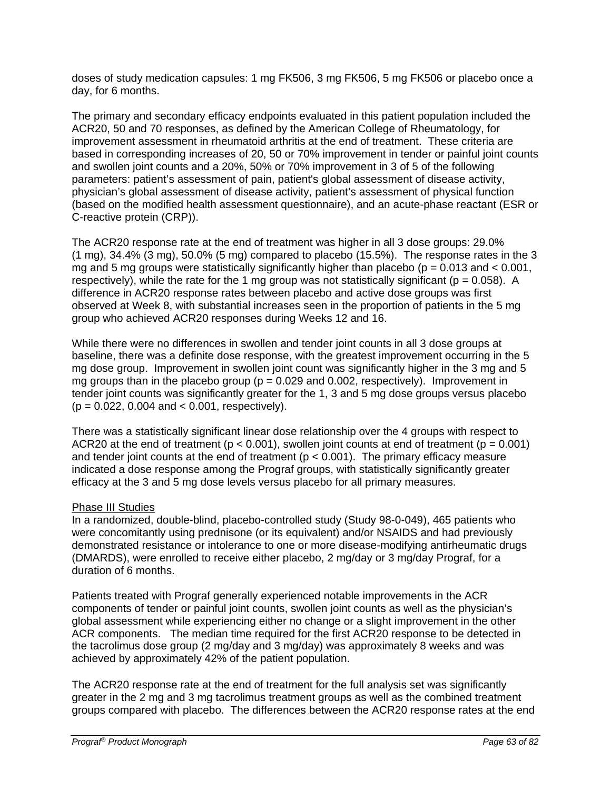doses of study medication capsules: 1 mg FK506, 3 mg FK506, 5 mg FK506 or placebo once a day, for 6 months.

The primary and secondary efficacy endpoints evaluated in this patient population included the ACR20, 50 and 70 responses, as defined by the American College of Rheumatology, for improvement assessment in rheumatoid arthritis at the end of treatment. These criteria are based in corresponding increases of 20, 50 or 70% improvement in tender or painful joint counts and swollen joint counts and a 20%, 50% or 70% improvement in 3 of 5 of the following parameters: patient's assessment of pain, patient's global assessment of disease activity, physician's global assessment of disease activity, patient's assessment of physical function (based on the modified health assessment questionnaire), and an acute-phase reactant (ESR or C-reactive protein (CRP)).

The ACR20 response rate at the end of treatment was higher in all 3 dose groups: 29.0%  $(1 \text{ mg})$ , 34.4%  $(3 \text{ mg})$ , 50.0%  $(5 \text{ mg})$  compared to placebo  $(15.5\%)$ . The response rates in the 3 mg and 5 mg groups were statistically significantly higher than placebo ( $p = 0.013$  and  $< 0.001$ , respectively), while the rate for the 1 mg group was not statistically significant ( $p = 0.058$ ). A difference in ACR20 response rates between placebo and active dose groups was first observed at Week 8, with substantial increases seen in the proportion of patients in the 5 mg group who achieved ACR20 responses during Weeks 12 and 16.

While there were no differences in swollen and tender joint counts in all 3 dose groups at baseline, there was a definite dose response, with the greatest improvement occurring in the 5 mg dose group. Improvement in swollen joint count was significantly higher in the 3 mg and 5 mg groups than in the placebo group ( $p = 0.029$  and 0.002, respectively). Improvement in tender joint counts was significantly greater for the 1, 3 and 5 mg dose groups versus placebo  $(p = 0.022, 0.004, and < 0.001, respectively).$ 

There was a statistically significant linear dose relationship over the 4 groups with respect to ACR20 at the end of treatment ( $p < 0.001$ ), swollen joint counts at end of treatment ( $p = 0.001$ ) and tender joint counts at the end of treatment ( $p < 0.001$ ). The primary efficacy measure indicated a dose response among the Prograf groups, with statistically significantly greater efficacy at the 3 and 5 mg dose levels versus placebo for all primary measures.

### Phase III Studies

In a randomized, double-blind, placebo-controlled study (Study 98-0-049), 465 patients who were concomitantly using prednisone (or its equivalent) and/or NSAIDS and had previously demonstrated resistance or intolerance to one or more disease-modifying antirheumatic drugs (DMARDS), were enrolled to receive either placebo, 2 mg/day or 3 mg/day Prograf, for a duration of 6 months.

Patients treated with Prograf generally experienced notable improvements in the ACR components of tender or painful joint counts, swollen joint counts as well as the physician's global assessment while experiencing either no change or a slight improvement in the other ACR components. The median time required for the first ACR20 response to be detected in the tacrolimus dose group (2 mg/day and 3 mg/day) was approximately 8 weeks and was achieved by approximately 42% of the patient population.

The ACR20 response rate at the end of treatment for the full analysis set was significantly greater in the 2 mg and 3 mg tacrolimus treatment groups as well as the combined treatment groups compared with placebo. The differences between the ACR20 response rates at the end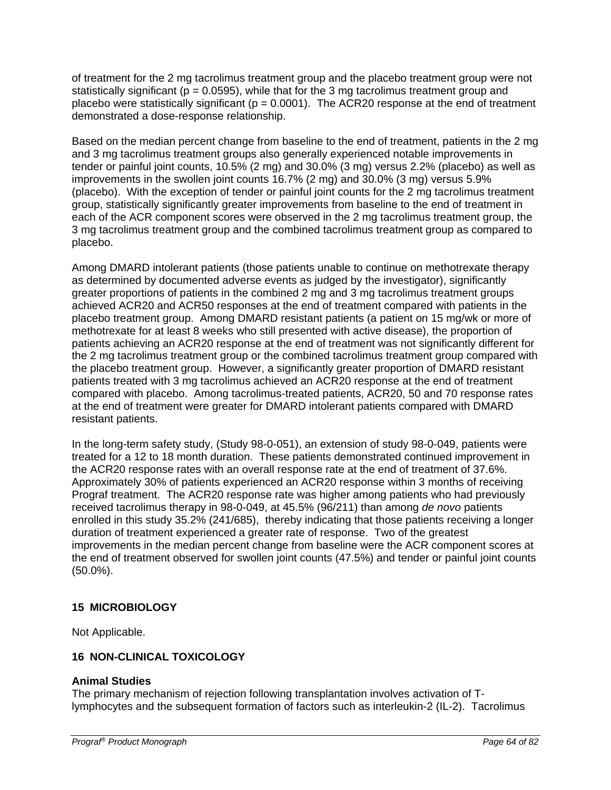of treatment for the 2 mg tacrolimus treatment group and the placebo treatment group were not statistically significant ( $p = 0.0595$ ), while that for the 3 mg tacrolimus treatment group and placebo were statistically significant ( $p = 0.0001$ ). The ACR20 response at the end of treatment demonstrated a dose-response relationship.

Based on the median percent change from baseline to the end of treatment, patients in the 2 mg and 3 mg tacrolimus treatment groups also generally experienced notable improvements in tender or painful joint counts, 10.5% (2 mg) and 30.0% (3 mg) versus 2.2% (placebo) as well as improvements in the swollen joint counts 16.7% (2 mg) and 30.0% (3 mg) versus 5.9% (placebo). With the exception of tender or painful joint counts for the 2 mg tacrolimus treatment group, statistically significantly greater improvements from baseline to the end of treatment in each of the ACR component scores were observed in the 2 mg tacrolimus treatment group, the 3 mg tacrolimus treatment group and the combined tacrolimus treatment group as compared to placebo.

Among DMARD intolerant patients (those patients unable to continue on methotrexate therapy as determined by documented adverse events as judged by the investigator), significantly greater proportions of patients in the combined 2 mg and 3 mg tacrolimus treatment groups achieved ACR20 and ACR50 responses at the end of treatment compared with patients in the placebo treatment group. Among DMARD resistant patients (a patient on 15 mg/wk or more of methotrexate for at least 8 weeks who still presented with active disease), the proportion of patients achieving an ACR20 response at the end of treatment was not significantly different for the 2 mg tacrolimus treatment group or the combined tacrolimus treatment group compared with the placebo treatment group. However, a significantly greater proportion of DMARD resistant patients treated with 3 mg tacrolimus achieved an ACR20 response at the end of treatment compared with placebo. Among tacrolimus-treated patients, ACR20, 50 and 70 response rates at the end of treatment were greater for DMARD intolerant patients compared with DMARD resistant patients.

In the long-term safety study, (Study 98-0-051), an extension of study 98-0-049, patients were treated for a 12 to 18 month duration. These patients demonstrated continued improvement in the ACR20 response rates with an overall response rate at the end of treatment of 37.6%. Approximately 30% of patients experienced an ACR20 response within 3 months of receiving Prograf treatment. The ACR20 response rate was higher among patients who had previously received tacrolimus therapy in 98-0-049, at 45.5% (96/211) than among *de novo* patients enrolled in this study 35.2% (241/685), thereby indicating that those patients receiving a longer duration of treatment experienced a greater rate of response. Two of the greatest improvements in the median percent change from baseline were the ACR component scores at the end of treatment observed for swollen joint counts (47.5%) and tender or painful joint counts (50.0%).

### **15 MICROBIOLOGY**

Not Applicable.

### **16 NON-CLINICAL TOXICOLOGY**

### **Animal Studies**

The primary mechanism of rejection following transplantation involves activation of Tlymphocytes and the subsequent formation of factors such as interleukin-2 (IL-2). Tacrolimus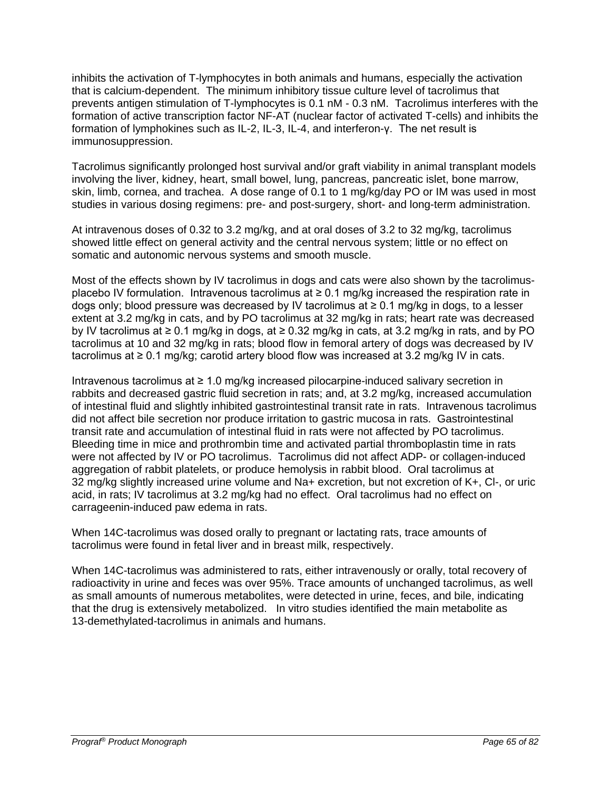inhibits the activation of T-lymphocytes in both animals and humans, especially the activation that is calcium-dependent. The minimum inhibitory tissue culture level of tacrolimus that prevents antigen stimulation of T-lymphocytes is 0.1 nM - 0.3 nM. Tacrolimus interferes with the formation of active transcription factor NF-AT (nuclear factor of activated T-cells) and inhibits the formation of lymphokines such as IL-2, IL-3, IL-4, and interferon-γ. The net result is immunosuppression.

Tacrolimus significantly prolonged host survival and/or graft viability in animal transplant models involving the liver, kidney, heart, small bowel, lung, pancreas, pancreatic islet, bone marrow, skin, limb, cornea, and trachea. A dose range of 0.1 to 1 mg/kg/day PO or IM was used in most studies in various dosing regimens: pre- and post-surgery, short- and long-term administration.

At intravenous doses of 0.32 to 3.2 mg/kg, and at oral doses of 3.2 to 32 mg/kg, tacrolimus showed little effect on general activity and the central nervous system; little or no effect on somatic and autonomic nervous systems and smooth muscle.

Most of the effects shown by IV tacrolimus in dogs and cats were also shown by the tacrolimusplacebo IV formulation. Intravenous tacrolimus at  $\geq 0.1$  mg/kg increased the respiration rate in dogs only; blood pressure was decreased by IV tacrolimus at ≥ 0.1 mg/kg in dogs, to a lesser extent at 3.2 mg/kg in cats, and by PO tacrolimus at 32 mg/kg in rats; heart rate was decreased by IV tacrolimus at ≥ 0.1 mg/kg in dogs, at ≥ 0.32 mg/kg in cats, at 3.2 mg/kg in rats, and by PO tacrolimus at 10 and 32 mg/kg in rats; blood flow in femoral artery of dogs was decreased by IV tacrolimus at ≥ 0.1 mg/kg; carotid artery blood flow was increased at 3.2 mg/kg IV in cats.

Intravenous tacrolimus at ≥ 1.0 mg/kg increased pilocarpine-induced salivary secretion in rabbits and decreased gastric fluid secretion in rats; and, at 3.2 mg/kg, increased accumulation of intestinal fluid and slightly inhibited gastrointestinal transit rate in rats. Intravenous tacrolimus did not affect bile secretion nor produce irritation to gastric mucosa in rats. Gastrointestinal transit rate and accumulation of intestinal fluid in rats were not affected by PO tacrolimus. Bleeding time in mice and prothrombin time and activated partial thromboplastin time in rats were not affected by IV or PO tacrolimus. Tacrolimus did not affect ADP- or collagen-induced aggregation of rabbit platelets, or produce hemolysis in rabbit blood. Oral tacrolimus at 32 mg/kg slightly increased urine volume and Na+ excretion, but not excretion of K+, Cl-, or uric acid, in rats; IV tacrolimus at 3.2 mg/kg had no effect. Oral tacrolimus had no effect on carrageenin-induced paw edema in rats.

When 14C-tacrolimus was dosed orally to pregnant or lactating rats, trace amounts of tacrolimus were found in fetal liver and in breast milk, respectively.

When 14C-tacrolimus was administered to rats, either intravenously or orally, total recovery of radioactivity in urine and feces was over 95%. Trace amounts of unchanged tacrolimus, as well as small amounts of numerous metabolites, were detected in urine, feces, and bile, indicating that the drug is extensively metabolized. In vitro studies identified the main metabolite as 13-demethylated-tacrolimus in animals and humans.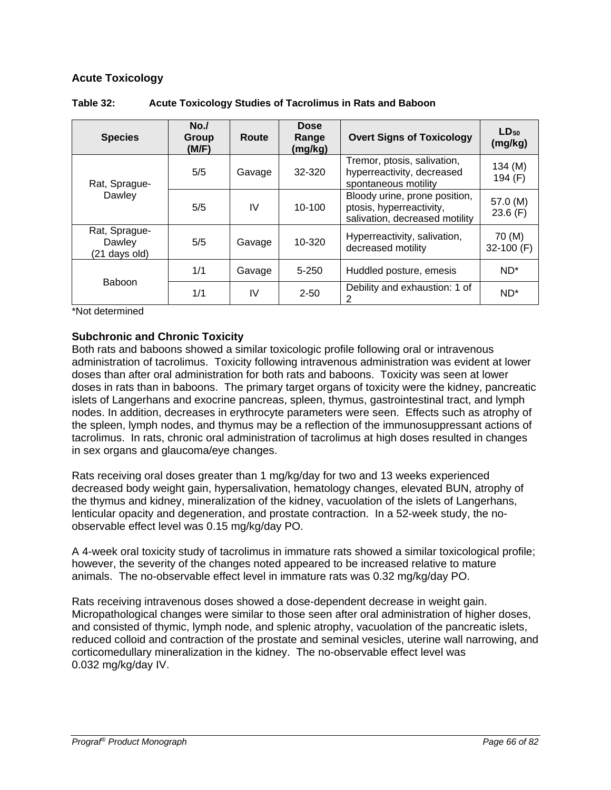### **Acute Toxicology**

| <b>Species</b>                           | No.<br>Group<br>(M/F) | Route  | <b>Dose</b><br>Range<br>(mg/kg) | <b>Overt Signs of Toxicology</b>                                                            | $LD_{50}$<br>(mg/kg)    |
|------------------------------------------|-----------------------|--------|---------------------------------|---------------------------------------------------------------------------------------------|-------------------------|
| Rat, Sprague-<br>Dawley                  | 5/5                   | Gavage | 32-320                          | Tremor, ptosis, salivation,<br>hyperreactivity, decreased<br>spontaneous motility           | $134 \, (M)$<br>194 (F) |
|                                          | 5/5                   | IV     | $10 - 100$                      | Bloody urine, prone position,<br>ptosis, hyperreactivity,<br>salivation, decreased motility | 57.0 (M)<br>23.6(F)     |
| Rat, Sprague-<br>Dawley<br>(21 days old) | 5/5                   | Gavage | 10-320                          | Hyperreactivity, salivation,<br>decreased motility                                          | 70 (M)<br>32-100 (F)    |
| <b>Baboon</b>                            | 1/1                   | Gavage | $5 - 250$                       | Huddled posture, emesis                                                                     | $ND^*$                  |
|                                          | 1/1                   | IV     | $2 - 50$                        | Debility and exhaustion: 1 of<br>2                                                          | $ND^*$                  |

#### **Table 32: Acute Toxicology Studies of Tacrolimus in Rats and Baboon**

\*Not determined

### **Subchronic and Chronic Toxicity**

Both rats and baboons showed a similar toxicologic profile following oral or intravenous administration of tacrolimus. Toxicity following intravenous administration was evident at lower doses than after oral administration for both rats and baboons. Toxicity was seen at lower doses in rats than in baboons. The primary target organs of toxicity were the kidney, pancreatic islets of Langerhans and exocrine pancreas, spleen, thymus, gastrointestinal tract, and lymph nodes. In addition, decreases in erythrocyte parameters were seen. Effects such as atrophy of the spleen, lymph nodes, and thymus may be a reflection of the immunosuppressant actions of tacrolimus. In rats, chronic oral administration of tacrolimus at high doses resulted in changes in sex organs and glaucoma/eye changes.

Rats receiving oral doses greater than 1 mg/kg/day for two and 13 weeks experienced decreased body weight gain, hypersalivation, hematology changes, elevated BUN, atrophy of the thymus and kidney, mineralization of the kidney, vacuolation of the islets of Langerhans, lenticular opacity and degeneration, and prostate contraction. In a 52-week study, the noobservable effect level was 0.15 mg/kg/day PO.

A 4-week oral toxicity study of tacrolimus in immature rats showed a similar toxicological profile; however, the severity of the changes noted appeared to be increased relative to mature animals. The no-observable effect level in immature rats was 0.32 mg/kg/day PO.

Rats receiving intravenous doses showed a dose-dependent decrease in weight gain. Micropathological changes were similar to those seen after oral administration of higher doses, and consisted of thymic, lymph node, and splenic atrophy, vacuolation of the pancreatic islets, reduced colloid and contraction of the prostate and seminal vesicles, uterine wall narrowing, and corticomedullary mineralization in the kidney. The no-observable effect level was 0.032 mg/kg/day IV.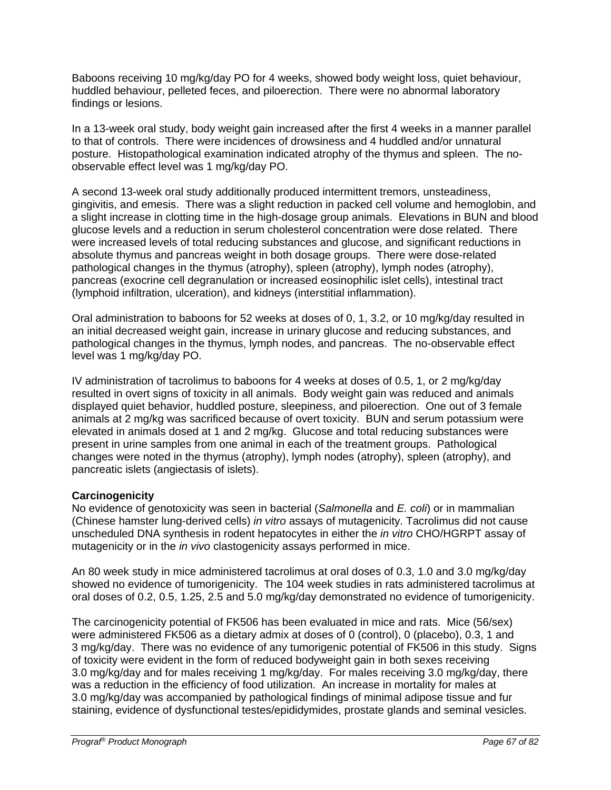Baboons receiving 10 mg/kg/day PO for 4 weeks, showed body weight loss, quiet behaviour, huddled behaviour, pelleted feces, and piloerection. There were no abnormal laboratory findings or lesions.

In a 13-week oral study, body weight gain increased after the first 4 weeks in a manner parallel to that of controls. There were incidences of drowsiness and 4 huddled and/or unnatural posture. Histopathological examination indicated atrophy of the thymus and spleen. The noobservable effect level was 1 mg/kg/day PO.

A second 13-week oral study additionally produced intermittent tremors, unsteadiness, gingivitis, and emesis. There was a slight reduction in packed cell volume and hemoglobin, and a slight increase in clotting time in the high-dosage group animals. Elevations in BUN and blood glucose levels and a reduction in serum cholesterol concentration were dose related. There were increased levels of total reducing substances and glucose, and significant reductions in absolute thymus and pancreas weight in both dosage groups. There were dose-related pathological changes in the thymus (atrophy), spleen (atrophy), lymph nodes (atrophy), pancreas (exocrine cell degranulation or increased eosinophilic islet cells), intestinal tract (lymphoid infiltration, ulceration), and kidneys (interstitial inflammation).

Oral administration to baboons for 52 weeks at doses of 0, 1, 3.2, or 10 mg/kg/day resulted in an initial decreased weight gain, increase in urinary glucose and reducing substances, and pathological changes in the thymus, lymph nodes, and pancreas. The no-observable effect level was 1 mg/kg/day PO.

IV administration of tacrolimus to baboons for 4 weeks at doses of 0.5, 1, or 2 mg/kg/day resulted in overt signs of toxicity in all animals. Body weight gain was reduced and animals displayed quiet behavior, huddled posture, sleepiness, and piloerection. One out of 3 female animals at 2 mg/kg was sacrificed because of overt toxicity. BUN and serum potassium were elevated in animals dosed at 1 and 2 mg/kg. Glucose and total reducing substances were present in urine samples from one animal in each of the treatment groups. Pathological changes were noted in the thymus (atrophy), lymph nodes (atrophy), spleen (atrophy), and pancreatic islets (angiectasis of islets).

### **Carcinogenicity**

No evidence of genotoxicity was seen in bacterial (*Salmonella* and *E. coli*) or in mammalian (Chinese hamster lung-derived cells) *in vitro* assays of mutagenicity. Tacrolimus did not cause unscheduled DNA synthesis in rodent hepatocytes in either the *in vitro* CHO/HGRPT assay of mutagenicity or in the *in vivo* clastogenicity assays performed in mice.

An 80 week study in mice administered tacrolimus at oral doses of 0.3, 1.0 and 3.0 mg/kg/day showed no evidence of tumorigenicity. The 104 week studies in rats administered tacrolimus at oral doses of 0.2, 0.5, 1.25, 2.5 and 5.0 mg/kg/day demonstrated no evidence of tumorigenicity.

The carcinogenicity potential of FK506 has been evaluated in mice and rats. Mice (56/sex) were administered FK506 as a dietary admix at doses of 0 (control), 0 (placebo), 0.3, 1 and 3 mg/kg/day. There was no evidence of any tumorigenic potential of FK506 in this study. Signs of toxicity were evident in the form of reduced bodyweight gain in both sexes receiving 3.0 mg/kg/day and for males receiving 1 mg/kg/day. For males receiving 3.0 mg/kg/day, there was a reduction in the efficiency of food utilization. An increase in mortality for males at 3.0 mg/kg/day was accompanied by pathological findings of minimal adipose tissue and fur staining, evidence of dysfunctional testes/epididymides, prostate glands and seminal vesicles.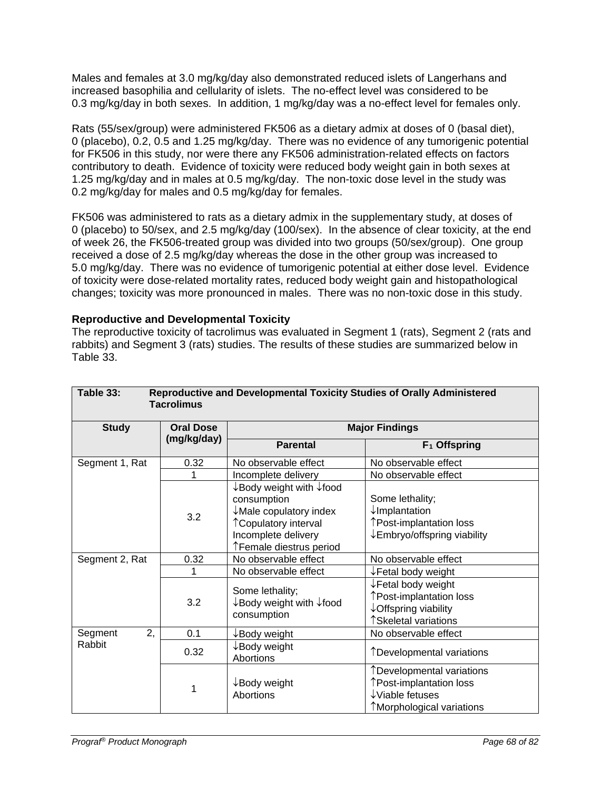Males and females at 3.0 mg/kg/day also demonstrated reduced islets of Langerhans and increased basophilia and cellularity of islets. The no-effect level was considered to be 0.3 mg/kg/day in both sexes. In addition, 1 mg/kg/day was a no-effect level for females only.

Rats (55/sex/group) were administered FK506 as a dietary admix at doses of 0 (basal diet), 0 (placebo), 0.2, 0.5 and 1.25 mg/kg/day. There was no evidence of any tumorigenic potential for FK506 in this study, nor were there any FK506 administration-related effects on factors contributory to death. Evidence of toxicity were reduced body weight gain in both sexes at 1.25 mg/kg/day and in males at 0.5 mg/kg/day. The non-toxic dose level in the study was 0.2 mg/kg/day for males and 0.5 mg/kg/day for females.

FK506 was administered to rats as a dietary admix in the supplementary study, at doses of 0 (placebo) to 50/sex, and 2.5 mg/kg/day (100/sex). In the absence of clear toxicity, at the end of week 26, the FK506-treated group was divided into two groups (50/sex/group). One group received a dose of 2.5 mg/kg/day whereas the dose in the other group was increased to 5.0 mg/kg/day. There was no evidence of tumorigenic potential at either dose level. Evidence of toxicity were dose-related mortality rates, reduced body weight gain and histopathological changes; toxicity was more pronounced in males. There was no non-toxic dose in this study.

### **Reproductive and Developmental Toxicity**

The reproductive toxicity of tacrolimus was evaluated in Segment 1 (rats), Segment 2 (rats and rabbits) and Segment 3 (rats) studies. The results of these studies are summarized below in Table 33.

| Table 33:<br>Reproductive and Developmental Toxicity Studies of Orally Administered<br><b>Tacrolimus</b> |                  |                                                                                                                                             |                                                                                                                  |  |  |  |
|----------------------------------------------------------------------------------------------------------|------------------|---------------------------------------------------------------------------------------------------------------------------------------------|------------------------------------------------------------------------------------------------------------------|--|--|--|
| <b>Study</b>                                                                                             | <b>Oral Dose</b> | <b>Major Findings</b>                                                                                                                       |                                                                                                                  |  |  |  |
|                                                                                                          | (mg/kg/day)      | <b>Parental</b>                                                                                                                             | $F_1$ Offspring                                                                                                  |  |  |  |
| Segment 1, Rat                                                                                           | 0.32             | No observable effect                                                                                                                        | No observable effect                                                                                             |  |  |  |
|                                                                                                          | 1                | Incomplete delivery                                                                                                                         | No observable effect                                                                                             |  |  |  |
|                                                                                                          | 3.2              | ↓Body weight with ↓food<br>consumption<br>↓Male copulatory index<br>↑ Copulatory interval<br>Incomplete delivery<br>↑Female diestrus period | Some lethality;<br>$\downarrow$ Implantation<br>↑Post-implantation loss<br>↓Embryo/offspring viability           |  |  |  |
| Segment 2, Rat                                                                                           | 0.32             | No observable effect                                                                                                                        | No observable effect                                                                                             |  |  |  |
|                                                                                                          |                  | No observable effect                                                                                                                        | ↓Fetal body weight                                                                                               |  |  |  |
|                                                                                                          | 3.2              | Some lethality;<br>$\downarrow$ Body weight with $\downarrow$ food<br>consumption                                                           | $\downarrow$ Fetal body weight<br>↑Post-implantation loss<br>↓ Offspring viability<br>↑Skeletal variations       |  |  |  |
| 2,<br>Segment                                                                                            | 0.1              | ↓Body weight                                                                                                                                | No observable effect                                                                                             |  |  |  |
| Rabbit                                                                                                   | 0.32             | $\downarrow$ Body weight<br>Abortions                                                                                                       | ↑Developmental variations                                                                                        |  |  |  |
|                                                                                                          | 1                | ↓Body weight<br>Abortions                                                                                                                   | TDevelopmental variations<br>↑Post-implantation loss<br>$\downarrow$ Viable fetuses<br>↑Morphological variations |  |  |  |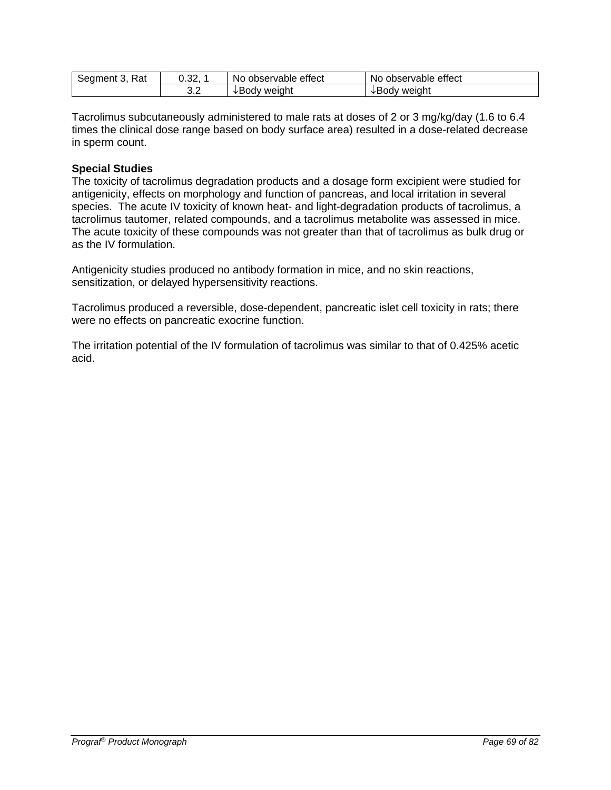| Rat        | ົດດ  | observable effect | No observable effect |
|------------|------|-------------------|----------------------|
| Segment 3, | ∪.ు∠ | No.               |                      |
|            | ◡.∠  | weight<br>√Roq∧   | √Body weight         |

Tacrolimus subcutaneously administered to male rats at doses of 2 or 3 mg/kg/day (1.6 to 6.4 times the clinical dose range based on body surface area) resulted in a dose-related decrease in sperm count.

#### **Special Studies**

The toxicity of tacrolimus degradation products and a dosage form excipient were studied for antigenicity, effects on morphology and function of pancreas, and local irritation in several species. The acute IV toxicity of known heat- and light-degradation products of tacrolimus, a tacrolimus tautomer, related compounds, and a tacrolimus metabolite was assessed in mice. The acute toxicity of these compounds was not greater than that of tacrolimus as bulk drug or as the IV formulation.

Antigenicity studies produced no antibody formation in mice, and no skin reactions, sensitization, or delayed hypersensitivity reactions.

Tacrolimus produced a reversible, dose-dependent, pancreatic islet cell toxicity in rats; there were no effects on pancreatic exocrine function.

The irritation potential of the IV formulation of tacrolimus was similar to that of 0.425% acetic acid.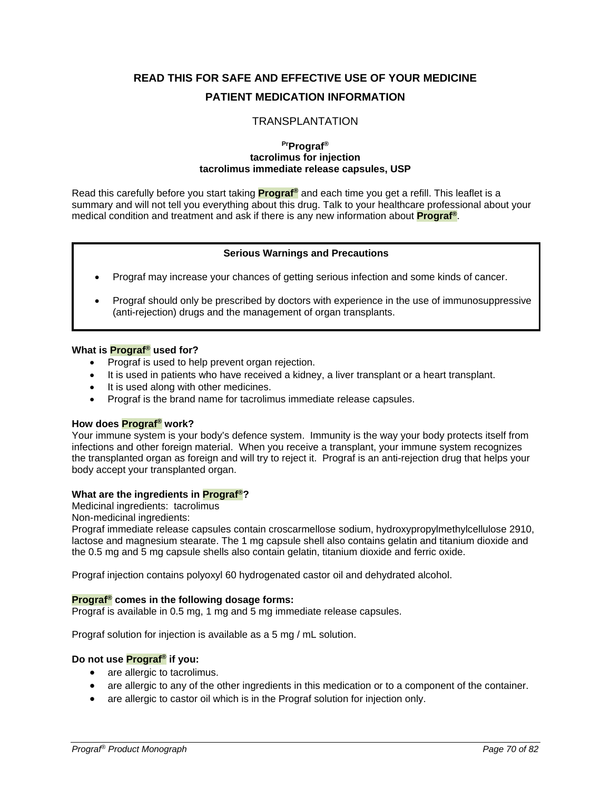# **READ THIS FOR SAFE AND EFFECTIVE USE OF YOUR MEDICINE PATIENT MEDICATION INFORMATION**

#### TRANSPLANTATION

#### **PrPrograf® tacrolimus for injection tacrolimus immediate release capsules, USP**

Read this carefully before you start taking **Prograf®** and each time you get a refill. This leaflet is a summary and will not tell you everything about this drug. Talk to your healthcare professional about your medical condition and treatment and ask if there is any new information about **Prograf®**.

#### **Serious Warnings and Precautions**

- Prograf may increase your chances of getting serious infection and some kinds of cancer.
- Prograf should only be prescribed by doctors with experience in the use of immunosuppressive (anti-rejection) drugs and the management of organ transplants.

#### **What is Prograf® used for?**

- Prograf is used to help prevent organ rejection.
- It is used in patients who have received a kidney, a liver transplant or a heart transplant.
- It is used along with other medicines.
- Prograf is the brand name for tacrolimus immediate release capsules.

#### **How does Prograf® work?**

Your immune system is your body's defence system. Immunity is the way your body protects itself from infections and other foreign material. When you receive a transplant, your immune system recognizes the transplanted organ as foreign and will try to reject it. Prograf is an anti-rejection drug that helps your body accept your transplanted organ.

#### **What are the ingredients in Prograf®?**

Medicinal ingredients:tacrolimus

Non-medicinal ingredients:

Prograf immediate release capsules contain croscarmellose sodium, hydroxypropylmethylcellulose 2910, lactose and magnesium stearate. The 1 mg capsule shell also contains gelatin and titanium dioxide and the 0.5 mg and 5 mg capsule shells also contain gelatin, titanium dioxide and ferric oxide.

Prograf injection contains polyoxyl 60 hydrogenated castor oil and dehydrated alcohol.

#### **Prograf® comes in the following dosage forms:**

Prograf is available in 0.5 mg, 1 mg and 5 mg immediate release capsules.

Prograf solution for injection is available as a 5 mg / mL solution.

#### **Do not use Prograf® if you:**

- are allergic to tacrolimus.
- are allergic to any of the other ingredients in this medication or to a component of the container.
- are allergic to castor oil which is in the Prograf solution for injection only.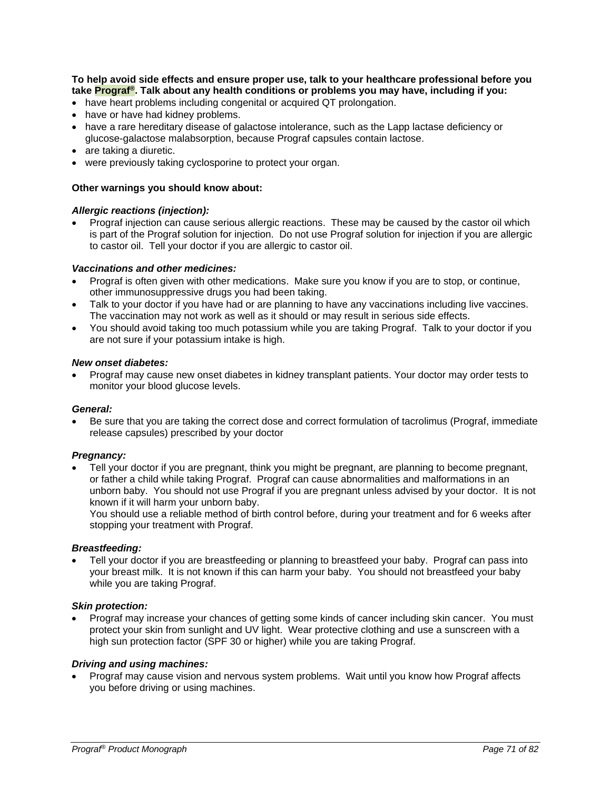**To help avoid side effects and ensure proper use, talk to your healthcare professional before you take Prograf®. Talk about any health conditions or problems you may have, including if you:**

- have heart problems including congenital or acquired QT prolongation.
- have or have had kidney problems.
- have a rare hereditary disease of galactose intolerance, such as the Lapp lactase deficiency or glucose-galactose malabsorption, because Prograf capsules contain lactose.
- are taking a diuretic.
- were previously taking cyclosporine to protect your organ.

#### **Other warnings you should know about:**

#### *Allergic reactions (injection):*

• Prograf injection can cause serious allergic reactions. These may be caused by the castor oil which is part of the Prograf solution for injection. Do not use Prograf solution for injection if you are allergic to castor oil. Tell your doctor if you are allergic to castor oil.

#### *Vaccinations and other medicines:*

- Prograf is often given with other medications. Make sure you know if you are to stop, or continue, other immunosuppressive drugs you had been taking.
- Talk to your doctor if you have had or are planning to have any vaccinations including live vaccines. The vaccination may not work as well as it should or may result in serious side effects.
- You should avoid taking too much potassium while you are taking Prograf. Talk to your doctor if you are not sure if your potassium intake is high.

#### *New onset diabetes:*

• Prograf may cause new onset diabetes in kidney transplant patients. Your doctor may order tests to monitor your blood glucose levels.

#### *General:*

• Be sure that you are taking the correct dose and correct formulation of tacrolimus (Prograf, immediate release capsules) prescribed by your doctor

#### *Pregnancy:*

• Tell your doctor if you are pregnant, think you might be pregnant, are planning to become pregnant, or father a child while taking Prograf. Prograf can cause abnormalities and malformations in an unborn baby. You should not use Prograf if you are pregnant unless advised by your doctor. It is not known if it will harm your unborn baby.

You should use a reliable method of birth control before, during your treatment and for 6 weeks after stopping your treatment with Prograf.

#### *Breastfeeding:*

• Tell your doctor if you are breastfeeding or planning to breastfeed your baby. Prograf can pass into your breast milk. It is not known if this can harm your baby. You should not breastfeed your baby while you are taking Prograf.

#### *Skin protection:*

• Prograf may increase your chances of getting some kinds of cancer including skin cancer. You must protect your skin from sunlight and UV light. Wear protective clothing and use a sunscreen with a high sun protection factor (SPF 30 or higher) while you are taking Prograf.

#### *Driving and using machines:*

• Prograf may cause vision and nervous system problems. Wait until you know how Prograf affects you before driving or using machines.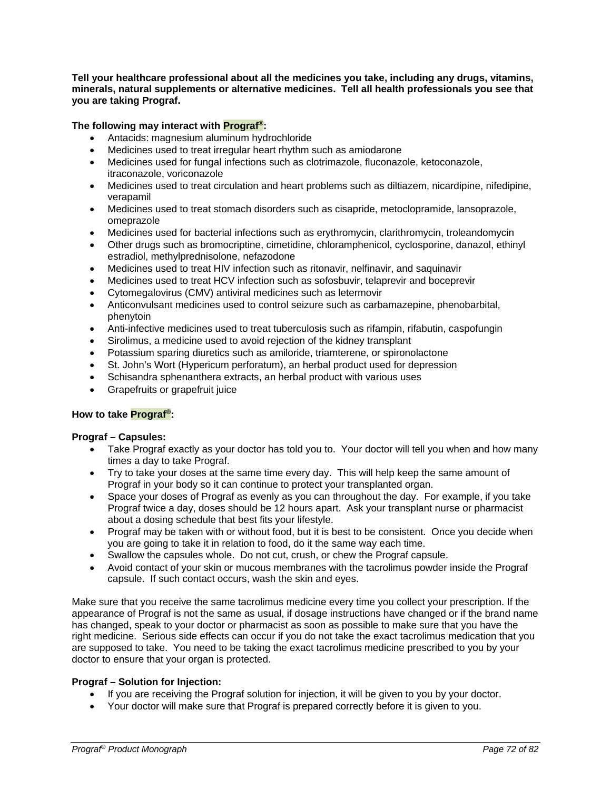**Tell your healthcare professional about all the medicines you take, including any drugs, vitamins, minerals, natural supplements or alternative medicines. Tell all health professionals you see that you are taking Prograf.** 

**The following may interact with Prograf®:**

- Antacids: magnesium aluminum hydrochloride
- Medicines used to treat irregular heart rhythm such as amiodarone
- Medicines used for fungal infections such as clotrimazole, fluconazole, ketoconazole, itraconazole, voriconazole
- Medicines used to treat circulation and heart problems such as diltiazem, nicardipine, nifedipine, verapamil
- Medicines used to treat stomach disorders such as cisapride, metoclopramide, lansoprazole, omeprazole
- Medicines used for bacterial infections such as erythromycin, clarithromycin, troleandomycin
- Other drugs such as bromocriptine, cimetidine, chloramphenicol, cyclosporine, danazol, ethinyl estradiol, methylprednisolone, nefazodone
- Medicines used to treat HIV infection such as ritonavir, nelfinavir, and saquinavir
- Medicines used to treat HCV infection such as sofosbuvir, telaprevir and boceprevir
- Cytomegalovirus (CMV) antiviral medicines such as letermovir
- Anticonvulsant medicines used to control seizure such as carbamazepine, phenobarbital, phenytoin
- Anti-infective medicines used to treat tuberculosis such as rifampin, rifabutin, caspofungin
- Sirolimus, a medicine used to avoid rejection of the kidney transplant
- Potassium sparing diuretics such as amiloride, triamterene, or spironolactone
- St. John's Wort (Hypericum perforatum), an herbal product used for depression
- Schisandra sphenanthera extracts, an herbal product with various uses
- Grapefruits or grapefruit juice

#### **How to take Prograf®:**

#### **Prograf – Capsules:**

- Take Prograf exactly as your doctor has told you to. Your doctor will tell you when and how many times a day to take Prograf.
- Try to take your doses at the same time every day. This will help keep the same amount of Prograf in your body so it can continue to protect your transplanted organ.
- Space your doses of Prograf as evenly as you can throughout the day. For example, if you take Prograf twice a day, doses should be 12 hours apart. Ask your transplant nurse or pharmacist about a dosing schedule that best fits your lifestyle.
- Prograf may be taken with or without food, but it is best to be consistent. Once you decide when you are going to take it in relation to food, do it the same way each time.
- Swallow the capsules whole. Do not cut, crush, or chew the Prograf capsule.
- Avoid contact of your skin or mucous membranes with the tacrolimus powder inside the Prograf capsule. If such contact occurs, wash the skin and eyes.

Make sure that you receive the same tacrolimus medicine every time you collect your prescription. If the appearance of Prograf is not the same as usual, if dosage instructions have changed or if the brand name has changed, speak to your doctor or pharmacist as soon as possible to make sure that you have the right medicine. Serious side effects can occur if you do not take the exact tacrolimus medication that you are supposed to take. You need to be taking the exact tacrolimus medicine prescribed to you by your doctor to ensure that your organ is protected.

#### **Prograf – Solution for Injection:**

- If you are receiving the Prograf solution for injection, it will be given to you by your doctor.
- Your doctor will make sure that Prograf is prepared correctly before it is given to you.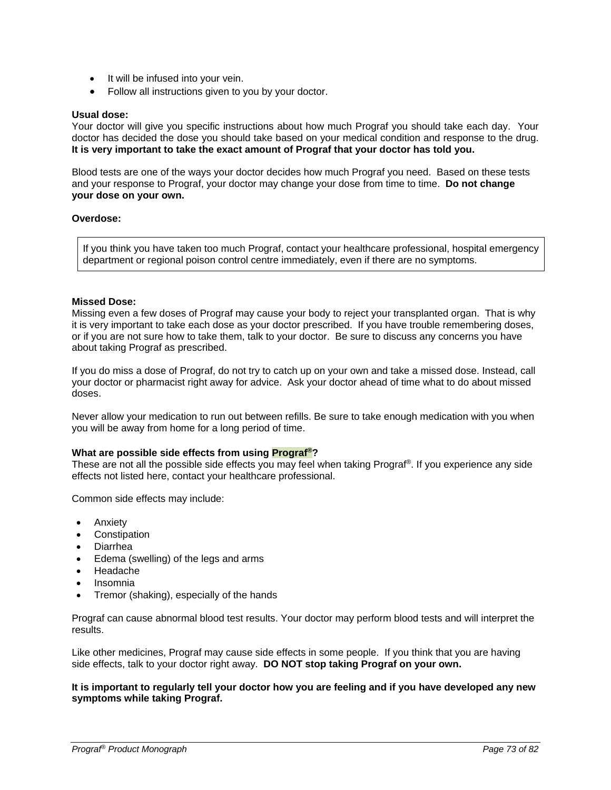- It will be infused into your vein.
- Follow all instructions given to you by your doctor.

# **Usual dose:**

Your doctor will give you specific instructions about how much Prograf you should take each day. Your doctor has decided the dose you should take based on your medical condition and response to the drug. **It is very important to take the exact amount of Prograf that your doctor has told you.**

Blood tests are one of the ways your doctor decides how much Prograf you need. Based on these tests and your response to Prograf, your doctor may change your dose from time to time. **Do not change your dose on your own.**

### **Overdose:**

If you think you have taken too much Prograf, contact your healthcare professional, hospital emergency department or regional poison control centre immediately, even if there are no symptoms.

## **Missed Dose:**

Missing even a few doses of Prograf may cause your body to reject your transplanted organ. That is why it is very important to take each dose as your doctor prescribed. If you have trouble remembering doses, or if you are not sure how to take them, talk to your doctor. Be sure to discuss any concerns you have about taking Prograf as prescribed.

If you do miss a dose of Prograf, do not try to catch up on your own and take a missed dose. Instead, call your doctor or pharmacist right away for advice. Ask your doctor ahead of time what to do about missed doses.

Never allow your medication to run out between refills. Be sure to take enough medication with you when you will be away from home for a long period of time.

## **What are possible side effects from using Prograf®?**

These are not all the possible side effects you may feel when taking Prograf®. If you experience any side effects not listed here, contact your healthcare professional.

Common side effects may include:

- Anxiety
- **Constipation**
- Diarrhea
- Edema (swelling) of the legs and arms
- Headache
- Insomnia
- Tremor (shaking), especially of the hands

Prograf can cause abnormal blood test results. Your doctor may perform blood tests and will interpret the results.

Like other medicines, Prograf may cause side effects in some people. If you think that you are having side effects, talk to your doctor right away. **DO NOT stop taking Prograf on your own.**

**It is important to regularly tell your doctor how you are feeling and if you have developed any new symptoms while taking Prograf.**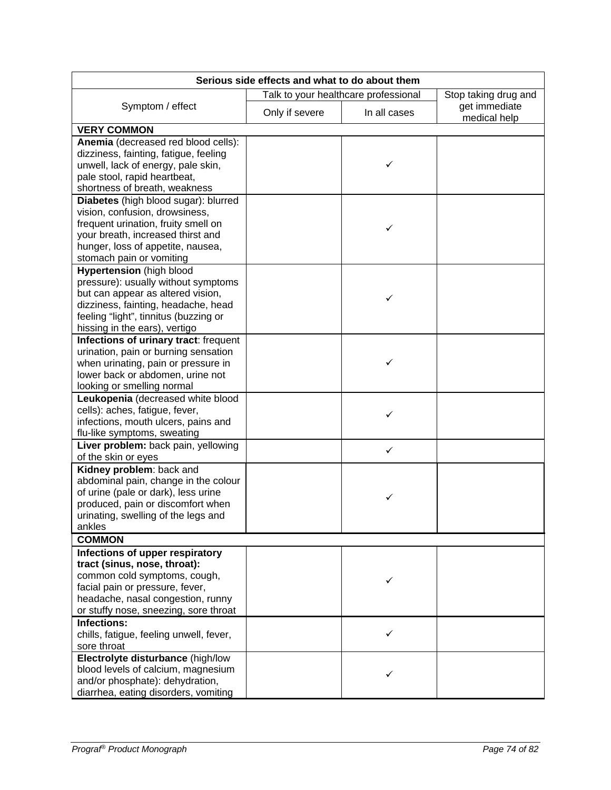| Serious side effects and what to do about them                                |                |                                      |                               |
|-------------------------------------------------------------------------------|----------------|--------------------------------------|-------------------------------|
|                                                                               |                | Talk to your healthcare professional | Stop taking drug and          |
| Symptom / effect                                                              | Only if severe | In all cases                         | get immediate<br>medical help |
| <b>VERY COMMON</b>                                                            |                |                                      |                               |
| Anemia (decreased red blood cells):<br>dizziness, fainting, fatigue, feeling  |                |                                      |                               |
| unwell, lack of energy, pale skin,                                            |                | ✓                                    |                               |
| pale stool, rapid heartbeat,                                                  |                |                                      |                               |
| shortness of breath, weakness                                                 |                |                                      |                               |
| Diabetes (high blood sugar): blurred<br>vision, confusion, drowsiness,        |                |                                      |                               |
| frequent urination, fruity smell on                                           |                |                                      |                               |
| your breath, increased thirst and                                             |                |                                      |                               |
| hunger, loss of appetite, nausea,                                             |                |                                      |                               |
| stomach pain or vomiting                                                      |                |                                      |                               |
| <b>Hypertension</b> (high blood                                               |                |                                      |                               |
| pressure): usually without symptoms                                           |                |                                      |                               |
| but can appear as altered vision,                                             |                | ✓                                    |                               |
| dizziness, fainting, headache, head                                           |                |                                      |                               |
| feeling "light", tinnitus (buzzing or                                         |                |                                      |                               |
| hissing in the ears), vertigo                                                 |                |                                      |                               |
| Infections of urinary tract: frequent<br>urination, pain or burning sensation |                |                                      |                               |
| when urinating, pain or pressure in                                           |                | ✓                                    |                               |
| lower back or abdomen, urine not                                              |                |                                      |                               |
| looking or smelling normal                                                    |                |                                      |                               |
| Leukopenia (decreased white blood                                             |                |                                      |                               |
| cells): aches, fatigue, fever,                                                |                | ✓                                    |                               |
| infections, mouth ulcers, pains and                                           |                |                                      |                               |
| flu-like symptoms, sweating                                                   |                |                                      |                               |
| Liver problem: back pain, yellowing                                           |                | ✓                                    |                               |
| of the skin or eyes                                                           |                |                                      |                               |
| Kidney problem: back and                                                      |                |                                      |                               |
| abdominal pain, change in the colour                                          |                |                                      |                               |
| of urine (pale or dark), less urine<br>produced, pain or discomfort when      |                |                                      |                               |
| urinating, swelling of the legs and                                           |                |                                      |                               |
| ankles                                                                        |                |                                      |                               |
| <b>COMMON</b>                                                                 |                |                                      |                               |
| Infections of upper respiratory                                               |                |                                      |                               |
| tract (sinus, nose, throat):                                                  |                |                                      |                               |
| common cold symptoms, cough,                                                  |                |                                      |                               |
| facial pain or pressure, fever,                                               |                |                                      |                               |
| headache, nasal congestion, runny                                             |                |                                      |                               |
| or stuffy nose, sneezing, sore throat                                         |                |                                      |                               |
| <b>Infections:</b>                                                            |                |                                      |                               |
| chills, fatigue, feeling unwell, fever,                                       |                | ✓                                    |                               |
| sore throat<br>Electrolyte disturbance (high/low                              |                |                                      |                               |
| blood levels of calcium, magnesium                                            |                |                                      |                               |
| and/or phosphate): dehydration,                                               |                | ✓                                    |                               |
| diarrhea, eating disorders, vomiting                                          |                |                                      |                               |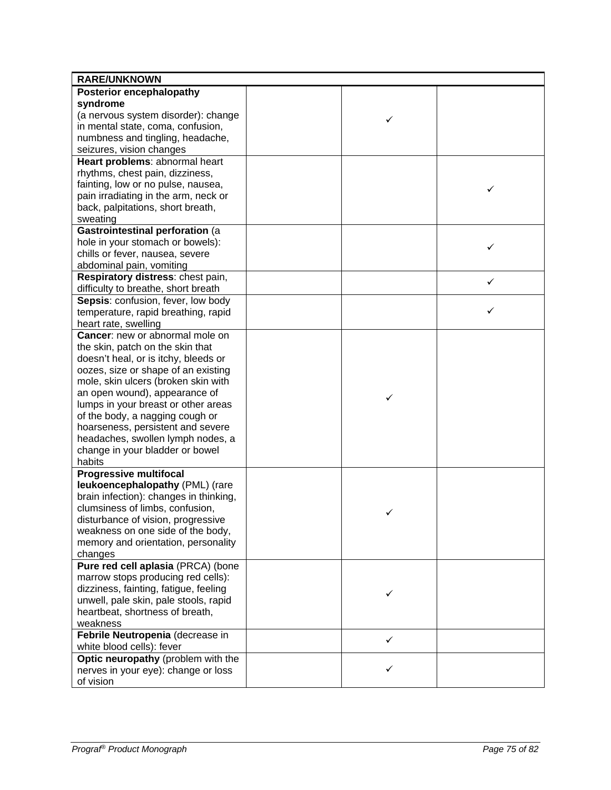| <b>RARE/UNKNOWN</b>                    |              |   |
|----------------------------------------|--------------|---|
| <b>Posterior encephalopathy</b>        |              |   |
| syndrome                               |              |   |
| (a nervous system disorder): change    |              |   |
| in mental state, coma, confusion,      | ✓            |   |
| numbness and tingling, headache,       |              |   |
| seizures, vision changes               |              |   |
| Heart problems: abnormal heart         |              |   |
| rhythms, chest pain, dizziness,        |              |   |
| fainting, low or no pulse, nausea,     |              |   |
| pain irradiating in the arm, neck or   |              | ✓ |
| back, palpitations, short breath,      |              |   |
| sweating                               |              |   |
| Gastrointestinal perforation (a        |              |   |
| hole in your stomach or bowels):       |              |   |
| chills or fever, nausea, severe        |              | ✓ |
| abdominal pain, vomiting               |              |   |
| Respiratory distress: chest pain,      |              |   |
| difficulty to breathe, short breath    |              | ✓ |
| Sepsis: confusion, fever, low body     |              |   |
| temperature, rapid breathing, rapid    |              | ✓ |
| heart rate, swelling                   |              |   |
| Cancer: new or abnormal mole on        |              |   |
| the skin, patch on the skin that       |              |   |
| doesn't heal, or is itchy, bleeds or   |              |   |
| oozes, size or shape of an existing    |              |   |
| mole, skin ulcers (broken skin with    |              |   |
| an open wound), appearance of          |              |   |
| lumps in your breast or other areas    | ✓            |   |
| of the body, a nagging cough or        |              |   |
| hoarseness, persistent and severe      |              |   |
| headaches, swollen lymph nodes, a      |              |   |
| change in your bladder or bowel        |              |   |
| habits                                 |              |   |
| <b>Progressive multifocal</b>          |              |   |
| leukoencephalopathy (PML) (rare        |              |   |
| brain infection): changes in thinking, |              |   |
| clumsiness of limbs, confusion,        | ✓            |   |
| disturbance of vision, progressive     |              |   |
| weakness on one side of the body,      |              |   |
| memory and orientation, personality    |              |   |
| changes                                |              |   |
| Pure red cell aplasia (PRCA) (bone     |              |   |
| marrow stops producing red cells):     |              |   |
| dizziness, fainting, fatigue, feeling  | ✓            |   |
| unwell, pale skin, pale stools, rapid  |              |   |
| heartbeat, shortness of breath,        |              |   |
| weakness                               |              |   |
| Febrile Neutropenia (decrease in       | $\checkmark$ |   |
| white blood cells): fever              |              |   |
| Optic neuropathy (problem with the     |              |   |
| nerves in your eye): change or loss    | ✓            |   |
| of vision                              |              |   |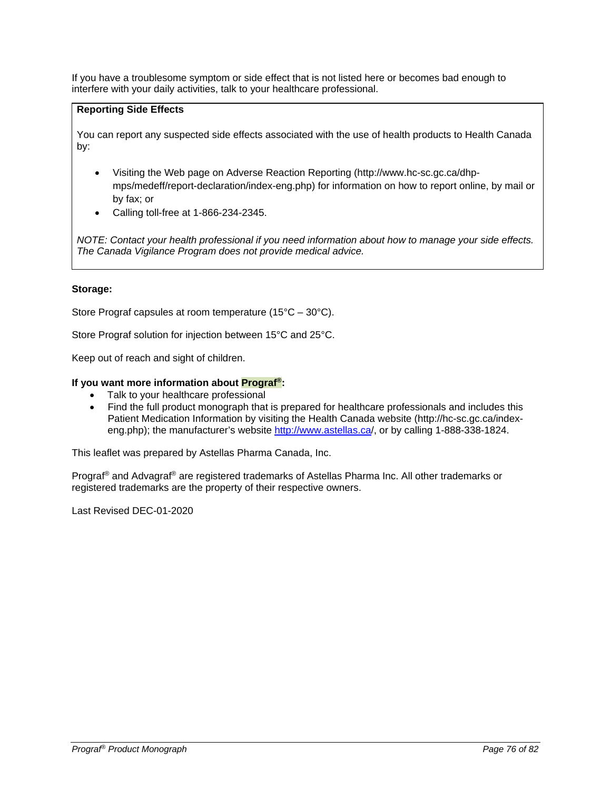If you have a troublesome symptom or side effect that is not listed here or becomes bad enough to interfere with your daily activities, talk to your healthcare professional.

# **Reporting Side Effects**

You can report any suspected side effects associated with the use of health products to Health Canada by:

- Visiting the Web page on Adverse Reaction Reporting (http://www.hc-sc.gc.ca/dhpmps/medeff/report-declaration/index-eng.php) for information on how to report online, by mail or by fax; or
- Calling toll-free at 1-866-234-2345.

*NOTE: Contact your health professional if you need information about how to manage your side effects. The Canada Vigilance Program does not provide medical advice.*

# **Storage:**

Store Prograf capsules at room temperature (15°C – 30°C).

Store Prograf solution for injection between 15°C and 25°C.

Keep out of reach and sight of children.

## **If you want more information about Prograf®:**

- Talk to your healthcare professional
- Find the full product monograph that is prepared for healthcare professionals and includes this Patient Medication Information by visiting the Health Canada website (http://hc-sc.gc.ca/indexeng.php); the manufacturer's website<http://www.astellas.ca/>, or by calling 1-888-338-1824.

This leaflet was prepared by Astellas Pharma Canada, Inc.

Prograf® and Advagraf® are registered trademarks of Astellas Pharma Inc. All other trademarks or registered trademarks are the property of their respective owners.

Last Revised DEC-01-2020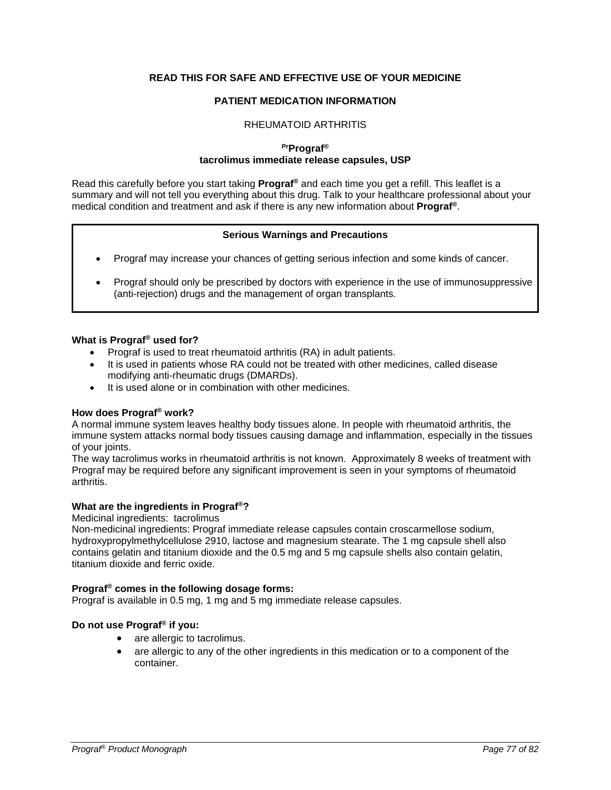# **READ THIS FOR SAFE AND EFFECTIVE USE OF YOUR MEDICINE**

# **PATIENT MEDICATION INFORMATION**

### RHEUMATOID ARTHRITIS

# **PrPrograf® tacrolimus immediate release capsules, USP**

Read this carefully before you start taking **Prograf®** and each time you get a refill. This leaflet is a summary and will not tell you everything about this drug. Talk to your healthcare professional about your medical condition and treatment and ask if there is any new information about **Prograf®**.

### **Serious Warnings and Precautions**

- Prograf may increase your chances of getting serious infection and some kinds of cancer.
- Prograf should only be prescribed by doctors with experience in the use of immunosuppressive (anti-rejection) drugs and the management of organ transplants.

### **What is Prograf® used for?**

- Prograf is used to treat rheumatoid arthritis (RA) in adult patients.
- It is used in patients whose RA could not be treated with other medicines, called disease modifying anti-rheumatic drugs (DMARDs).
- It is used alone or in combination with other medicines.

## **How does Prograf® work?**

A normal immune system leaves healthy body tissues alone. In people with rheumatoid arthritis, the immune system attacks normal body tissues causing damage and inflammation, especially in the tissues of your joints.

The way tacrolimus works in rheumatoid arthritis is not known. Approximately 8 weeks of treatment with Prograf may be required before any significant improvement is seen in your symptoms of rheumatoid arthritis.

## **What are the ingredients in Prograf®?**

Medicinal ingredients:tacrolimus

Non-medicinal ingredients: Prograf immediate release capsules contain croscarmellose sodium, hydroxypropylmethylcellulose 2910, lactose and magnesium stearate. The 1 mg capsule shell also contains gelatin and titanium dioxide and the 0.5 mg and 5 mg capsule shells also contain gelatin, titanium dioxide and ferric oxide.

## **Prograf® comes in the following dosage forms:**

Prograf is available in 0.5 mg, 1 mg and 5 mg immediate release capsules.

## **Do not use Prograf® if you:**

- are allergic to tacrolimus.
- are allergic to any of the other ingredients in this medication or to a component of the container.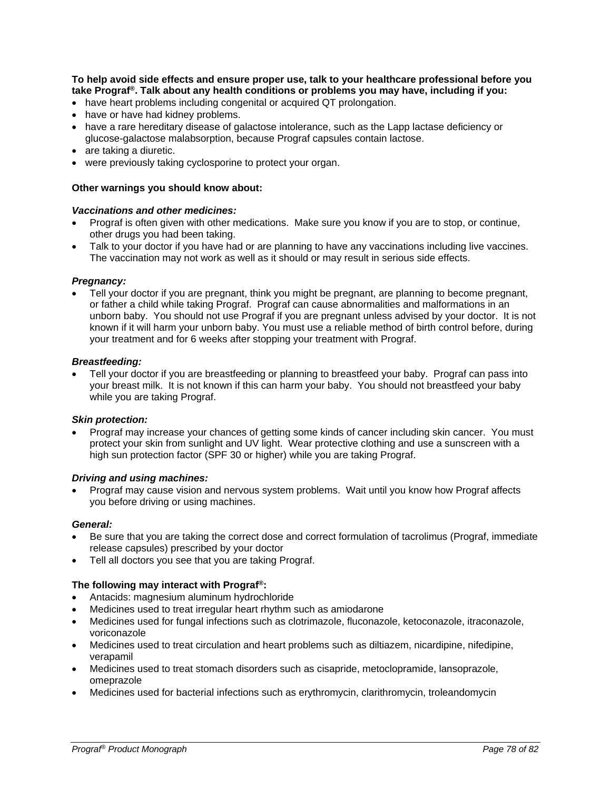**To help avoid side effects and ensure proper use, talk to your healthcare professional before you take Prograf®. Talk about any health conditions or problems you may have, including if you:**

- have heart problems including congenital or acquired QT prolongation.
- have or have had kidney problems.
- have a rare hereditary disease of galactose intolerance, such as the Lapp lactase deficiency or glucose-galactose malabsorption, because Prograf capsules contain lactose.
- are taking a diuretic.
- were previously taking cyclosporine to protect your organ.

#### **Other warnings you should know about:**

#### *Vaccinations and other medicines:*

- Prograf is often given with other medications. Make sure you know if you are to stop, or continue, other drugs you had been taking.
- Talk to your doctor if you have had or are planning to have any vaccinations including live vaccines. The vaccination may not work as well as it should or may result in serious side effects.

#### *Pregnancy:*

• Tell your doctor if you are pregnant, think you might be pregnant, are planning to become pregnant, or father a child while taking Prograf. Prograf can cause abnormalities and malformations in an unborn baby. You should not use Prograf if you are pregnant unless advised by your doctor. It is not known if it will harm your unborn baby. You must use a reliable method of birth control before, during your treatment and for 6 weeks after stopping your treatment with Prograf.

#### *Breastfeeding:*

• Tell your doctor if you are breastfeeding or planning to breastfeed your baby. Prograf can pass into your breast milk. It is not known if this can harm your baby. You should not breastfeed your baby while you are taking Prograf.

#### *Skin protection:*

• Prograf may increase your chances of getting some kinds of cancer including skin cancer. You must protect your skin from sunlight and UV light. Wear protective clothing and use a sunscreen with a high sun protection factor (SPF 30 or higher) while you are taking Prograf.

### *Driving and using machines:*

• Prograf may cause vision and nervous system problems. Wait until you know how Prograf affects you before driving or using machines.

#### *General:*

- Be sure that you are taking the correct dose and correct formulation of tacrolimus (Prograf, immediate release capsules) prescribed by your doctor
- Tell all doctors you see that you are taking Prograf.

#### **The following may interact with Prograf®:**

- Antacids: magnesium aluminum hydrochloride
- Medicines used to treat irregular heart rhythm such as amiodarone
- Medicines used for fungal infections such as clotrimazole, fluconazole, ketoconazole, itraconazole, voriconazole
- Medicines used to treat circulation and heart problems such as diltiazem, nicardipine, nifedipine, verapamil
- Medicines used to treat stomach disorders such as cisapride, metoclopramide, lansoprazole, omeprazole
- Medicines used for bacterial infections such as erythromycin, clarithromycin, troleandomycin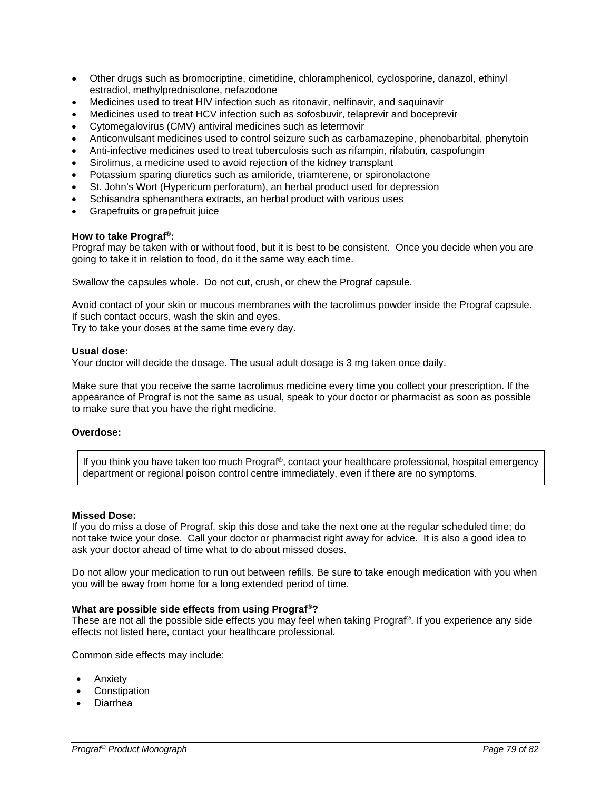- Other drugs such as bromocriptine, cimetidine, chloramphenicol, cyclosporine, danazol, ethinyl estradiol, methylprednisolone, nefazodone
- Medicines used to treat HIV infection such as ritonavir, nelfinavir, and saquinavir
- Medicines used to treat HCV infection such as sofosbuvir, telaprevir and boceprevir
- Cytomegalovirus (CMV) antiviral medicines such as letermovir
- Anticonvulsant medicines used to control seizure such as carbamazepine, phenobarbital, phenytoin
- Anti-infective medicines used to treat tuberculosis such as rifampin, rifabutin, caspofungin
- Sirolimus, a medicine used to avoid rejection of the kidney transplant
- Potassium sparing diuretics such as amiloride, triamterene, or spironolactone
- St. John's Wort (Hypericum perforatum), an herbal product used for depression
- Schisandra sphenanthera extracts, an herbal product with various uses
- Grapefruits or grapefruit juice

### **How to take Prograf®:**

Prograf may be taken with or without food, but it is best to be consistent. Once you decide when you are going to take it in relation to food, do it the same way each time.

Swallow the capsules whole. Do not cut, crush, or chew the Prograf capsule.

Avoid contact of your skin or mucous membranes with the tacrolimus powder inside the Prograf capsule. If such contact occurs, wash the skin and eyes.

Try to take your doses at the same time every day.

### **Usual dose:**

Your doctor will decide the dosage. The usual adult dosage is 3 mg taken once daily.

Make sure that you receive the same tacrolimus medicine every time you collect your prescription. If the appearance of Prograf is not the same as usual, speak to your doctor or pharmacist as soon as possible to make sure that you have the right medicine.

#### **Overdose:**

If you think you have taken too much Prograf®, contact your healthcare professional, hospital emergency department or regional poison control centre immediately, even if there are no symptoms.

#### **Missed Dose:**

If you do miss a dose of Prograf, skip this dose and take the next one at the regular scheduled time; do not take twice your dose. Call your doctor or pharmacist right away for advice. It is also a good idea to ask your doctor ahead of time what to do about missed doses.

Do not allow your medication to run out between refills. Be sure to take enough medication with you when you will be away from home for a long extended period of time.

## **What are possible side effects from using Prograf®?**

These are not all the possible side effects you may feel when taking Prograf®. If you experience any side effects not listed here, contact your healthcare professional.

Common side effects may include:

- Anxiety
- **Constipation**
- Diarrhea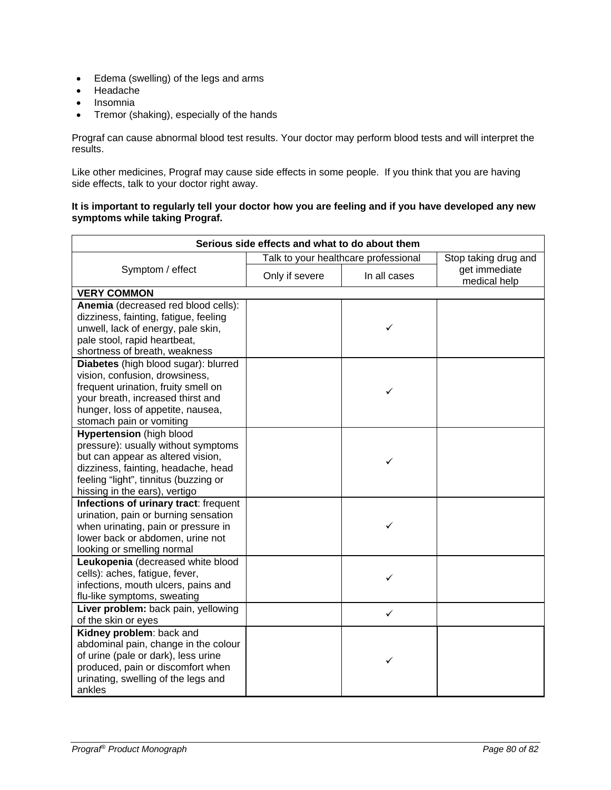- Edema (swelling) of the legs and arms
- Headache
- Insomnia
- Tremor (shaking), especially of the hands

Prograf can cause abnormal blood test results. Your doctor may perform blood tests and will interpret the results.

Like other medicines, Prograf may cause side effects in some people. If you think that you are having side effects, talk to your doctor right away.

## **It is important to regularly tell your doctor how you are feeling and if you have developed any new symptoms while taking Prograf.**

| Serious side effects and what to do about them                                                                                                                                                                               |                                      |              |                               |
|------------------------------------------------------------------------------------------------------------------------------------------------------------------------------------------------------------------------------|--------------------------------------|--------------|-------------------------------|
| Symptom / effect                                                                                                                                                                                                             | Talk to your healthcare professional |              | Stop taking drug and          |
|                                                                                                                                                                                                                              | Only if severe                       | In all cases | get immediate<br>medical help |
| <b>VERY COMMON</b>                                                                                                                                                                                                           |                                      |              |                               |
| Anemia (decreased red blood cells):<br>dizziness, fainting, fatigue, feeling<br>unwell, lack of energy, pale skin,<br>pale stool, rapid heartbeat,<br>shortness of breath, weakness                                          |                                      | ✓            |                               |
| Diabetes (high blood sugar): blurred<br>vision, confusion, drowsiness,<br>frequent urination, fruity smell on<br>your breath, increased thirst and<br>hunger, loss of appetite, nausea,<br>stomach pain or vomiting          |                                      | ✓            |                               |
| <b>Hypertension</b> (high blood<br>pressure): usually without symptoms<br>but can appear as altered vision,<br>dizziness, fainting, headache, head<br>feeling "light", tinnitus (buzzing or<br>hissing in the ears), vertigo |                                      | ✓            |                               |
| <b>Infections of urinary tract: frequent</b><br>urination, pain or burning sensation<br>when urinating, pain or pressure in<br>lower back or abdomen, urine not<br>looking or smelling normal                                |                                      | ✓            |                               |
| Leukopenia (decreased white blood<br>cells): aches, fatigue, fever,<br>infections, mouth ulcers, pains and<br>flu-like symptoms, sweating                                                                                    |                                      | ✓            |                               |
| Liver problem: back pain, yellowing<br>of the skin or eyes                                                                                                                                                                   |                                      | ✓            |                               |
| Kidney problem: back and<br>abdominal pain, change in the colour<br>of urine (pale or dark), less urine<br>produced, pain or discomfort when<br>urinating, swelling of the legs and<br>ankles                                |                                      | ✓            |                               |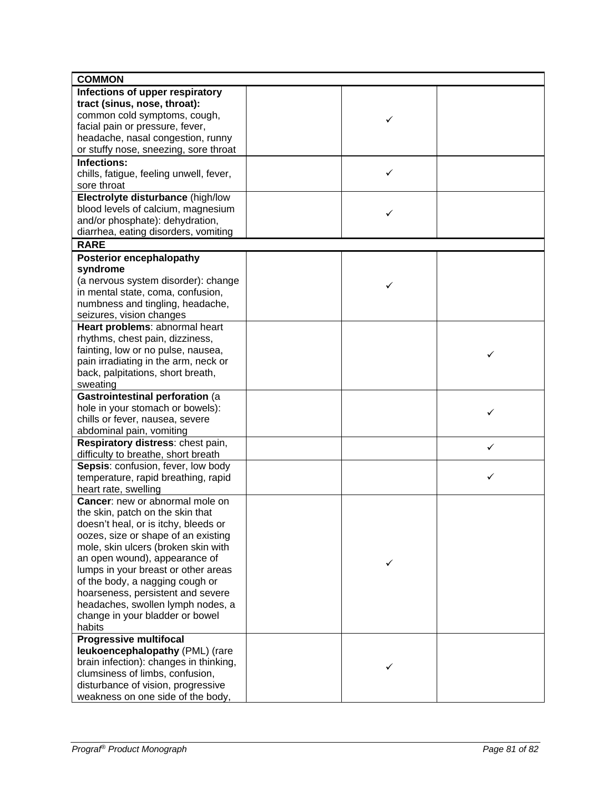| <b>COMMON</b>                           |   |   |
|-----------------------------------------|---|---|
| Infections of upper respiratory         |   |   |
| tract (sinus, nose, throat):            |   |   |
| common cold symptoms, cough,            | ✓ |   |
| facial pain or pressure, fever,         |   |   |
| headache, nasal congestion, runny       |   |   |
| or stuffy nose, sneezing, sore throat   |   |   |
| Infections:                             |   |   |
| chills, fatigue, feeling unwell, fever, | ✓ |   |
| sore throat                             |   |   |
| Electrolyte disturbance (high/low       |   |   |
| blood levels of calcium, magnesium      |   |   |
| and/or phosphate): dehydration,         | ✓ |   |
| diarrhea, eating disorders, vomiting    |   |   |
| <b>RARE</b>                             |   |   |
| <b>Posterior encephalopathy</b>         |   |   |
| syndrome                                |   |   |
| (a nervous system disorder): change     |   |   |
| in mental state, coma, confusion,       | ✓ |   |
| numbness and tingling, headache,        |   |   |
| seizures, vision changes                |   |   |
| Heart problems: abnormal heart          |   |   |
| rhythms, chest pain, dizziness,         |   |   |
| fainting, low or no pulse, nausea,      |   |   |
| pain irradiating in the arm, neck or    |   | ✓ |
| back, palpitations, short breath,       |   |   |
| sweating                                |   |   |
| Gastrointestinal perforation (a         |   |   |
| hole in your stomach or bowels):        |   | ✓ |
| chills or fever, nausea, severe         |   |   |
| abdominal pain, vomiting                |   |   |
| Respiratory distress: chest pain,       |   | ✓ |
| difficulty to breathe, short breath     |   |   |
| Sepsis: confusion, fever, low body      |   |   |
| temperature, rapid breathing, rapid     |   | ✓ |
| heart rate, swelling                    |   |   |
| Cancer: new or abnormal mole on         |   |   |
| the skin, patch on the skin that        |   |   |
| doesn't heal, or is itchy, bleeds or    |   |   |
| oozes, size or shape of an existing     |   |   |
| mole, skin ulcers (broken skin with     |   |   |
| an open wound), appearance of           | ✓ |   |
| lumps in your breast or other areas     |   |   |
| of the body, a nagging cough or         |   |   |
| hoarseness, persistent and severe       |   |   |
| headaches, swollen lymph nodes, a       |   |   |
| change in your bladder or bowel         |   |   |
| habits                                  |   |   |
| <b>Progressive multifocal</b>           |   |   |
| leukoencephalopathy (PML) (rare         |   |   |
| brain infection): changes in thinking,  | ✓ |   |
| clumsiness of limbs, confusion,         |   |   |
| disturbance of vision, progressive      |   |   |
| weakness on one side of the body,       |   |   |